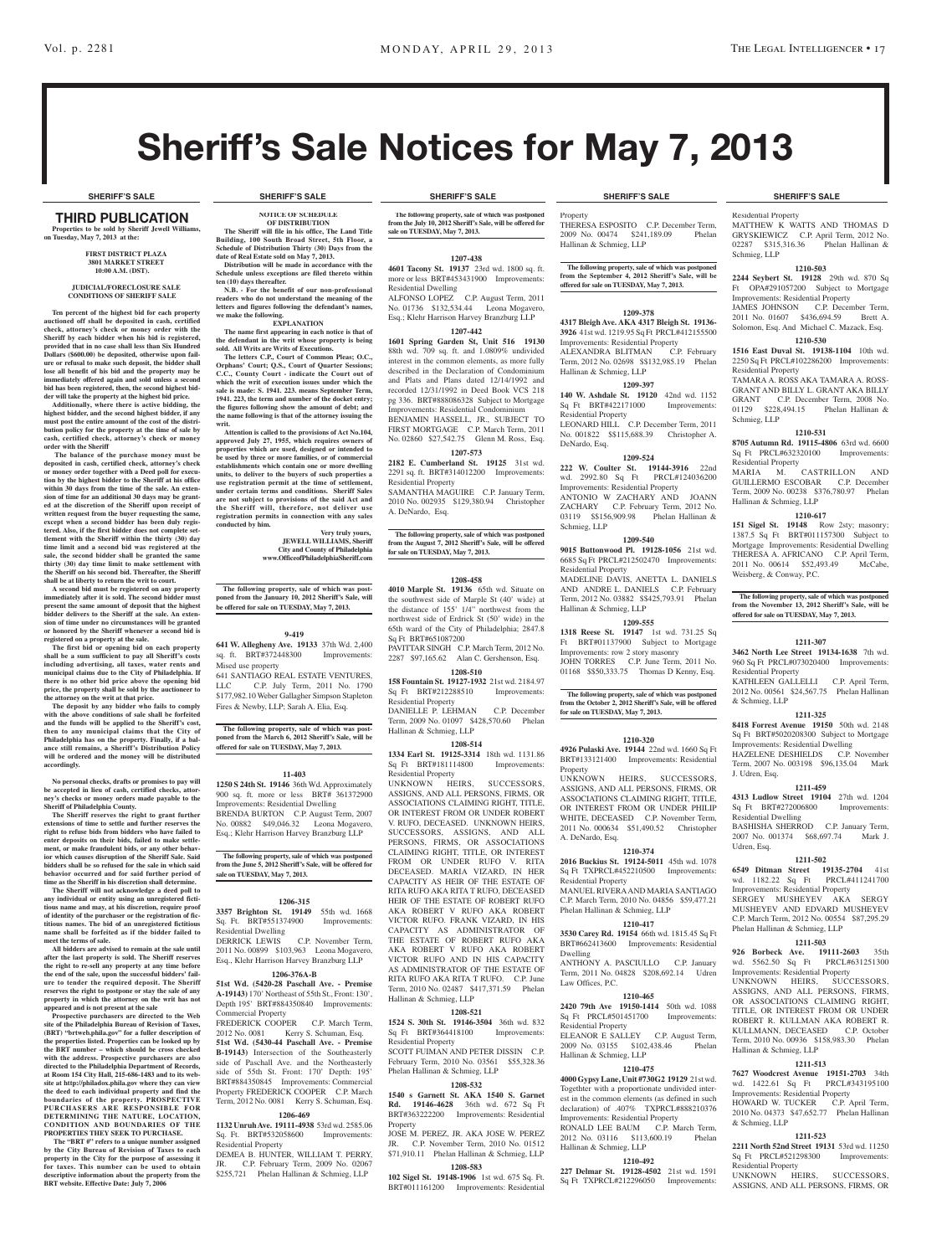# Sheriff's Sale Notices for May 7, 2013

### third PUBLICATION **Properties to be sold by Sheriff Jewell Williams, on Tuesday, May 7, 2013 at the:**

### **First District Plaza 3801 Market Street 10:00 A.M. (DST).**

### **JUDICIAL/FORECLOSURE SALE CONDITIONS OF SHERIFF SALE**

**Ten percent of the highest bid for each property auctioned off shall be deposited in cash, certified check, attorney's check or money order with the Sheriff by each bidder when his bid is registered, provided that in no case shall less than Six Hundred Dollars (\$600.00) be deposited, otherwise upon fail-ure or refusal to make such deposit, the bidder shall lose all benefit of his bid and the property may be immediately offered again and sold unless a second bid has been registered, then, the second highest bid-**

**der will take the property at the highest bid price. Additionally, where there is active bidding, the highest bidder, and the second highest bidder, if any must post the entire amount of the cost of the distri-bution policy for the property at the time of sale by cash, certified check, attorney's check or money order with the Sheriff**

 **The balance of the purchase money must be deposited in cash, certified check, attorney's check or money order together with a Deed poll for execution by the highest bidder to the Sheriff at his office within 30 days from the time of the sale. An extension of time for an additional 30 days may be granted at the discretion of the Sheriff upon receipt of written request from the buyer requesting the same,**  excent when a second bidder has been duly regis**tered. Also, if the first bidder does not complete settlement with the Sheriff within the thirty (30) day time limit and a second bid was registered at the sale, the second bidder shall be granted the same thirty (30) day time limit to make settlement with the Sheriff on his second bid. Thereafter, the Sheriff shall be at liberty to return the writ to court.**

**A second bid must be registered on any property immediately after it is sold. The second bidder must present the same amount of deposit that the highest bidder delivers to the Sheriff at the sale. An extension of time under no circumstances will be granted or honored by the Sheriff whenever a second bid is registered on a property at the sale.** 

**The first bid or opening bid on each property shall be a sum sufficient to pay all Sheriff's costs including advertising, all taxes, water rents and municipal claims due to the City of Philadelphia. If there is no other bid price above the opening bid price, the property shall be sold by the auctioneer to** 

**the attorney on the writ at that price. The deposit by any bidder who fails to comply with the above conditions of sale shall be forfeited and the funds will be applied to the Sheriff's cost, then to any municipal claims that the City of Philadelphia has on the property. Finally, if a bal-ance still remains, a Sheriff's Distribution Policy will be ordered and the money will be distributed accordingly.**

**No personal checks, drafts or promises to pay will be accepted in lieu of cash, certified checks, attorney's checks or money orders made payable to the Sheriff of Philadelphia County.**

**The Sheriff reserves the right to grant further extensions of time to settle and further reserves the right to refuse bids from bidders who have failed to enter deposits on their bids, failed to make settle-ment, or make fraudulent bids, or any other behavior which causes disruption of the Sheriff Sale. Said bidders shall be so refused for the sale in which said behavior occurred and for said further period of time as the Sheriff in his discretion shall determine. The Sheriff will not acknowledge a deed poll to** 

**any individual or entity using an unregistered ficti**us name and may, at his discretion, require pro **of identity of the purchaser or the registration of fictitious names. The bid of an unregistered fictitious name shall be forfeited as if the bidder failed to meet the terms of sale.**

**All bidders are advised to remain at the sale until after the last property is sold. The Sheriff reserves the right to re-sell any property at any time before the end of the sale, upon the successful bidders' failure to tender the required deposit. The Sheriff reserves the right to postpone or stay the sale of any property in which the attorney on the writ has not** 

**appeared and is not present at the sale Prospective purchasers are directed to the Web site of the Philadelphia Bureau of Revision of Taxes, (BRT) "brtweb.phila.gov" for a fuller description of the properties listed. Properties can be looked up by the BRT number – which should be cross checked with the address. Prospective purchasers are also directed to the Philadelphia Department of Records, at Room 154 City Hall, 215-686-1483 and to its website at http://philadox.phila.gov where they can view the deed to each individual property and find the boundaries of the property. PROSPECTIVE PURCHASERS ARE RESPONSIBLE FOR DETERMINING THE NATURE, LOCATION, CONDITION AND BOUNDARIES OF THE PROPERTIES THEY SEEK TO PURCHASE.**

**The "BRT #"** refers to a unique number assigned **by the City Bureau of Revision of Taxes to each property in the City for the purpose of assessing it for taxes. This number can be used to obtain descriptive information about the property from the BRT website. Effective Date: July 7, 2006**

### **SHERIFF'S SALE SHERIFF'S SALE SHERIFF'S SALE SHERIFF'S SALE SHERIFF'S SALE**

**NOTICE OF SCHEDULE OF DISTRIBUTION The Sheriff will file in his office, The Land Title Building, 100 South Broad Street, 5th Floor, a Schedule of Distribution Thirty (30) Days from the** 

**date of Real Estate sold on May 7, 2013. Distribution will be made in accordance with the Schedule unless exceptions are filed thereto within ten (10) days thereafter.**

**N.B. - For the benefit of our non-professional readers who do not understand the meaning of the letters and figures following the defendant's names, we make the following. EXPLANATION**

**The name first appearing in each notice is that of the defendant in the writ whose property is being sold. All Writs are Writs of Executions.**

**The letters C.P., Court of Common Pleas; O.C.,**  Orphans' Court; Q.S., Court of Quarter Sessio **C.C., County Court - indicate the Court out of which the writ of execution issues under which the**  sale is made: S. 1941. 223. means September Term, **1941. 223, the term and number of the docket entry; the figures following show the amount of debt; and the name following is that of the attorney issuing the writ.**

**Attention is called to the provisions of Act No.104, approved July 27, 1955, which requires owners of properties which are used, designed or intended to be used by three or more families, or of commercial establishments which contain one or more dwelling units, to deliver to the buyers of such properties a use registration permit at the time of settlement, under certain terms and conditions. Sheriff Sales are not subject to provisions of the said Act and the Sheriff will, therefore, not deliver use registration permits in connection with any sales conducted by him.**

> **Very truly yours, JEWELL WILLIAMS, Sheriff City and County of Philadelphia www.OfficeofPhiladelphiaSheriff.com**

**The following property, sale of which was postponed from the January 10, 2012 Sheriff's Sale, will be offered for sale on TUESDAY, May 7, 2013.**

## **9-419**

**641 W. Allegheny Ave. 19133** 37th Wd. 2,400 sq. ft. BRT#372448300 Improvements: Mised use property

641 SANTIAGO REAL ESTATE VENTURES, LLC C.P. July Term, 2011 No. 1790 \$177,982.10 Weber Gallagher Simpson Stapleton Fires & Newby, LLP; Sarah A. Elia, Esq.

**The following property, sale of which was post-poned from the March 6, 2012 Sheriff's Sale, will be offered for sale on TUESDAY, May 7, 2013.**

**11-403**

**1250 S 24th St. 19146** 36th Wd. Approximately 900 sq. ft. more or less BRT# 361372900 Improvements: Residential Dwelling BRENDA BURTON C.P. August Term, 2007 No. 00882 \$49,046.32 Leona Mogavero,

Esq.; Klehr Harrison Harvey Branzburg LLP **The following property, sale of which was postponed** 

## **from the June 5, 2012 Sheriff's Sale, will be offered for sale on TUESDAY, May 7, 2013.**

### **1206-315**

**3357 Brighton St. 19149** 55th wd. 1668 Sq. Ft. BRT#551374900 Residential Dwelling

DERRICK LEWIS C.P. November Term, 2011 No. 00899 \$103,963 Leona Mogavero, Esq., Klehr Harrison Harvey Branzburg LLP

## **1206-376A-B**

**51st Wd. (5420-28 Paschall Ave. - Premise A-19143)** 170' Northeast of 55th St., Front: 130', Depth 195' BRT#884350840 Improvements: Commercial Property FREDERICK COOPER C.P. March Term,<br>2012 No. 0081 Kerry S. Schuman, Esq. Kerry S. Schuman, Esq. **51st Wd. (5430-44 Paschall Ave. - Premise B-19143)** Intersection of the Southeasterly side of Paschall Ave. and the Northeasterly side of 55th St. Front: 170' Depth: 195'

BRT#884350845 Improvements: Commercial Property FREDERICK COOPER C.P. March Term, 2012 No. 0081 Kerry S. Schuman, Esq. **1206-469**

### **1132 Unruh Ave. 19111-4938** 53rd wd. 2585.06 Sq. Ft. BRT#532058600 Improvements: Residential Property

DEMEA B. HUNTER, WILLIAM T. PERRY, JR. C.P. February Term, 2009 No. 02067 \$255,721 Phelan Hallinan & Schmieg, LLP

**The following property, sale of which was postponed**  2012 Sheriff's Sale, will be offered for **sale on TUESDAY, May 7, 2013.**

## **1207-438**

**4601 Tacony St. 19137** 23rd wd. 1800 sq. ft. more or less BRT#453431900 Improvements: Residential Dwelling ALFONSO LOPEZ C.P. August Term, 2011 No. 01736 \$132,534.44 Leona Mogavero, Esq.; Klehr Harrison Harvey Branzburg LLP

**1207-442 1601 Spring Garden St, Unit 516 19130** 

88th wd. 709 sq. ft. and 1.0809% undivided interest in the common elements, as more fully described in the Declaration of Condominium and Plats and Plans dated 12/14/1992 and recorded 12/31/1992 in Deed Book VCS 218 pg 336. BRT#888086328 Subject to Mortgage Improvements: Residential Condominium BENJAMIN HASSELL, JR., SUBJECT TO FIRST MORTGAGE C.P. March Term, 2011 No. 02860 \$27,542.75 Glenn M. Ross, Esq.

**1207-573 2182 E. Cumberland St. 19125** 31st wd.

2291 sq. ft. BRT#314012200 Improvements: Residential Property SAMANTHA MAGUIRE C.P. January Term,

2010 No. 002935 \$129,380.94 Christopher A. DeNardo, Esq.

**The following property, sale of which was postponed from the August 7, 2012 Sheriff's Sale, will be offered for sale on TUESDAY, May 7, 2013.**

### **1208-458**

**4010 Marple St. 19136** 65th wd. Situate on the southwest side of Marple St (40' wide) at the distance of 155' 1/4" northwest from the northwest side of Erdrick St (50' wide) in the 65th ward of the City of Philadelphia; 2847.8 Sq Ft BRT#651087200 PAVITTAR SINGH C.P. March Term, 2012 No. 2287 \$97,165.62 Alan C. Gershenson, Esq.

**1208-510**

**158 Fountain St. 19127-1932** 21st wd. 2184.97 Sq Ft BRT#212288510 Improvements: Residential Property DANIELLE P. LEHMAN C.P. December

Term, 2009 No. 01097 \$428,570.60 Phelan Hallinan & Schmieg, LLP **1208-514**

**1334 Earl St. 19125-3314** 18th wd. 1131.86 Sq Ft BRT#181114800 Improvements: Residential Property UNKNOWN HEIRS, SUCCESSORS, ASSIGNS, AND ALL PERSONS, FIRMS, O ASSOCIATIONS CLAIMING RIGHT, TITLE, OR INTEREST FROM OR UNDER ROBERT V. RUFO, DECEASED. UNKNOWN HEIRS, SUCCESSORS, ASSIGNS, AND ALL PERSONS, FIRMS, OR ASSOCIATIONS CLAIMING RIGHT, TITLE, OR INTEREST FROM OR UNDER RUFO V. RITA DECEASED. MARIA VIZARD, IN HER CAPACITY AS HEIR OF THE ESTATE OF RITA RUFO AKA RITA T RUFO, DECEASED HEIR OF THE ESTATE OF ROBERT RUFO AKA ROBERT V RUFO AKA ROBERT VICTOR RUFO. FRANK VIZARD, IN HIS CAPACITY AS ADMINISTRATOR OF THE ESTATE OF ROBERT RUFO AKA AKA ROBERT V RUFO AKA ROBERT VICTOR RUFO AND IN HIS CAPACITY AS ADMINISTRATOR OF THE ESTATE OF RITA RUFO AKA RITA T RUFO. C.P. June Term, 2010 No. 02487 \$417,371.59 Phelan Hallinan & Schmieg, LLP

## **1208-521**

**1524 S. 30th St. 19146-3504** 36th wd. 832 Sq Ft BRT#364418100 Improvements: Residential Property

SCOTT FUIMAN AND PETER DISSIN C.P. February Term, 2010 No. 03561 \$55,328.36 Phelan Hallinan & Schmieg, LLP

### **1208-532**

**1540 s Garnett St. AKA 1540 S. Garnet Rd. 19146-4628** 36th wd. 672 Sq Ft BRT#363222200 Improvements: Residential Property

JOSE M. PEREZ, JR. AKA JOSE W. PEREZ JR. C.P. November Term, 2010 No. 01512 \$71,910.11 Phelan Hallinan & Schmieg, LLP

### **1208-583**

**102 Sigel St. 19148-1906** 1st wd. 675 Sq. Ft. BRT#011161200 Improvements: Residential

Property THERESA ESPOSITO C.P. December Term, 2009 No. 00474 \$241,189.09 Phelan Hallinan & Schmieg, LLP

## **The following property, sale of which was postponed from the September 4, 2012 Sheriff's Sale, will be offered for sale on TUESDAY, May 7, 2013.**

## **1209-378**

**4317 Bleigh Ave. AKA 4317 Bleigh St. 19136- 3926** 41st wd. 1219.95 Sq Ft PRCL#412155500 Improvements: Residential Property<br>ALEXANDRA BLITMAN C.P. February ALEXANDRA BLITMAN Term, 2012 No. 02698 \$\$132,985.19 Phelan Hallinan & Schmieg, LLP

**1209-397 140 W. Ashdale St. 19120** 42nd wd. 1152 Sq Ft BRT#422171000 Improvements: Residential Property LEONARD HILL C.P. December Term, 2011 No. 001822 \$\$115,688.39 Christopher A. DeNardo, Esq.

## **1209-524**

**222 W. Coulter St. 19144-3916** 22nd wd. 2992.80 Sq Ft PRCL#124036200 Improvements: Residential Property ANTONIO W ZACHARY AND JOANN ZACHARY C.P. February Term, 2012 No.<br>03119 \$\$156,909.98 Phelan Hallinan & 03119 \$\$156,909.98 Schmieg, LLP

## **1209-540**

**9015 Buttonwood Pl. 19128-1056** 21st wd. 6685 Sq Ft PRCL#212502470 Improvements: Residential Property MADELINE DAVIS, ANETTA L. DANIELS

AND ANDRE L. DANIELS C.P. February Term, 2012 No. 03882 \$\$425,793.91 Phelan Hallinan & Schmieg, LLP **1209-555**

**1318 Reese St. 19147** 1st wd. 731.25 Sq Ft BRT#01137900 Subject to Mortgage Improvements: row 2 story masonry JOHN TORRES C.P. June Term, 2011 No. 01168 \$\$50,333.75 Thomas D Kenny, Esq.

**The following property, sale of which was postponed from the October 2, 2012 Sheriff's Sale, will be offered for sale on TUESDAY, May 7, 2013.**

### **1210-320**

**4926 Pulaski Ave. 19144** 22nd wd. 1660 Sq Ft BRT#133121400 Improvements: Residential Property<br>UNKNOWN

HEIRS, SUCCESSORS, ASSIGNS, AND ALL PERSONS, FIRMS, OR ASSOCIATIONS CLAIMING RIGHT, TITLE, OR INTEREST FROM OR UNDER PHILIP WHITE, DECEASED C.P. November Term, 2011 No. 000634 \$51,490.52 Christopher A. DeNardo, Esq.

### **1210-374**

**2016 Buckius St. 19124-5011** 45th wd. 1078 Sq Ft TXPRCL#452210500 Improvements: Residential Property MANUEL RIVERAAND MARIA SANTIAGO C.P. March Term, 2010 No. 04856 \$59,477.21 Phelan Hallinan & Schmieg, LLP

## **1210-417**

**3530 Carey Rd. 19154** 66th wd. 1815.45 Sq Ft BRT#662413600 Improvements: Residential Dwelling ANTHONY A. PASCIULLO C.P. January

Term, 2011 No. 04828 \$208,692.14 Udren Law Offices, P.C.

## **1210-465**

**2420 79th Ave 19150-1414** 50th wd. 1088 Sq Ft PRCL#501451700 Improvements: Residential Property ELEANOR E SALLEY C.P. August Term, 2009 No. 03155 \$102,438.46 Phelan

### **1210-475**

Hallinan & Schmieg, LLP

**4000 Gypsy Lane, Unit #730G2 19129** 21st wd. Togethter with a proportionate undivided interest in the common elements (as defined in such declaration) of .407% TXPRCL#888210376 Improvements: Residential Property RONALD LEE BAUM C.P. March Term, 2012 No. 03116 \$113,600.19 Phelan Hallinan & Schmieg, LLP

**1210-492**

**227 Delmar St. 19128-4502** 21st wd. 1591 Sq Ft TXPRCL#212296050 Improvements:

Residential Property MATTHEW K WATTS AND THOMAS D

Residential Property

Schmieg, LLP

Sq Ft PRCL#632320100 Residential Property

Hallinan & Schmieg, LLP

Weisberg, & Conway, P.C.

Residential Property

& Schmieg, LLP

J. Udren, Esq.

Udren, Esq.

Residential Dwelling

wd. 1182.22 Sq Ft Improvements: Residential Property SERGEY MUSHEYEV AKA SERGY MUSHEYEV AND EDVARD MUSHEYEV C.P. March Term, 2012 No. 00554 \$87,295.29

Hallinan & Schmieg, LLP

& Schmieg, LLP

Residential Property

Phelan Hallinan & Schmieg, LLP

GRYSKIEWICZ C.P. April Term, 2012 No. 02287 \$315,316.36 Schmieg, LLP **1210-503**

**2244 Seybert St. 19128** 29th wd. 870 Sq Ft OPA#291057200 Subject to Mortgage Improvements: Residential Property JAMES JOHNSON C.P. December Term, 2011 No. 01607 \$436,694.59 Brett A. Solomon, Esq. And Michael C. Mazack, Esq. **1210-530 1516 East Duval St. 19138-1104** 10th wd. 2250 Sq Ft PRCL#102286200 Improvements:

TAMARA A. ROSS AKA TAMARA A. ROSS-GRANT AND BILLY L. GRANT AKA BILLY GRANT C.P. December Term, 2008 No. 01129 \$228,494.15 Phelan Hallinan &

**1210-531 8705 Autumn Rd. 19115-4806** 63rd wd. 6600

MARIA M. CASTRILLON A GUILLERMO ESCOBAR C.P. December Term, 2009 No. 00238 \$376,780.97 Phelan

**1210-617 151 Sigel St. 19148** Row 2sty; masonry; 1387.5 Sq Ft BRT#011157300 Subject to Mortgage Improvements: Residential Dwelling THERESA A. AFRICANO C.P. April Term, 2011 No. 00614 \$52,493.49 McCabe,

**The following property, sale of which was postponed from the November 13, 2012 Sheriff's Sale, will be offered for sale on TUESDAY, May 7, 2013.**

**1211-307 3462 North Lee Street 19134-1638** 7th wd. 960 Sq Ft PRCL#073020400 Improvements:

KATHLEEN GALLELLI C.P. April Term, 2012 No. 00561 \$24,567.75 Phelan Hallinan

**1211-325 8418 Forrest Avenue 19150** 50th wd. 2148 Sq Ft BRT#5020208300 Subject to Mortgage Improvements: Residential Dwelling HAZELENE DESHIELDS C.P. November Term, 2007 No. 003198 \$96,135.04 Mark

**1211-459 4313 Ludlow Street 19104** 27th wd. 1204 Sq Ft BRT#272006800 Improvements:

BASHISHA SHERROD C.P. January Term, 2007 No. 001374 \$68,697.74 Mark J.

**1211-502 6549 Ditman Street 19135-2704** 41st

**1211-503 926 Borbeck Ave. 19111-2603** 35th wd. 5562.50 Sq Ft PRCL#631251300 Improvements: Residential Property UNKNOWN HEIRS, SUCCESSORS, ASSIGNS, AND ALL PERSONS, FIRMS, OR ASSOCIATIONS CLAIMING RIGHT, TITLE, OR INTEREST FROM OR UNDER ROBERT R. KULLMAN AKA ROBERT R. KULLMANN, DECEASED C.P. October Term, 2010 No. 00936 \$158,983.30 Phelan

**1211-513 7627 Woodcrest Avenue 19151-2703** 34th wd. 1422.61 Sq Ft PRCL#343195100 Improvements: Residential Property HOWARD W. TUCKER C.P. April Term, 2010 No. 04373 \$47,652.77 Phelan Hallinan

**1211-523 2211 North 52nd Street 19131** 53rd wd. 11250 Sq Ft PRCL#521298300 Improvements:

UNKNOWN HEIRS, SUCCESSORS, ASSIGNS, AND ALL PERSONS, FIRMS, OR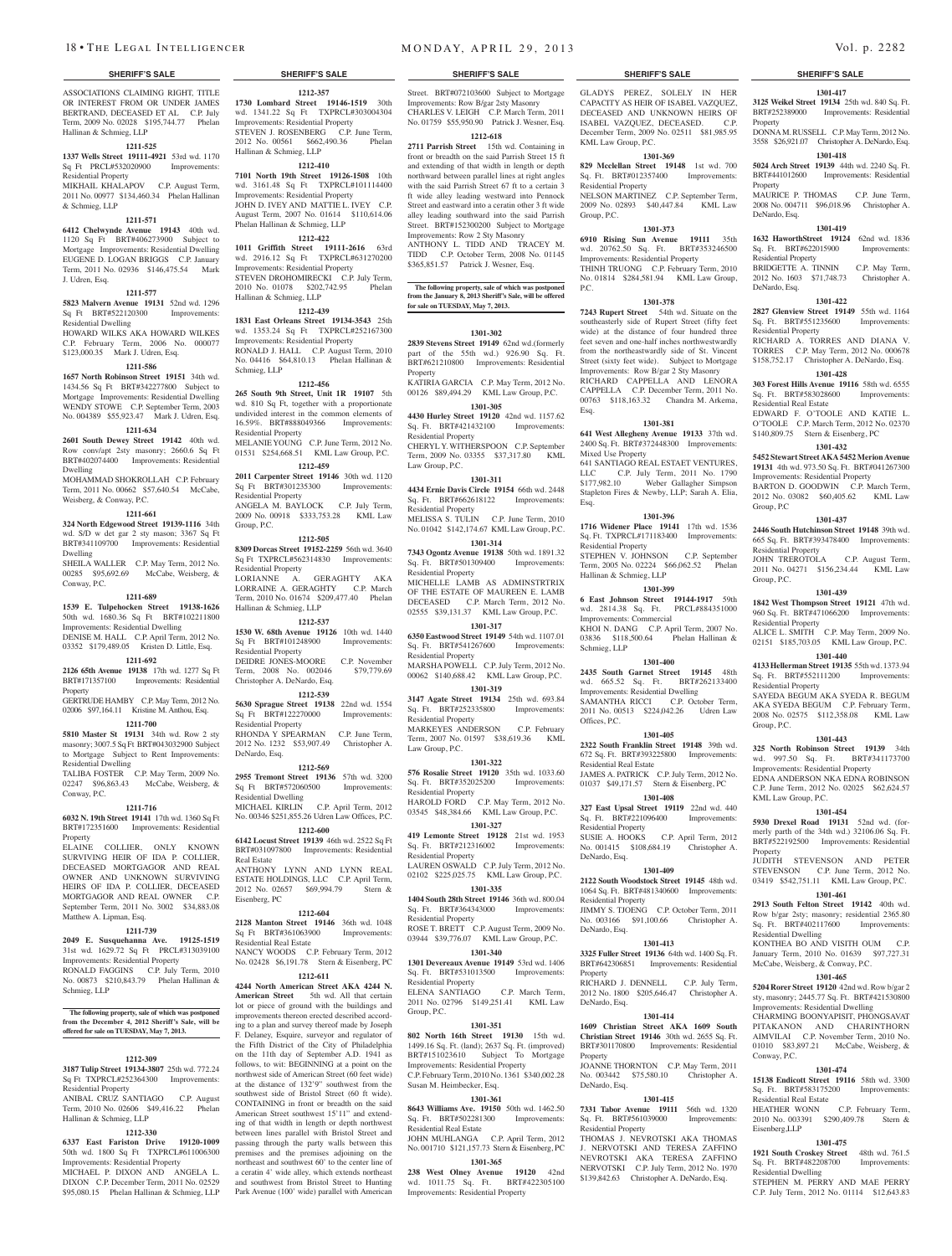ASSOCIATIONS CLAIMING RIGHT, TITLE OR INTEREST FROM OR UNDER JAMES BERTRAND, DECEASED ET AL C.P. July Term, 2009 No. 02028 \$195,744.77 Phelan Hallinan & Schmieg, LLP

### **1211-525**

**1337 Wells Street 19111-4921** 53rd wd. 1170 Sq Ft PRCL#532020900 Improvements: Residential Property

MIKHAIL KHALAPOV C.P. August Term, 2011 No. 00977 \$134,460.34 Phelan Hallinan & Schmieg, LLP

### **1211-571**

**6412 Chelwynde Avenue 19143** 40th wd. 1120 Sq Ft BRT#406273900 Subject to Mortgage Improvements: Residential Dwelling EUGENE D. LOGAN BRIGGS C.P. January Term, 2011 No. 02936 \$146,475.54 Mark J. Udren, Esq.

### **1211-577**

**5823 Malvern Avenue 19131** 52nd wd. 1296 Sq Ft BRT#522120300 Improvements: Residential Dwelling HOWARD WILKS AKA HOWARD WILKES C.P. February Term, 2006 No. 000077 \$123,000.35 Mark J. Udren, Esq.

### **1211-586**

**1657 North Robinson Street 19151** 34th wd. 1434.56 Sq Ft BRT#342277800 Subject to Mortgage Improvements: Residential Dwelling WENDY STOWE C.P. September Term, 2003 No. 004389 \$55,923.47 Mark J. Udren, Esq.

## **1211-634**

**2601 South Dewey Street 19142** 40th wd. Row conv/apt 2sty masonry; 2660.6 Sq Ft BRT#402074400 Improvements: Residential Dwelling

MOHAMMAD SHOKROLLAH C.P. February Term, 2011 No. 00662, \$57,640.54 McCabe Weisberg, & Conway, P.C.

### **1211-661**

**324 North Edgewood Street 19139-1116** 34th wd. S/D w det gar 2 sty mason; 3367 Sq Ft BRT#341109700 Improvements: Residential Dwelling

SHEILA WALLER C.P. May Term, 2012 No. 00285 \$95,692.69 McCabe, Weisberg, & Conway, P.C.

### **1211-689**

**1539 E. Tulpehocken Street 19138-1626**  50th wd. 1680.36 Sq Ft BRT#102211800 Improvements: Residential Dwelling DENISE M. HALL C.P. April Term, 2012 No.

03352 \$179,489.05 Kristen D. Little, Esq. **1211-692**

## **2126 65th Avenue 19138** 17th wd. 1277 Sq Ft

BRT#171357100 Improvements: Residential Property GERTRUDE HAMBY C.P. May Term, 2012 No.

### 02006 \$97,164.11 Kristine M. Anthou, Esq. **1211-700**

**5810 Master St 19131** 34th wd. Row 2 sty masonry; 3007.5 Sq Ft BRT#043032900 Subject to Mortgage Subject to Rent Improvements: Residential Dwelling

TALIBA FOSTER C.P. May Term, 2009 No. 02247 \$96,863.43 McCabe, Weisberg, & Conway, P.C.

### **1211-716**

**6032 N. 19th Street 19141** 17th wd. 1360 Sq Ft BRT#172351600 Improvements: Residential Property

ELAINE COLLIER, ONLY KNOWN SURVIVING HEIR OF IDA P. COLLIER, DECEASED MORTGAGOR AND REAL OWNER AND UNKNOWN SURVIVING HEIRS OF IDA P. COLLIER, DECEASED MORTGAGOR AND REAL OWNER C.P. September Term, 2011 No. 3002 \$34,883.08 Matthew A. Lipman, Esq.

### **1211-739**

**2049 E. Susquehanna Ave. 19125-1519**  31st wd. 1629.72 Sq Ft PRCL#313039100 Improvements: Residential Property RONALD FAGGINS C.P. July Term, 2010 No. 00873 \$210,843.79 Phelan Hallinan & Schmieg, LLP

### **The following property, sale of which was postponed from the December 4, 2012 Sheriff's Sale, will be offered for sale on TUESDAY, May 7, 2013.**

### **1212-309**

**3187 Tulip Street 19134-3807** 25th wd. 772.24 Sq Ft TXPRCL#252364300 Improvements: Residential Property

ANIBAL CRUZ SANTIAGO C.P. August Term, 2010 No. 02606 \$49,416.22 Phelan Hallinan & Schmieg, LLP

## **1212-330**

**6337 East Fariston Drive 19120-1009**  50th wd. 1800 Sq Ft TXPRCL#611006300 Improvements: Residential Property MICHAEL P. DIXON AND ANGELA L. DIXON C.P. December Term, 2011 No. 02529 \$95,080.15 Phelan Hallinan & Schmieg, LLP

# **1212-357**

**1730 Lombard Street 19146-1519** 30th wd. 1341.22 Sq Ft TXPRCL#303004304 Improvements: Residential Property STEVEN J. ROSENBERG C.P. June Term,<br>2012 No. 00561 \$662,490.36 Phelan 2012 No. 00561 \$662,490.36 Hallinan & Schmieg, LLP

## **1212-410**

**7101 North 19th Street 19126-1508** 10th wd. 3161.48 Sq Ft TXPRCL#101114400 Improvements: Residential Property JOHN D. IVEY AND MATTIE L. IVEY C.P. August Term, 2007 No. 01614 \$110,614.06 Phelan Hallinan & Schmieg, LLP

## **1212-422**

**1011 Griffith Street 19111-2616** 63rd wd. 2916.12 Sq Ft TXPRCL#631270200 Improvements: Residential Property STEVEN DROHOMIRECKI C.P. July Term, 2010 No. 01078 \$202,742.95 Phelan Hallinan & Schmieg, L

### **1212-439**

**1831 East Orleans Street 19134-3543** 25th wd. 1353.24 Sq Ft TXPRCL#252167300 Improvements: Residential Property RONALD J. HALL C.P. August Term, 2010 No. 04416 \$64,810.13 Phelan Hallinan & Schmieg, LLP

**1212-456**

### **265 South 9th Street, Unit 1R 19107** 5th wd. 810 Sq Ft, together with a proportionate undivided interest in the common elements of 16.59%. BRT#888049366 Improvements: Residential Property MELANIE YOUNG C.P. June Term, 2012 No. 01531 \$254,668.51 KML Law Group, P.C.

### **1212-459**

**2011 Carpenter Street 19146** 30th wd. 1120 Sq Ft BRT#301235300 Improvements: Residential Property ANGELA M. BAYLOCK C.P. July Term, 2009 No. 00918 \$333,753.28 KML Law Group, P.C.

### **1212-505**

**8309 Dorcas Street 19152-2259** 56th wd. 3640 Sq Ft TXPRCL#562314830 Improvements: Residential Property LORIANNE A. GERAGHTY AKA LORRAINE A. GERAGHTY C.P. March

Term, 2010 No. 01674 \$209,477.40 Phelan Hallinan & Schmieg, LLP **1212-537**

**1530 W. 68th Avenue 19126** 10th wd. 1440 Sq Ft BRT#101248900 Improvements: Residential Property DEIDRE JONES-MOORE C.P. November<br>Term, 2008 No. 002046 \$79,779.69 Term,  $2008$  No.  $002046$ 

Christopher A. DeNardo, Esq. **1212-539 5630 Sprague Street 19138** 22nd wd. 1554

### Sq Ft BRT#122270000 Improvements: Residential Property RHONDA Y SPEARMAN C.P. June Term,

2012 No. 1232 \$53,907.49 Christopher A. DeNardo, Esq.

## **1212-569**

**2955 Tremont Street 19136** 57th wd. 3200 Sq Ft BRT#572060500 Improvements: Residential Dwelling MICHAEL KIRLIN C.P. April Term, 2012 No. 00346 \$251,855.26 Udren Law Offices, P.C.

**1212-600 6142 Locust Street 19139** 46th wd. 2522 Sq Ft BRT#031097800 Improvements: Residential Real Estate

ANTHONY LYNN AND LYNN REAL ESTATE HOLDINGS, LLC C.P. April Term, 2012 No. 02657 \$69,994.79 Stern & Eisenberg, PC

### **1212-604**

**2128 Manton Street 19146** 36th wd. 1048 Sq Ft BRT#361063900 Improvements: Residential Real Estate

NANCY WOODS C.P. February Term, 2012 No. 02428 \$6,191.78 Stern & Eisenberg, PC **1212-611**

**4244 North American Street AKA 4244 N.**  American Street 5th wd. All that certain lot or piece of ground with the buildings and improvements thereon erected described according to a plan and survey thereof made by Joseph F. Delaney, Esquire, surveyor and regulator of the Fifth District of the City of Philadelphia on the 11th day of September A.D. 1941 as follows, to wit: BEGINNING at a point on the northwest side of American Street (60 feet wide) at the distance of 132'9" southwest from the southwest side of Bristol Street (60 ft wide). CONTAINING in front or breadth on the said American Street southwest 15'11" and extending of that width in length or depth northwest between lines parallel with Bristol Street and passing through the party walls between this premises and the premises adjoining on the northeast and southwest 60' to the center line of a ceratin 4' wide alley, which extends northeast and southwest from Bristol Street to Hunting Park Avenue (100' wide) parallel with American

### 18 • THE LEGAL INTELLIGENCER MONDAY, APRIL 29, 2013 Vol. p. 2282

### **SHERIFF'S SALE SHERIFF'S SALE SHERIFF'S SALE SHERIFF'S SALE SHERIFF'S SALE**

Street. BRT#072103600 Subject to Mortgage Improvements: Row B/gar 2sty Masonry CHARLES V. LEIGH C.P. March Term, 2011 No. 01759 \$55,950.90 Patrick J. Wesner, Esq. **1212-618**

**2711 Parrish Street** 15th wd. Containing in front or breadth on the said Parrish Street 15 ft and extending of that width in length or depth northward between parallel lines at right angles with the said Parrish Street 67 ft to a certain 3 ft wide alley leading westward into Pennock Street and eastward into a ceratin other 3 ft wide alley leading southward into the said Parrish Street. BRT#152300200 Subject to Mortgage Improvements: Row 2 Sty Masonry ANTHONY L. TIDD AND TRACEY M. TIDD C.P. October Term, 2008 No. 01145

**The following property, sale of which was postponed from the January 8, 2013 Sheriff's Sale, will be offered for sale on TUESDAY, May 7, 2013.**

\$365,851.57 Patrick J. Wesner, Esq.

### **1301-302**

**2839 Stevens Street 19149** 62nd wd.(formerly part of the 55th wd.) 926.90 Sq. Ft. BRT#621210800 Improvements: Residential Property

KATIRIA GARCIA C.P. May Term, 2012 No. 00126 \$89,494.29 KML Law Group, P.C. **1301-305**

**4430 Hurley Street 19120** 42nd wd. 1157.62 Sq. Ft. BRT#421432100 Improvements: Residential Property

CHERYL Y. WITHERSPOON C.P. September Term, 2009 No. 03355 \$37,317.80 KML Law Group, P.C.

## **1301-311**

**4434 Ernie Davis Circle 19154** 66th wd. 2448 Sq. Ft. BRT#662618122 Improvements: Residential Property

MELISSA S. TULIN C.P. June Term, 2010 No. 01042 \$142,174.67 KML Law Group, P.C. **1301-314**

**7343 Ogontz Avenue 19138** 50th wd. 1891.32 Sq. Ft. BRT#501309400 Improvements: Residential Property MICHELLE LAMB AS ADMINSTRTRIX OF THE ESTATE OF MAUREEN E. LAMB DECEASED C.P. March Term, 2012 No. 02555 \$39,131.37 KML Law Group, P.C.

### **1301-317 6350 Eastwood Street 19149** 54th wd. 1107.01

Sq. Ft. BRT#541267600 Improvements: Residential Property MARSHA POWELL C.P. July Term, 2012 No. 00062 \$140,688.42 KML Law Group, P.C.

**1301-319 3147 Agate Street 19134** 25th wd. 693.84 Sq. Ft. BRT#252335800 Improvements:

Residential Property MARKEYES ANDERSON C.P. February Term, 2007 No. 01597 \$38,619.36 KML Law Group, P.C.

## **1301-322**

**576 Rosalie Street 19120** 35th wd. 1033.60<br>Sq. Ft. BRT#352025200 Improvements: Sq. Ft. BRT#352025200 Residential Property HAROLD FORD C.P. May Term, 2012 No.

03545 \$48,384.66 KML Law Group, P.C. **1301-327**

**419 Lemonte Street 19128** 21st wd. 1953 Sq. Ft. BRT#212316002 Improvements: Residential Property LAUREN OSWALD C.P. July Term, 2012 No.

02102 \$225,025.75 KML Law Group, P.C. **1301-335**

**1404 South 28th Street 19146** 36th wd. 800.04 Sq. Ft. BRT#364343000 Improvements: Residential Property ROSE T. BRETT C.P. August Term, 2009 No.

03944 \$39,776.07 KML Law Group, P.C. **1301-340**

**1301 Devereaux Avenue 19149** 53rd wd. 1406 Sq. Ft. BRT#531013500 Improvements:

Residential Property<br>ELENA SANTIAGO C.P. March Term, 2011 No. 02796 \$149,251.41 KML Law Group, P.C.

### **1301-351**

**802 North 16th Street 19130** 15th wd. 1499.16 Sq. Ft. (land); 2637 Sq. Ft. (improved) BRT#151023610 Subject To Mortgage Improvements: Residential Property C.P. February Term, 2010 No. 1361 \$340,002.28 Susan M. Heimbecker, Esq.

## **1301-361**

**8643 Williams Ave. 19150** 50th wd. 1462.50 Sq. Ft. BRT#502281300 Improvements: Residential Real Estate JOHN MUHLANGA C.P. April Term, 2012 No. 001710 \$121,157.73 Stern & Eisenberg, PC

### **1301-365**

**238 West Olney Avenue 19120** 42nd wd. 1011.75 Sq. Ft. BRT#422305100 Improvements: Residential Property

**1301-417 3125 Weikel Street 19134** 25th wd. 840 Sq. Ft. BRT#252389000 Improvements: Residential

DONNA M. RUSSELL C.P. May Term, 2012 No. 3558 \$26,921.07 Christopher A. DeNardo, Esq. **1301-418 5024 Arch Street 19139** 44th wd. 2240 Sq. Ft. BRT#441012600 Improvements: Residential

MAURICE P. THOMAS C.P. June Term, 2008 No. 004711 \$96,018.96 Christopher A.

**1301-419 1632 HaworthStreet 19124** 62nd wd. 1836

BRIDGETTE A. TINNIN C.P. May Term, 2012 No. 1603 \$71,748.73 Christopher A.

**1301-422 2827 Glenview Street 19149** 55th wd. 1164 Sq. Ft. BRT#551235600 Improvements:

RICHARD A. TORRES AND DIANA V. TORRES C.P. May Term, 2012 No. 000678 \$158,752.17 Christopher A. DeNardo, Esq. **1301-428 303 Forest Hills Avenue 19116** 58th wd. 6555 Sq. Ft. BRT#583028600 Improvements:

EDWARD F. O'TOOLE AND KATIE L. O'TOOLE C.P. March Term, 2012 No. 02370 \$140,809.75 Stern & Eisenberg, PC **1301-432 5452 Stewart Street AKA 5452 Merion Avenue 19131** 4th wd. 973.50 Sq. Ft. BRT#041267300 Improvements: Residential Property BARTON D. GOODWIN C.P. March Term, 2012 No. 03082 \$60,405.62 KML Law

**1301-437 2446 South Hutchinson Street 19148** 39th wd. 665 Sq. Ft. BRT#393478400 Improvements:

JOHN TREROTOLA C.P. August Term, 2011 No. 04271 \$156,234.44 KML Law

**1301-439 1842 West Thompson Street 19121** 47th wd. 960 Sq. Ft. BRT#471066200 Improvements:

ALICE L. SMITH C.P. May Term, 2009 No. 02151 \$185,703.05 KML Law Group, P.C. **1301-440 4133 Hellerman Street 19135** 55th wd. 1373.94 Sq. Ft. BRT#552111200 Improvements:

SAYEDA BEGUM AKA SYEDA R. BEGUM AKA SYEDA BEGUM C.P. February Term, 2008 No. 02575 \$112,358.08 KML Law

**1301-443 325 North Robinson Street 19139** 34th wd. 997.50 Sq. Ft. BRT#341173700 Improvements: Residential Property EDNA ANDERSON NKA EDNA ROBINSON C.P. June Term, 2012 No. 02025 \$62,624.57

**1301-454 5930 Drexel Road 19131** 52nd wd. (formerly parth of the 34th wd.) 32106.06 Sq. Ft. BRT#522192500 Improvements: Residential

JUDITH STEVENSON AND PETER STEVENSON C.P. June Term, 2012 No. 03419 \$542,751.11 KML Law Group, P.C. **1301-461 2913 South Felton Street 19142** 40th wd. Row b/gar 2sty; masonry; residential 2365.80 Sq. Ft. BRT#402117600 Improvements:

KONTHEA BO AND VISITH OUM C.P. January Term, 2010 No. 01639 \$97,727.31 McCabe, Weisberg, & Conway, P.C. **1301-465 5204 Rorer Street 19120** 42nd wd. Row b/gar 2 sty, masonry; 2445.77 Sq. Ft. BRT#421530800 Improvements: Residential Dwelling CHARMING BOONYAPISIT, PHONGSAVAT PITAKANON AND CHARINTHORN AIMVILAI C.P. November Term, 2010 No. 01010 \$83,897.21 McCabe, Weisberg, &

**1301-474 15138 Endicott Street 19116** 58th wd. 3300 Sq. Ft. BRT#583175200 Improvements:

HEATHER WONN C.P. February Term, 2010 No. 003391 \$290,409.78 Stern &

**1301-475 1921 South Croskey Street** 48th wd. 761.5 Sq. Ft. BRT#482208700 Improvements:

STEPHEN M. PERRY AND MAE PERRY C.P. July Term, 2012 No. 01114 \$12,643.83

Property

Property

DeNardo, Esq.

DeNardo, Esq.

Residential Property

Residential Real Estate

Group, P.C

Group, P.C.

Residential Property

Residential Property

Residential Property

KML Law Group, P.C.

Residential Dwelling

Conway, P.C.

Eisenberg,LLP

Residential Real Estate

Residential Dwelling

Group, P.C.

Property

Sq. Ft. BRT#622015900 Residential Property

GLADYS PEREZ, SOLELY IN HER CAPACITY AS HEIR OF ISABEL VAZQUEZ, DECEASED AND UNKNOWN HEIRS OF ISABEL VAZQUEZ, DECEASED. December Term, 2009 No. 02511 \$81,985.95 KML Law Group, P.C.

**1301-369 829 Mcclellan Street 19148** 1st wd. 700 Sq. Ft. BRT#012357400 Improvements:

NELSON MARTINEZ C.P. September Term, 2009 No. 02893 \$40,447.84 KML Law

**1301-373 6910 Rising Sun Avenue 19111** 35th wd. 20762.50 Sq. Ft. BRT#353246500 Improvements: Residential Property THINH TRUONG C.P. February Term, 2010 No. 01814 \$284,581.94 KML Law Group,

**1301-378 7243 Rupert Street** 54th wd. Situate on the southeasterly side of Rupert Street (fifty feet wide) at the distance of four hundred three feet seven and one-half inches northwestwardly from the northeastwardly side of St. Vincent Street (sixty feet wide). Subject to Mortgage Improvements: Row B/gar 2 Sty Masonry RICHARD CAPPELLA AND LENORA CAPPELLA C.P. December Term, 2011 No. 00763 \$118,163.32 Chandra M. Arkema,

**1301-381 641 West Allegheny Avenue 19133** 37th wd. 2400 Sq. Ft. BRT#372448300 Improvements:

641 SANTIAGO REAL ESTAET VENTURES, LLC C.P. July Term, 2011 No. 1790<br>\$177,982.10 Weber Gallagher Simpson

Stapleton Fires & Newby, LLP; Sarah A. Elia,

**1301-396 1716 Widener Place 19141** 17th wd. 1536 Sq. Ft. TXPRCL#171183400 Improvements:

STEPHEN V. JOHNSON C.P. September Term, 2005 No. 02224 \$66,062.52 Phelan

**1301-399 6 East Johnson Street 19144-1917** 59th wd. 2814.38 Sq. Ft. PRCL#884351000

KHOI N. DANG C.P. April Term, 2007 No. 03836 \$118,500.64 Phelan Hallinan &

**1301-400 2435 South Garnet Street 19145** 48th wd. 665.52 Sq. Ft. BRT#262133400 Improvements: Residential Dwelling SAMANTHA RICCI C.P. October Term, 2011 No. 00513 \$224,042.26 Udren Law

**1301-405 2322 South Franklin Street 19148** 39th wd. 672 Sq. Ft. BRT#393225800 Improvements:

JAMES A. PATRICK C.P. July Term, 2012 No. 01037 \$49,171.57 Stern & Eisenberg, PC **1301-408 327 East Upsal Street 19119** 22nd wd. 440

SUSIE A. HOOKS C.P. April Term, 2012 No. 001415 \$108,684.19 Christopher A.

**1301-409 2122 South Woodstock Street 19145** 48th wd. 1064 Sq. Ft. BRT#481340600 Improvements:

JIMMY S. TJOENG C.P. October Term, 2011 No. 003166 \$91,100.66 Christopher A.

**1301-413 3325 Fuller Street 19136** 64th wd. 1400 Sq. Ft. BRT#642306851 Improvements: Residential

RICHARD J. DENNELL C.P. July Term, 2012 No. 1800 \$205,646.47 Christopher A.

**1301-414 1609 Christian Street AKA 1609 South Christian Street 19146** 30th wd. 2655 Sq. Ft.

JOANNE THORNTON C.P. May Term, 2011 No. 003442 \$75,580.10 Christopher A.

**1301-415 7331 Tabor Avenue 19111** 56th wd. 1320 Sq. Ft. BRT#561039000 Improvements:

THOMAS J. NEVROTSKI AKA THOMAS J. NERVOTSKI AND TERESA ZAFFINO NEVROTSKI AKA TERESA ZAFFINO NERVOTSKI C.P. July Term, 2012 No. 1970 \$139,842.63 Christopher A. DeNardo, Esq.

Improvements: Residential

Weber Gallagher Simpson

Residential Property

Group, P.C.

P.C.

Esq.

Esq.

Mixed Use Property

Residential Property

Hallinan & Schmieg, LLP

Improvements: Commercial

Schmieg, LLP

Offices, P.C.

DeNardo, Esq.

DeNardo, Esq.

DeNardo, Esq.

Property

Property

DeNardo, Esq.

Residential Property

Residential Property

Residential Real Estate

Sq. Ft. BRT#221096400 Residential Property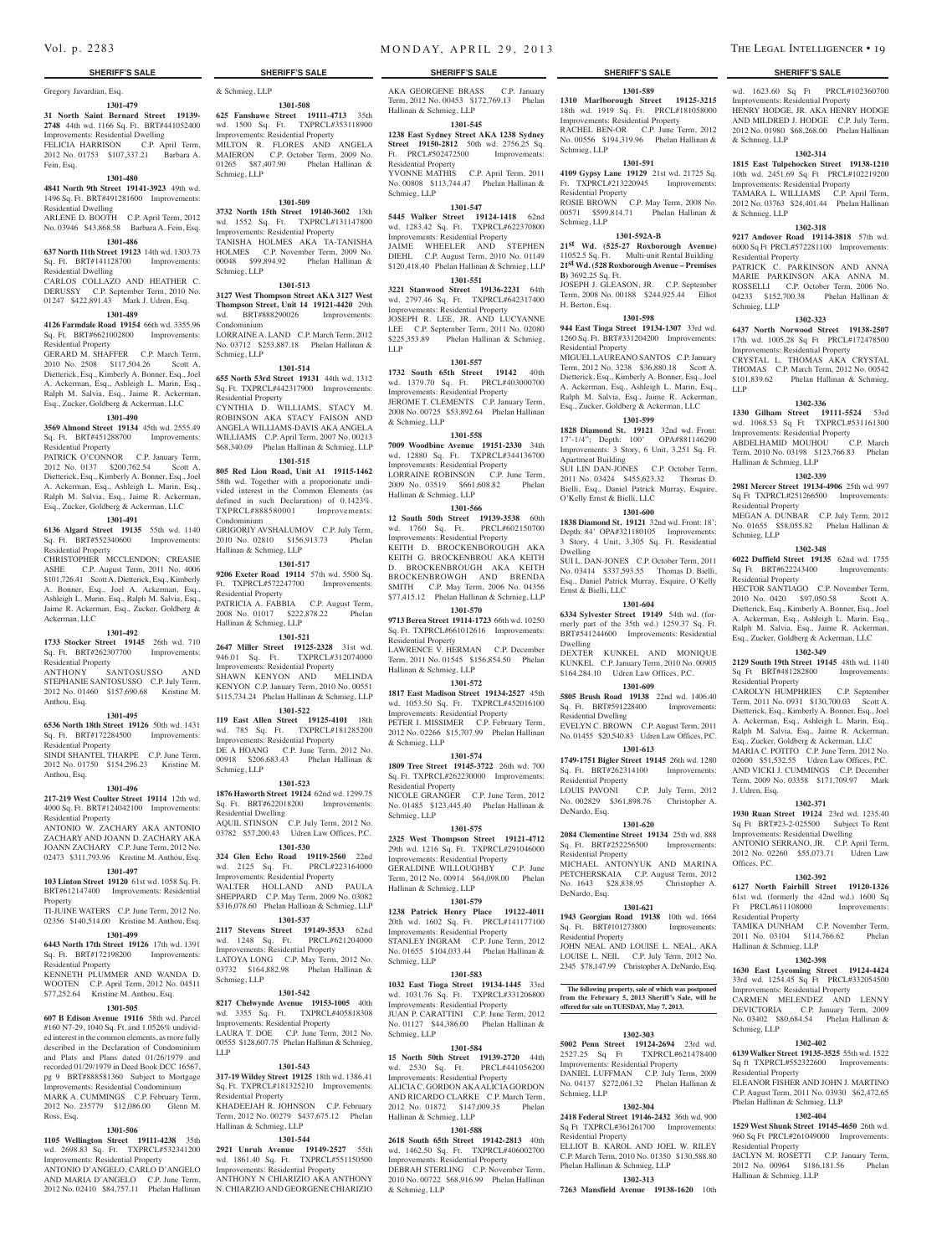## Gregory Javardian, Esq.

## **1301-479**

**31 North Saint Bernard Street 19139- 2748** 44th wd. 1166 Sq. Ft. BRT#441052400 Improvements: Residential Dwelling FELICIA HARRISON C.P. April Term,

2012 No. 01753 \$107,337.21 Barbara A. Fein, Esq. **1301-480**

**4841 North 9th Street 19141-3923** 49th wd. 1496 Sq. Ft. BRT#491281600 Improvements: Residential Dwelling

ARLENE D. BOOTH C.P. April Term, 2012 No. 03946 \$43,868.58 Barbara A. Fein, Esq.

## **1301-486**

**637 North 11th Street 19123** 14th wd. 1303.73 Sq. Ft. BRT#141128700 Improvements: Residential Dwelling

CARLOS COLLAZO AND HEATHER C. DERUSSY C.P. September Term, 2010 No. 01247 \$422,891.43 Mark J. Udren, Esq.

### **1301-489**

**4126 Farmdale Road 19154** 66th wd. 3355.96 Sq. Ft. BRT#6621002800 Improvements: Residential Property

GERARD M. SHAFFER C.P. March Term, 2010 No. 2508 \$117,504.26 Scott A. Dietterick, Esq., Kimberly A. Bonner, Esq., Joel A. Ackerman, Esq., Ashleigh L. Marin, Esq., Ralph M. Salvia, Esq., Jaime R. Ackerman, Esq., Zucker, Goldberg & Ackerman, LLC

### **1301-490**

**3569 Almond Street 19134** 45th wd. 2555.49 Sq. Ft. BRT#451288700 Improvements: Residential Property

PATRICK O'CONNOR C.P. January Term, 2012 No. 0137 \$200,762.54 Scott A. Dietterick, Esq., Kimberly A. Bonner, Esq., Joel A. Ackerman, Esq., Ashleigh L. Marin, Esq., Ralph M. Salvia, Esq., Jaime R. Ackerman, Esq., Zucker, Goldberg & Ackerman, LLC

## **1301-491**

**6136 Algard Street 19135** 55th wd. 1140 Sq. Ft. BRT#552340600 Improvements: Residential Property

CHRISTOPHER MCCLENDON; CREASIE ASHE C.P. August Term, 2011 No. 4006 \$101,726.41 Scott A. Dietterick, Esq., Kimberly A. Bonner, Esq., Joel A. Ackerman, Esq., Ashleigh L. Marin, Esq., Ralph M. Salvia, Esq., Jaime R. Ackerman, Esq., Zucker, Goldberg & Ackerman, LLC

### **1301-492**

**1733 Stocker Street 19145** 26th wd. 710 Sq. Ft. BRT#262307700 Improvements:

Residential Property ANTHONY SANTOSUSSO AND STEPHANIE SANTOSUSSO C.P. July Term, 2012 No. 01460 \$157,690.68 Kristine M. Anthou, Esq.

### **1301-495**

**6536 North 18th Street 19126** 50th wd. 1431 Sq. Ft. BRT#172284500 Improvements:

Residential Property SINDI SHANTEL THARPE C.P. June Term, 2012 No. 01750 \$154,296.23 Kristine M. Anthou, Esq.

## **1301-496**

**217-219 West Coulter Street 19114** 12th wd. 4000 Sq. Ft. BRT#124042100 Improvements: Residential Property

ANTONIO W. ZACHARY AKA ANTONIO ZACHARY AND JOANN D. ZACHARY AKA JOANN ZACHARY C.P. June Term, 2012 No. 02473 \$311,793.96 Kristine M. Anthou, Esq.

### **1301-497**

**103 Linton Street 19120** 61st wd. 1058 Sq. Ft. BRT#612147400 Improvements: Residential Property

TI-JUINE WATERS C.P. June Term, 2012 No. 02356 \$140,514.00 Kristine M. Anthou, Esq.

## **1301-499 6443 North 17th Street 19126** 17th wd. 1391

Sq. Ft. BRT#172198200 Improvements: Residential Property KENNETH PLUMMER AND WANDA D. WOOTEN C.P. April Term, 2012 No. 04511

\$77,252.64 Kristine M. Anthou, Esq. **1301-505**

**607 B Edison Avenue 19116** 58th wd. Parcel #160 N7-29, 1040 Sq. Ft. and 1.0526% undivided interest in the common elements, as more fully described in the Declaration of Condominium and Plats and Plans dated 01/26/1979 and recorded 01/29/1979 in Deed Book DCC 16567, pg 9 BRT#888581360 Subject to Mortgage Improvements: Residential Condominium

MARK A. CUMMINGS C.P. February Term, 2012 No. 235779 \$12,086.00 Glenn M. Ross, Esq.

### **1301-506**

**1105 Wellington Street 19111-4238** 35th wd. 2698.83 Sq. Ft. TXPRCL#532341200 Improvements: Residential Property

ANTONIO D'ANGELO, CARLO D'ANGELO AND MARIA D'ANGELO C.P. June Term, 2012 No. 02410 \$84,757.11 Phelan Hallinan

## **1301-508**

**625 Fanshawe Street 19111-4713** 35th wd. 1500 Sq. Ft. TXPRCL#353118900 Improvements: Residential Property MILTON R. FLORES AND ANGELA MAIERON C.P. October Term, 2009 No. 01265 \$87,407.90 Phelan Hallinan & Schmieg, LLP

### **1301-509**

**3732 North 15th Street 19140-3602** 13th wd. 1552 Sq. Ft. TXPRCL#131147800 Improvements: Residential Property TANISHA HOLMES AKA TA-TANISHA HOLMES C.P. November Term, 2009 No. 00048 \$99,894.92 Phelan Hallinan & Schmieg, LLP

### **1301-513**

**3127 West Thompson Street AKA 3127 West Thompson Street, Unit 14 19121-4420** 29th wd. BRT#888290026 Improvements: Condominium

LORRAINE A. LAND C.P. March Term, 2012 No. 03712 \$253,887.18 Phelan Hallinan & Schmieg, LLP

**1301-514 655 North 53rd Street 19131** 44th wd. 1312

Sq. Ft. TXPRCL#442317900 Improvements: Residential Property CYNTHIA D. WILLIAMS, STACY M.

ROBINSON AKA STACY FAISON AND ANGELA WILLIAMS-DAVIS AKA ANGELA WILLIAMS C.P. April Term, 2007 No. 00213 \$68,340.09 Phelan Hallinan & Schmieg, LLP

## **1301-515**

**805 Red Lion Road, Unit A1 19115-1462**  58th wd. Together with a proporionate undivided interest in the Common Elements (as defined in such Declaration) of 0.1423%. TXPRCL#888580001 Improvements: Condominium

GRIGORIY AVSHALUMOV C.P. July Term, 2010 No. 02810 \$156,913.73 Phelan Hallinan & Schmieg, LLP

## **1301-517**

**9206 Exeter Road 19114** 57th wd. 5500 Sq. Ft. TXPRCL#572247700 Improvements: Residential Property PATRICIA A. FABBIA C.P. August Term, 2008 No. 01017 \$222,878.22 Phelan Hallinan & Schmieg, LLP

### **1301-521**

**2647 Miller Street 19125-2328** 31st wd. 946.01 Sq. Ft. TXPRCL#312074000 Improvements: Residential Property SHAWN KENYON AND MELINDA KENYON C.P. January Term, 2010 No. 00551 \$115,734.24 Phelan Hallinan & Schmieg, LLP

## **1301-522**

**119 East Allen Street 19125-4101** 18th wd. 785 Sq. Ft. TXPRCL#181285200 Improvements: Residential Property DE A HOANG C.P. June Term, 2012 No. 00918 \$206,683.43 Phelan Hallinan & Schmieg, LLP

### **1301-523**

**1876 Haworth Street 19124** 62nd wd. 1299.75 Sq. Ft. BRT#622018200 Improvements: Residential Dwelling AQUIL STINSON C.P. July Term, 2012 No. 03782 \$57,200.43 Udren Law Offices, P.C.

**1301-530 324 Glen Echo Road 19119-2560** 22nd wd. 2125 Sq. Ft. PRCL#223164000

Improvements: Residential Property WALTER HOLLAND AND PAULA SHEPPARD C.P. May Term, 2009 No. 03082 \$316,078.60 Phelan Hallinan & Schmieg, LLP

### **1301-537**

**2117 Stevens Street 19149-3533** 62nd wd. 1248 Sq. Ft. Improvements: Residential Property LATOYA LONG C.P. May Term, 2012 No. 03732 \$164,882.98 Phelan Hallinan & Schmieg, LLP

## **1301-542**

**8217 Chelwynde Avenue 19153-1005** 40th wd. 3355 Sq. Ft. TXPRCL#405818308 Improvements: Residential Property LAURA T. DOE C.P. June Term, 2012 No. 00555 \$128,607.75 Phelan Hallinan & Schmieg,

### **1301-543**

LLP

**317-19 Wildey Street 19125** 18th wd. 1386.41 Sq. Ft. TXPRCL#181325210 Improvements: Residential Property KHADEEJAH R. JOHNSON C.P. February Term, 2012 No. 00279 \$437,675.12 Phelan

### Hallinan & Schmieg, LLP **1301-544**

**2921 Unruh Avenue 19149-2527** 55th wd. 1861.40 Sq. Ft. TXPRCL#551150500 Improvements: Residential Property

ANTHONY N CHIARIZIO AKA ANTHONY N. CHIARZIO AND GEORGENE CHIARIZIO

### **SHERIFF'S SALE SHERIFF'S SALE SHERIFF'S SALE SHERIFF'S SALE SHERIFF'S SALE**

**1301-589 1310 Marlborough Street 19125-3215**  18th wd. 1919 Sq. Ft. PRCL#181058000 Improvements: Residential Property RACHEL BEN-OR C.P. June Term, 2012 No. 00556 \$194,319.96 Phelan Hallinan &

wd. 1623.60 Sq Ft PRCL#102360700 Improvements: Residential Property HENRY HODGE, JR. AKA HENRY HODGE AND MILDRED J. HODGE C.P. July Term, 2012 No. 01980 \$68,268.00 Phelan Hallinan

**1302-314 1815 East Tulpehocken Street 19138-1210**  10th wd. 2451.69 Sq Ft PRCL#102219200 Improvements: Residential Property TAMARA L. WILLIAMS C.P. April Term, 2012 No. 03763 \$24,401.44 Phelan Hallinan

**1302-318 9217 Andover Road 19114-3818** 57th wd. 6000 Sq Ft PRCL#572281100 Improvements:

PATRICK C. PARKINSON AND A MARIE PARKINSON AKA ANNA M. ROSSELLI C.P. October Term, 2006 No. 04233 \$152,700.38 Phelan Hallinan &

**1302-323 6437 North Norwood Street 19138-2507**  17th wd. 1005.28 Sq Ft PRCL#172478500 Improvements: Residential Property CRYSTAL L. THOMAS AKA CRYSTAL THOMAS C.P. March Term, 2012 No. 00542 \$101,839.62 Phelan Hallinan & Schmieg,

**1302-336 1330 Gilham Street 19111-5524** 53rd wd. 1068.53 Sq Ft TXPRCL#531161300 Improvements: Residential Property<br>ABDELHAMID MOUHOU C.P. March

Term, 2010 No. 03198 \$123,766.83 Phelan

**1302-339 2981 Mercer Street 19134-4906** 25th wd. 997 Sq Ft TXPRCL#251266500 Improvements:

MEGAN A. DUNBAR C.P. July Term, 2012 No. 01655 \$58,055.82 Phelan Hallinan &

**1302-348 6022 Duffield Street 19135** 62nd wd. 1755 Sq Ft BRT#622243400 Improvements:

HECTOR SANTIAGO C.P. November Term, 2010 No. 0420 \$97,050.58 Scott A. Dietterick, Esq., Kimberly A. Bonner, Esq., Joel A. Ackerman, Esq., Ashleigh L. Marin, Esq., Ralph M. Salvia, Esq., Jaime R. Ackerman, Esq., Zucker, Goldberg & Ackerman, LLC **1302-349 2129 South 19th Street 19145** 48th wd. 1140 Sq Ft BRT#481282800 Improvements:

CAROLYN HUMPHRIES C.P. September Term, 2011 No. 0931 \$130,700.03 Scott A. Dietterick, Esq., Kimberly A. Bonner, Esq., Joel A. Ackerman, Esq., Ashleigh L. Marin, Esq., Ralph M. Salvia, Esq., Jaime R. Ackerman, Esq., Zucker, Goldberg & Ackerman, LLC MARIA C. POTITO C.P. June Term, 2012 No. 02600 \$51,532.55 Udren Law Offices, P.C. AND VICKI J. CUMMINGS C.P. December Term, 2009 No. 03358 \$171,709.97 Mark

**1302-371 1930 Ruan Street 19124** 23rd wd. 1235.40 Sq Ft BRT#23-2-025500 Subject To Rent Improvements: Residential Dwelling ANTONIO SERRANO, JR. C.P. April Term, 2012 No. 02260 \$55,073.71 Udren Law

**1302-392 6127 North Fairhill Street 19120-1326**  61st wd. (formerly the 42nd wd.) 1600 Sq Ft PRCL#611108000 Improvements:

TAMIKA DUNHAM C.P. November Term, 2011 No. 03104 \$114,766.62 Phelan

**1302-398 1630 East Lycoming Street 19124-4424**  33rd wd. 1254.45 Sq Ft PRCL#332054500 Improvements: Residential Property CARMEN MELENDEZ AND LENNY DEVICTORIA C.P. January Term, 2009 No. 03402 \$80,684.54 Phelan Hallinan &

**1302-402 6139 Walker Street 19135-3525** 55th wd. 1522 Sq ft TXPRCL#552322600 Improvements:

ELEANOR FISHER AND JOHN J. MARTINO C.P. August Term, 2011 No. 03930 \$62,472.65

**1302-404 1529 West Shunk Street 19145-4650** 26th wd. 960 Sq Ft PRCL#261049000 Improvements:

JACLYN M. ROSETTI C.P. January Term, 2012 No. 00964 \$186,181.56 Phelan

Phelan Hallinan & Schmieg, LLP

ABDELHAMID MOUHOU

Hallinan & Schmieg, LLP

Residential Property

Residential Property

Residential Property

J. Udren, Esq.

Offices, P.C.

Residential Property

Hallinan & Schmieg, L

Schmieg, LLP

Residential Property

Residential Property

Hallinan & Schmieg, LLP

Schmieg, L

& Schmieg, LLP

& Schmieg, LLP

Residential Property

Schmieg, LLP

LLP

**1301-591 4109 Gypsy Lane 19129** 21st wd. 21725 Sq. Ft. TXPRCL#213220945 Improvements:

ROSIE BROWN C.P. May Term, 2008 No. 00571 \$599,814.71 Phelan Hallinan &

**1301-592A-B 21st Wd. (525-27 Roxborough Avenue)** 11052.5 Sq. Ft. Multi-unit Rental Building **21st Wd. (528 Roxborough Avenue – Premises** 

JOSEPH J. GLEASON, JR. C.P. September Term, 2008 No. 00188 \$244,925.44 Elliot

**1301-598 944 East Tioga Street 19134-1307** 33rd wd. 1260 Sq. Ft. BRT#331204200 Improvements:

MIGUEL LAUREANO SANTOS C.P. January Term, 2012 No. 3238 \$36,880.18 Scott A. Dietterick, Esq., Kimberly A. Bonner, Esq., Joel A. Ackerman, Esq., Ashleigh L. Marin, Esq., Ralph M. Salvia, Esq., Jaime R. Ackerman, Esq., Zucker, Goldberg & Ackerman, LLC **1301-599 1828 Diamond St. 19121** 32nd wd. Front: 17'-1/4"; Depth: 100' OPA#881146290 Improvements: 3 Story, 6 Unit, 3,251 Sq. Ft.

SUI LIN DAN-JONES C.P. October Term, 2011 No. 03424 \$455,623.32 Thomas D. Bielli, Esq., Daniel Patrick Murray, Esquire,

**1301-600 1838 Diamond St. 19121** 32nd wd. Front: 18'; Depth: 84' OPA#321180105 Improvements: 3 Story, 4 Unit, 3,305 Sq. Ft. Residential

SUI L. DAN-JONES C.P. October Term, 2011 No. 03414 \$337,593.55 Thomas D. Bielli, Esq., Daniel Patrick Murray, Esquire, O'Kelly

**1301-604 6334 Sylvester Street 19149** 54th wd. (formerly part of the 35th wd.) 1259.37 Sq. Ft. BRT#541244600 Improvements: Residential

DEXTER KUNKEL AND MONIQUE KUNKEL C.P. January Term, 2010 No. 00905 \$164,284.10 Udren Law Offices, P.C. **1301-609 5805 Brush Road 19138** 22nd wd. 1406.40 Sq. Ft. BRT#591228400 Improvements:

EVELYN C. BROWN C.P. August Term, 2011 No. 01455 \$20,540.83 Udren Law Offices, P.C. **1301-613 1749-1751 Bigler Street 19145** 26th wd. 1280 Sq. Ft. BRT#262314100 Improvements:

LOUIS PAVONI C.P. July Term, 2012 No. 002829 \$361,898.76 Christopher A.

**1301-620 2084 Clementine Street 19134** 25th wd. 888 Sq. Ft. BRT#252256500 Improvements:

MICHAEL ANTONYUK AND MARINA PETCHERSKAIA C.P. August Term, 2012 No. 1643 \$28,838.95 Christopher A.

**1301-621 1943 Georgian Road 19138** 10th wd. 1664 Sq. Ft. BRT#101273800 Improvements:

JOHN NEAL AND LOUISE L. NEAL, AKA LOUISE L. NEIL C.P. July Term, 2012 No. 2345 \$78,147.99 Christopher A. DeNardo, Esq.

**The following property, sale of which was postponed from the February 5, 2013 Sheriff's Sale, will be offered for sale on TUESDAY, May 7, 2013.**

**1302-303 5002 Penn Street 19124-2694** 23rd wd.

**1302-304 2418 Federal Street 19146-2432** 36th wd. 900 Sq Ft TXPRCL#361261700 Improvements:

ELLIOT B. KAROL AND JOEL W. RILEY C.P. March Term, 2010 No. 01350 \$130,588.80

**1302-313 7263 Mansfield Avenue 19138-1620** 10th

Improvements: Residential Property DANIEL LUFFMAN C.P. July Term, 2009 No. 04137 \$272,061.32 Phelan Hallinan &

Phelan Hallinan & Schmieg, LLP

2527.25 Sq Ft TXPRCL#621478400

Schmieg, LLP

Residential Property

Schmieg, LLP

**B)** 3692.25 Sq. Ft.

H. Berton, Esq.

Residential Property

Apartment Building

Dwelling

Dwelling

Ernst & Bielli, LLC

Residential Dwelling

Residential Property

Residential Property

DeNardo, Esq.

DeNardo, Esq.

Residential Property

Schmieg, LLP

Residential Property

O'Kelly Ernst & Bielli, LLC

AKA GEORGENE BRASS C.P. January Term, 2012 No. 00453 \$172,769.13 Phelan Hallinan & Schmieg, LLP

## **1301-545**

**1238 East Sydney Street AKA 1238 Sydney Street 19150-2812** 50th wd. 2756.25 Sq. Ft. PRCL#502472500 Improvements:

Residential Property YVONNE MATHIS C.P. April Term, 2011 No. 00808 \$113,744.47 Phelan Hallinan & Schmieg, LLP

### **1301-547**

**5445 Walker Street 19124-1418** 62nd wd. 1283.42 Sq. Ft. TXPRCL#622370800 Improvements: Residential Property JAIME WHEELER AND STEPHEN DIEHL C.P. August Term, 2010 No. 01149 \$120,418.40 Phelan Hallinan & Schmieg, LLP **1301-551**

**3221 Stanwood Street 19136-2231** 64th wd. 2797.46 Sq. Ft. TXPRCL#642317400 Improvements: Residential Property JOSEPH R. LEE, JR. AND LUCYANNE LEE C.P. September Term, 2011 No. 02080 \$225,353.89 Phelan Hallinan & Schmieg, LLP

### **1301-557**

**1732 South 65th Street 19142** 40th wd. 1379.70 Sq. Ft. PRCL#403000700 Improvements: Residential Property JEROME T. CLEMENTS C.P. January Term, 2008 No. 00725 \$53,892.64 Phelan Hallinan & Schmieg, LLP

### **1301-558**

**7009 Woodbine Avenue 19151-2330** 34th wd. 12880 Sq. Ft. TXPRCL#344136700 Improvements: Residential Property LORRAINE ROBINSON C.P. June Term, 2009 No. 03519 \$661,608.82 Phelan Hallinan & Schmieg, LLP

## **1301-566**

**12 South 50th Street 19139-3538** 60th wd. 1760 Sq. Ft. PRCL#602150700 Improvements: Residential Property KEITH D. BROCKENBOROUGH AKA KEITH G. BROCKENBROU AKA KEITH D. BROCKENBROUGH AKA KEITH BROCKENBROWGH AND BRENDA SMITH C.P. May Term, 2006 No. 04356 \$77,415.12 Phelan Hallinan & Schmieg, LLP

**1301-570 9713 Berea Street 19114-1723** 66th wd. 10250 Sq. Ft. TXPRCL#661012616 Improvements: Residential Property

LAWRENCE V. HERMAN C.P. December Term, 2011 No. 01545 \$156,854.50 Phelan Hallinan & Schmieg, LLP

### **1301-572**

**1817 East Madison Street 19134-2527** 45th wd. 1053.50 Sq. Ft. TXPRCL#452016100 Improvements: Residential Property PETER I. MISSIMER C.P. February Term, 2012 No. 02266 \$15,707.99 Phelan Hallinan & Schmieg, LLP

### **1301-574**

**1809 Tree Street 19145-3722** 26th wd. 700 Sq. Ft. TXPRCL#262230000 Improvements: Residential Property NICOLE GRANGER C.P. June Term, 2012 No. 01485 \$123,445.40 Phelan Hallinan &

Schmieg, LLP **1301-575**

### **2325 West Thompson Street 19121-4712**

29th wd. 1216 Sq. Ft. TXPRCL#291046000 Improvements: Residential Property<br>GERALDINE WILLOUGHBY C.P. June GERALDINE WILLOUGHBY Term, 2012 No. 00914 \$64,098.00 Phelan Hallinan & Schmieg, LLP

**1301-579 1238 Patrick Henry Place 19122-4011**  20th wd. 1602 Sq. Ft. PRCL#141177100 Improvements: Residential Property STANLEY INGRAM C.P. June Term, 2012 No. 01655 \$104,033.44 Phelan Hallinan &

**1301-583 1032 East Tioga Street 19134-1445** 33rd wd. 1031.76 Sq. Ft. TXPRCL#331206800 Improvements: Residential Property JUAN P. CARATTINI C.P. June Term, 2012 No. 01127 \$44,386.00 Phelan Hallinan &

**1301-584 15 North 50th Street 19139-2720** 44th<br>wd. 2530 Sq. Ft. PRCL#441056200

**1301-588 2618 South 65th Street 19142-2813** 40th wd. 1462.50 Sq. Ft. TXPRCL#406002700 Improvements: Residential Property DEBRAH STERLING C.P. November Term, 2010 No. 00722 \$68,916.99 Phelan Hallinan

Schmieg, LLP

Schmieg, LLP

wd. 2530 Sq. Ft. Improvements: Residential Property ALICIA C. GORDON AKA ALICIA GORDON AND RICARDO CLARKE C.P. March Term,<br>2012 No. 01872 \$147.009.35 Phelan 2012 No. 01872 \$147,009.35 Hallinan & Schmieg, LLP

& Schmieg, LLP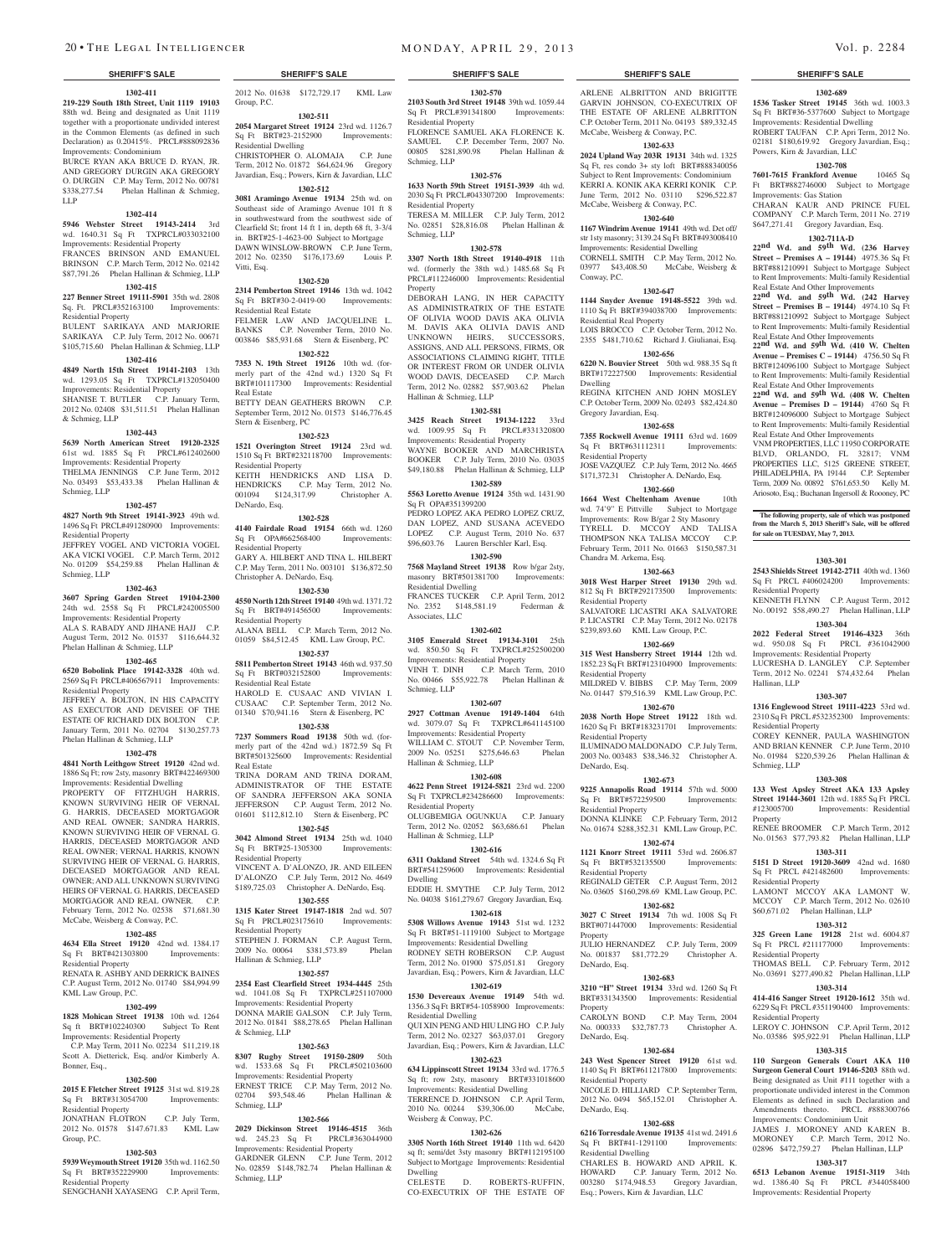### **SHERIFF'S SALE SHERIFF'S SALE SHERIFF'S SALE SHERIFF'S SALE SHERIFF'S SALE**

**1302-411 219-229 South 18th Street, Unit 1119 19103**  88th wd. Being and designated as Unit 1119 together with a proportionate undivided interest in the Common Elements (as defined in such Declaration) as 0.20415%. PRCL#888092836 Improvements: Condominium

BURCE RYAN AKA BRUCE D. RYAN, JR. AND GREGORY DURGIN AKA GREGORY O. DURGIN C.P. May Term, 2012 No. 00781 \$338,277.54 Phelan Hallinan & Schmieg, LLP

### **1302-414**

**5946 Webster Street 19143-2414** 3rd wd. 1640.31 Sq Ft TXPRCL#033032100 Improvements: Residential Property

FRANCES BRINSON AND EMANUEL BRINSON C.P. March Term, 2012 No. 02142 \$87,791.26 Phelan Hallinan & Schmieg, LLP

## **1302-415**

**227 Benner Street 19111-5901** 35th wd. 2808 Sq. Ft. PRCL#352163100 Improvements: Residential Property

BULENT SARIKAYA AND MARJORIE SARIKAYA C.P. July Term, 2012 No. 00671 \$105,715.60 Phelan Hallinan & Schmieg, LLP

### **1302-416**

**4849 North 15th Street 19141-2103** 13th

wd. 1293.05 Sq Ft TXPRCL#132050400 Improvements: Residential Property SHANISE T. BUTLER C.P. January Term, 2012 No. 02408 \$31,511.51 Phelan Hallinan & Schmieg, LLP

### **1302-443**

**5639 North American Street 19120-2325**  61st wd. 1885 Sq Ft PRCL#612402600 Improvements: Residential Property THELMA JENNINGS C.P. June Term, 2012 No. 03493 \$53,433.38 Phelan Hallinan & Schmieg, LLP

### **1302-457**

**4827 North 9th Street 19141-3923** 49th wd. 1496 Sq Ft PRCL#491280900 Improvements: Residential Property JEFFREY VOGEL AND VICTORIA VOGEL

AKA VICKI VOGEL C.P. March Term, 2012 No. 01209 \$54,259.88 Phelan Hallinan & Schmieg, LLP

### **1302-463**

**3607 Spring Garden Street 19104-2300**  24th wd. 2558 Sq Ft PRCL#242005500 Improvements: Residential Property ALA S. RABADY AND JIHANE HAJJ C.P. August Term, 2012 No. 01537 \$116,644.32

### Phelan Hallinan & Schmieg, L **1302-465**

**6520 Bobolink Place 19142-3328** 40th wd. 2569 Sq Ft PRCL#406567911 Improvements: Residential Property

JEFFREY A. BOLTON, IN HIS CAPACITY AS EXECUTOR AND DEVISEE OF THE ESTATE OF RICHARD DIX BOLTON C.P. January Term, 2011 No. 02704 \$130,257.73 Phelan Hallinan & Schmieg, LLP

### **1302-478**

**4841 North Leithgow Street 19120** 42nd wd. 1886 Sq Ft; row 2sty, masonry BRT#422469300 Improvements: Residential Dwelling PROPERTY OF FITZHUGH HARRIS, KNOWN SURVIVING HEIR OF VERNAL G. HARRIS, DECEASED MORTGAGOR AND REAL OWNER; SANDRA HARRIS, KNOWN SURVIVING HEIR OF VERNAL G. HARRIS, DECEASED MORTGAGOR AND REAL OWNER; VERNAL HARRIS, KNOWN SURVIVING HEIR OF VERNAL G. HARRIS, DECEASED MORTGAGOR AND REAL OWNER; AND ALL UNKNOWN SURVIVING HEIRS OF VERNAL G. HARRIS, DECEASED MORTGAGOR AND REAL OWNER. C.P. February Term, 2012 No. 02538 \$71,681.30 McCabe, Weisberg & Conway, P.C.

### **1302-485**

**4634 Ella Street 19120** 42nd wd. 1384.17 Sq Ft BRT#421303800 Improvements: Residential Property

RENATA R. ASHBY AND DERRICK BAINES C.P. August Term, 2012 No. 01740 \$84,994.99 KML Law Group, P.C.

### **1302-499**

Bonner, Esq.,

**1828 Mohican Street 19138** 10th wd. 1264 Sq ft BRT#102240300 Subject To Rent Improvements: Residential Property C.P. May Term, 2011 No. 02234 \$11,219.18 Scott A. Dietterick, Esq. and/or Kimberly A.

### **1302-500**

**2015 E Fletcher Street 19125** 31st wd. 819.28 Sq Ft BRT#313054700 esidential Property JONATHAN FLOTRON C.P. July Term,

## 2012 No. 01578 \$147.671.83 KML Law Group, P.C.

### **1302-503**

**5939 Weymouth Street 19120** 35th wd. 1162.50 Sq Ft BRT#352229900 Improvements: Residential Property

SENGCHANH XAYASENG C.P. April Term,

**2054 Margaret Street 19124** 23rd wd. 1126.7 Sq Ft BRT#23-2152900 Improvements: Residential Dwelling

CHRISTOPHER O. ALOMAJA C.P. June Term, 2012 No. 01872 \$64,624.96 Gregory Javardian, Esq.; Powers, Kirn & Javardian, LLC **1302-512**

## **3081 Aramingo Avenue 19134** 25th wd. on Southeast side of Aramingo Avenue 101 ft 8 in southwestward from the southwest side of

Clearfield St; front 14 ft 1 in, depth 68 ft, 3-3/4 in. BRT#25-1-4623-00 Subject to Mortgage DAWN WINSLOW-BROWN C.P. June Term, 2012 No. 02350 \$176,173.69 Louis P. Vitti, Esq.

### **1302-520**

**2314 Pemberton Street 19146** 13th wd. 1042 Sq Ft BRT#30-2-0419-00 Improvements: Residential Real Estate FELMER LAW AND JACQUELINE L.

BANKS C.P. November Term, 2010 No. 003846 \$85,931.68 Stern & Eisenberg, PC **1302-522**

**7353 N. 19th Street 19126** 10th wd. (formerly part of the 42nd wd.) 1320 Sq Ft BRT#101117300 Improvements: Residential Real Estate BETTY DEAN GEATHERS BROWN C.P. September Term, 2012 No. 01573 \$146,776.45 Stern & Eisenberg, PC

**1302-523 1521 Overington Street 19124** 23rd wd. 1510 Sq Ft BRT#232118700 Improvements: Residential Property KEITH HENDRICKS AND LISA D. HENDRICKS C.P. May Term, 2012 No.<br>001094 \$124,317.99 Christopher A. 001094 \$124,317.99 DeNardo, Esq.

### **1302-528**

**4140 Fairdale Road 19154** 66th wd. 1260 Sq Ft OPA#662568400 Residential Property GARY A. HILBERT AND TINA L. HILBERT C.P. May Term, 2011 No. 003101 \$136,872.50 Christopher A. DeNardo, Esq.

**1302-530 4550 North 12th Street 19140** 49th wd. 1371.72 Sq Ft BRT#491456500 Improvements: Residential Property ALANA BELL C.P. March Term, 2012 No. 01059 \$84,512.45 KML Law Group, P.C.

**5811 Pemberton Street 19143** 46th wd. 937.50<br>
Sq Ft BRT#032152800 Improvements: Sq Ft BRT#032152800 Residential Real Estate HAROLD E. CUSAAC AND VIVIAN I. CUSAAC C.P. September Term, 2012 No. 01340 \$70,941.16 Stern & Eisenberg, PC

**1302-537**

### **1302-538**

**7237 Sommers Road 19138** 50th wd. (formerly part of the 42nd wd.) 1872.59 Sq Ft BRT#501325600 Improvements: Residential Real Estate

TRINA DORAM AND TRINA DORAM, ADMINISTRATOR OF THE ESTATE OF SANDRA JEFFERSON AKA SONIA JEFFERSON C.P. August Term, 2012 No. 01601 \$112,812.10 Stern & Eisenberg, PC **1302-545**

**3042 Almond Street 19134** 25th wd. 1040 Sq Ft BRT#25-1305300 Residential Property

VINCENT A. D'ALONZO, JR. AND EILEEN D'ALONZO C.P. July Term, 2012 No. 4649 \$189,725.03 Christopher A. DeNardo, Esq. **1302-555**

## **1315 Kater Street 19147-1818** 2nd wd. 507

Sq Ft PRCL#023175610 Improvements: Residential Property STEPHEN J. FORMAN C.P. August Term, 2009 No. 00064 \$381,573.89 Phelan

### Hallinan & Schmieg, LLP **1302-557**

**2354 East Clearfield Street 1934-4445** 25th wd. 1041.08 Sq Ft TXPRCL#251107000 Improvements: Residential Property DONNA MARIE GALSON C.P. July Term, 2012 No. 01841 \$88,278.65 Phelan Hallinan & Schmieg, LLP

### **1302-563**

**8307 Rugby Street 19150-2809** 50th wd. 1533.68 Sq Ft PRCL#502103600 Improvements: Residential Property ERNEST TRICE C.P. May Term, 2012 No. 02704 \$93,548.46 Phelan Hallinan & Schmieg, LLP

### **1302-566**

**2029 Dickinson Street 19146-4515** 36th wd. 245.23 Sq Ft PRCL#363044900 Improvements: Residential Property GARDNER GLENN C.P. June Term, 2012 No. 02859 \$148,782.74 Phelan Hallinan & Schmieg, LLP

CELESTE D. ROBERTS-RUFFIN, CO-EXECUTRIX OF THE ESTATE OF

**1302-626 3305 North 16th Street 19140** 11th wd. 6420 sq ft; semi/det 3sty masonry BRT#112195100 Subject to Mortgage Improvements: Residential

**1302-570 2103 South 3rd Street 19148** 39th wd. 1059.44 Sq Ft PRCL#391341800 Improvements:

FLORENCE SAMUEL AKA FLORENCE K. SAMUEL C.P. December Term, 2007 No. 00805 \$281,890.98 Phelan Hallinan &

**1302-576 1633 North 59th Street 19151-3939** 4th wd. 2030 Sq Ft PRCL#043307200 Improvements:

TERESA M. MILLER C.P. July Term, 2012 No. 02851 \$28,816.08 Phelan Hallinan &

**1302-578 3307 North 18th Street 19140-4918** 11th wd. (formerly the 38th wd.) 1485.68 Sq Ft PRCL#112246000 Improvements: Residential

DEBORAH LANG, IN HER CAPACITY AS ADMINISTRATRIX OF THE ESTATE OF OLIVIA WOOD DAVIS AKA OLIVIA M. DAVIS AKA OLIVIA DAVIS AND UNKNOWN HEIRS, SUCCESSORS, ASSIGNS, AND ALL PERSONS, FIRMS, OR ASSOCIATIONS CLAIMING RIGHT, TITLE OR INTEREST FROM OR UNDER OLIVIA WOOD DAVIS, DECEASED C.P. March Term, 2012 No. 02882 \$57,903.62 Phelan

**1302-581 3425 Reach Street 19134-1222** 33rd wd. 1009.95 Sq Ft PRCL#331320800 Improvements: Residential Property WAYNE BOOKER AND MARCHRISTA BOOKER C.P. July Term, 2010 No. 03035 \$49,180.88 Phelan Hallinan & Schmieg, LLP **1302-589 5563 Loretto Avenue 19124** 35th wd. 1431.90

PEDRO LOPEZ AKA PEDRO LOPEZ CRUZ, DAN LOPEZ, AND SUSANA ACEVEDO LOPEZ C.P. August Term, 2010 No. 637 \$96,603.76 Lauren Berschler Karl, Esq. **1302-590 7568 Mayland Street 19138** Row b/gar 2sty, masonry BRT#501381700 Improvements:

FRANCES TUCKER C.P. April Term, 2012 No. 2352 \$148,581.19 Federman &

**1302-602 3105 Emerald Street 19134-3101** 25th wd. 850.50 Sq Ft TXPRCL#252500200 Improvements: Residential Property VINH T. DINH C.P. March Term, 2010 No. 00466 \$55,922.78 Phelan Hallinan &

**1302-607 2927 Cottman Avenue 19149-1404** 64th wd. 3079.07 Sq Ft TXPRCL#641145100 Improvements: Residential Property WILLIAM C. STOUT C.P. November Term, 2009 No. 05251 \$275,646.63 Phelan

**1302-608 4622 Penn Street 19124-5821** 23rd wd. 2200 Sq Ft TXPRCL#234286600 Improvements:

OLUGBEMIGA OGUNKUA C.P. January Term, 2012 No. 02052 \$63,686.61 Phelan

**1302-616 6311 Oakland Street** 54th wd. 1324.6 Sq Ft BRT#541259600 Improvements: Residential

EDDIE H. SMYTHE C.P. July Term, 2012 No. 04038 \$161,279.67 Gregory Javardian, Esq. **1302-618 5308 Willows Avenue 19143** 51st wd. 1232 Sq Ft BRT#51-1119100 Subject to Mortgage Improvements: Residential Dwelling RODNEY SETH ROBERSON C.P. August Term, 2012 No. 01900 \$75,051.81 Gregory Javardian, Esq.; Powers, Kirn & Javardian, LLC **1302-619 1530 Devereaux Avenue 19149** 54th wd. 1356.3 Sq Ft BRT#54-1058900 Improvements:

QUI XIN PENG AND HIU LING HO C.P. July Term, 2012 No. 02327 \$63,037.01 Gregory Javardian, Esq.; Powers, Kirn & Javardian, LLC **1302-623 634 Lippinscott Street 19134** 33rd wd. 1776.5 Sq ft; row 2sty, masonry BRT#331018600 Improvements: Residential Dwelling TERRENCE D. JOHNSON C.P. April Term, 2010 No. 00244 \$39,306.00 McCabe,

Residential Property

Residential Property

Hallinan & Schmieg, LLP

Sq Ft OPA#351399200

Residential Dwelling

Associates, LLC

Schmieg, LLP

Hallinan & Schmieg, LLP

Hallinan & Schmieg, LLP

Residential Property

Residential Dwelling

Weisberg & Conway, P.C.

Dwelling

Dwelling

Schmieg, LLP

Property

Schmieg, LLP

ARLENE ALBRITTON AND BRIGITTE GARVIN JOHNSON, CO-EXECUTRIX OF THE ESTATE OF ARLENE ALBRITTON C.P. October Term, 2011 No. 04193 \$89,332.45 McCabe, Weisberg & Conway, P.C.

**1302-689 1536 Tasker Street 19145** 36th wd. 1003.3 Sq Ft BRT#36-5377600 Subject to Mortgage Improvements: Residential Dwelling ROBERT TAUFAN C.P. Apri Term, 2012 No. 02181 \$180,619.92 Gregory Javardian, Esq.;

**1302-708 7601-7615 Frankford Avenue** 10465 Sq Ft BRT#882746000 Subject to Mortgage

CHARAN KAUR AND PRINCE FUEL COMPANY C.P. March Term, 2011 No. 2719 \$647,271.41 Gregory Javardian, Esq. **1302-711A-D 22nd Wd. and 59th Wd. (236 Harvey Street – Premises A – 19144)** 4975.36 Sq Ft BRT#881210991 Subject to Mortgage Subject to Rent Improvements: Multi-family Residential Real Estate And Other Improvements **22nd Wd. and 59th Wd. (242 Harvey Street – Premises B – 19144)** 4974.10 Sq Ft BRT#881210992 Subject to Mortgage Subject to Rent Improvements: Multi-family Residential Real Estate And Other Improvements **22nd Wd. and 59th Wd. (410 W. Chelten Avenue – Premises C – 19144)** 4756.50 Sq Ft BRT#124096100 Subject to Mortgage Subject to Rent Improvements: Multi-family Residential Real Estate And Other Improvements **22nd Wd. and 59th Wd. (408 W. Chelten Avenue – Premises D – 19144)** 4760 Sq Ft BRT#124096000 Subject to Mortgage Subject to Rent Improvements: Multi-family Residential Real Estate And Other Improvements VNM PROPERTIES, LLC 11950 CORPORATE BLVD, ORLANDO, FL 32817; VNM PROPERTIES LLC, 5125 GREENE STREET, PHILADELPHIA, PA 19144 C.P. September Term, 2009 No. 00892 \$761,653.50 Kelly M. Ariosoto, Esq.; Buchanan Ingersoll & Roooney, PC

**The following property, sale of which was postponed from the March 5, 2013 Sheriff's Sale, will be offered** 

**1303-301 2543 Shields Street 19142-2711** 40th wd. 1360 Sq Ft PRCL #406024200 Improvements:

KENNETH FLYNN C.P. August Term, 2012 No. 00192 \$58,490.27 Phelan Hallinan, LLP **1303-304 2022 Federal Street 19146-4323** 36th wd. 950.08 Sq Ft PRCL #361042900 Improvements: Residential Property LUCRESHA D. LANGLEY C.P. September Term, 2012 No. 02241 \$74,432.64 Phelan

**1303-307 1316 Englewood Street 19111-4223** 53rd wd. 2310 Sq Ft PRCL #532352300 Improvements:

COREY KENNER, PAULA WASHINGTON AND BRIAN KENNER C.P. June Term, 2010 No. 01984 \$220,539.26 Phelan Hallinan &

**1303-308 133 West Apsley Street AKA 133 Apsley Street 19144-3601** 12th wd. 1885 Sq Ft PRCL<br>#123005700 **Improvements:** Residential

RENEE BROOMER C.P. March Term, 2012 No. 01563 \$77,793.82 Phelan Hallinan, LLP **1303-311 5151 D Street 19120-3609** 42nd wd. 1680 Sq Ft PRCL #421482600 Improvements:

LAMONT MCCOY AKA LAMONT W. MCCOY C.P. March Term, 2012 No. 02610 \$60,671.02 Phelan Hallinan, LLP **1303-312 325 Green Lane 19128** 21st wd. 6004.87 Sq Ft PRCL #211177000 Improvements:

THOMAS BELL C.P. February Term, 2012 No. 03691 \$277,490.82 Phelan Hallinan, LLP **1303-314 414-416 Sanger Street 19120-1612** 35th wd. 6229 Sq Ft PRCL #351190400 Improvements:

LEROY C. JOHNSON C.P. April Term, 2012 No. 03586 \$95,922.91 Phelan Hallinan, LLP **1303-315 110 Surgeon Generals Court AKA 110 Surgeon General Court 19146-5203** 88th wd. Being designated as Unit #111 together with a proportionate undivided interest in the Common Elements as defined in such Declaration and Amendments thereto. PRCL #888300766 Improvements: Condominium Unit JAMES J. MORONEY AND KAREN B. MORONEY C.P. March Term, 2012 No. 02896 \$472,759.27 Phelan Hallinan, LLP **1303-317 6513 Lebanon Avenue 19151-3119** 34th wd. 1386.40 Sq Ft PRCL #344058400 Improvements: Residential Property

Improvements: Residential

**for sale on TUESDAY, May 7, 2013.**

Residential Property

Hallinan, LLP

Residential Property

Residential Property

Residential Property

Residential Property

Schmieg, LLP

Property

Powers, Kirn & Javardian, LLC

Improvements: Gas Station

## **1302-633**

**2024 Upland Way 203R 19131** 34th wd. 1325 Sq Ft, res condo 3+ sty loft BRT#888340056 Subject to Rent Improvements: Condominium KERRI A. KONIK AKA KERRI KONIK C.P. June Term, 2012 No. 03110 \$296,522.87 McCabe, Weisberg & Conway, P.C.

## **1302-640**

**1167 Windrim Avenue 19141** 49th wd. Det off/ str 1sty masonry; 3139.24 Sq Ft BRT#493008410 Improvements: Residential Dwelling CORNELL SMITH C.P. May Term, 2012 No. 03977 \$43,408.50 McCabe, Weisberg & Conway, P.C.

### **1302-647**

**1144 Snyder Avenue 19148-5522** 39th wd. 1110 Sq Ft BRT#394038700 Improvements: Residential Real Property LOIS BROCCO C.P. October Term, 2012 No. 2355 \$481,710.62 Richard J. Giulianai, Esq.

## **1302-656**

**6220 N. Bouvier Street** 50th wd. 988.35 Sq ft BRT#172227500 Improvements: Residential Dwelling

REGINA KITCHEN AND JOHN MOSLEY C.P. October Term, 2009 No. 02493 \$82,424.80 Gregory Javardian, Esq.

### **1302-658**

**7355 Rockwell Avenue 19111** 63rd wd. 1609 Sq Ft BRT#631112311 Improvements: Residential Property JOSE VAZQUEZ C.P. July Term, 2012 No. 4665 \$171,372.31 Christopher A. DeNardo, Esq.

## **1302-660**

**1664 West Cheltenham Avenue** 10th wd. 74'9" E Pittville Subject to Mortgage Improvements: Row B/gar 2 Sty Masonry TYRELL D. MCCOY AND TALISA THOMPSON NKA TALISA MCCOY C.P. February Term, 2011 No. 01663 \$150,587.31 Chandra M. Arkema, Esq.

### **1302-663 3018 West Harper Street 19130** 29th wd.

812 Sq Ft BRT#292173500 Improvements: Residential Property SALVATORE LICASTRI AKA SALVATORE

P. LICASTRI C.P. May Term, 2012 No. 02178 \$239,893.60 KML Law Group, P.C. **1302-669**

### **315 West Hansberry Street 19144** 12th wd. 1852.23 Sq Ft BRT#123104900 Improvements: Residential Property MILDRED V. BIBBS C.P. May Term, 2009

No. 01447 \$79,516.39 KML Law Group, P.C. **1302-670 2038 North Hope Street 19122** 18th wd. 1620 Sq Ft BRT#183231701 Improvements:

Residential Property ILUMINADO MALDONADO C.P. July Term, 2003 No. 003483 \$38,346.32 Christopher A. DeNardo, Esq.

### **1302-673 9225 Annapolis Road 19114** 57th wd. 5000

Sq Ft BRT#572259500 Improvements: Residential Property DONNA KLINKE C.P. February Term, 2012 No. 01674 \$288,352.31 KML Law Group, P.C.

## **1302-674**

**1121 Knorr Street 19111** 53rd wd. 2606.87 Sq Ft BRT#532135500 Improvements: Residential Property REGINALD GETER C.P. August Term, 2012 No. 03605 \$160,298.69 KML Law Group, P.C.

## **1302-682**

**3027 C Street 19134** 7th wd. 1008 Sq Ft BRT#071447000 Improvements: Residential Property JULIO HERNANDEZ C.P. July Term, 2009

## No. 001837 \$81,772.29 Christopher A. DeNardo, Esq.

### **1302-683 3210 "H" Street 19134** 33rd wd. 1260 Sq Ft

BRT#331343500 Improvements: Residential Property

## CAROLYN BOND C.P. May Term, 2004 No. 000333 \$32,787.73 Christopher A. DeNardo, Esq.

## **1302-684**

**243 West Spencer Street 19120** 61st wd. 1140 Sq Ft BRT#611217800 Improvements: Residential Property NICOLE D. HILLIARD C.P. September Term, 2012 No. 0494 \$65,152.01 Christopher A. DeNardo, Esq.

CHARLES B. HOWARD AND APRIL K. HOWARD C.P. January Term, 2012 No. 003280 \$174,948.53 Gregory Javardian, Esq.; Powers, Kirn & Javardian, LLC

## **1302-688 6216 Torresdale Avenue 19135** 41st wd. 2491.6<br> **Sq** Ft BRT#41-1291100 Improvements:

Sq Ft BRT#41-1291100 Residential Dwelling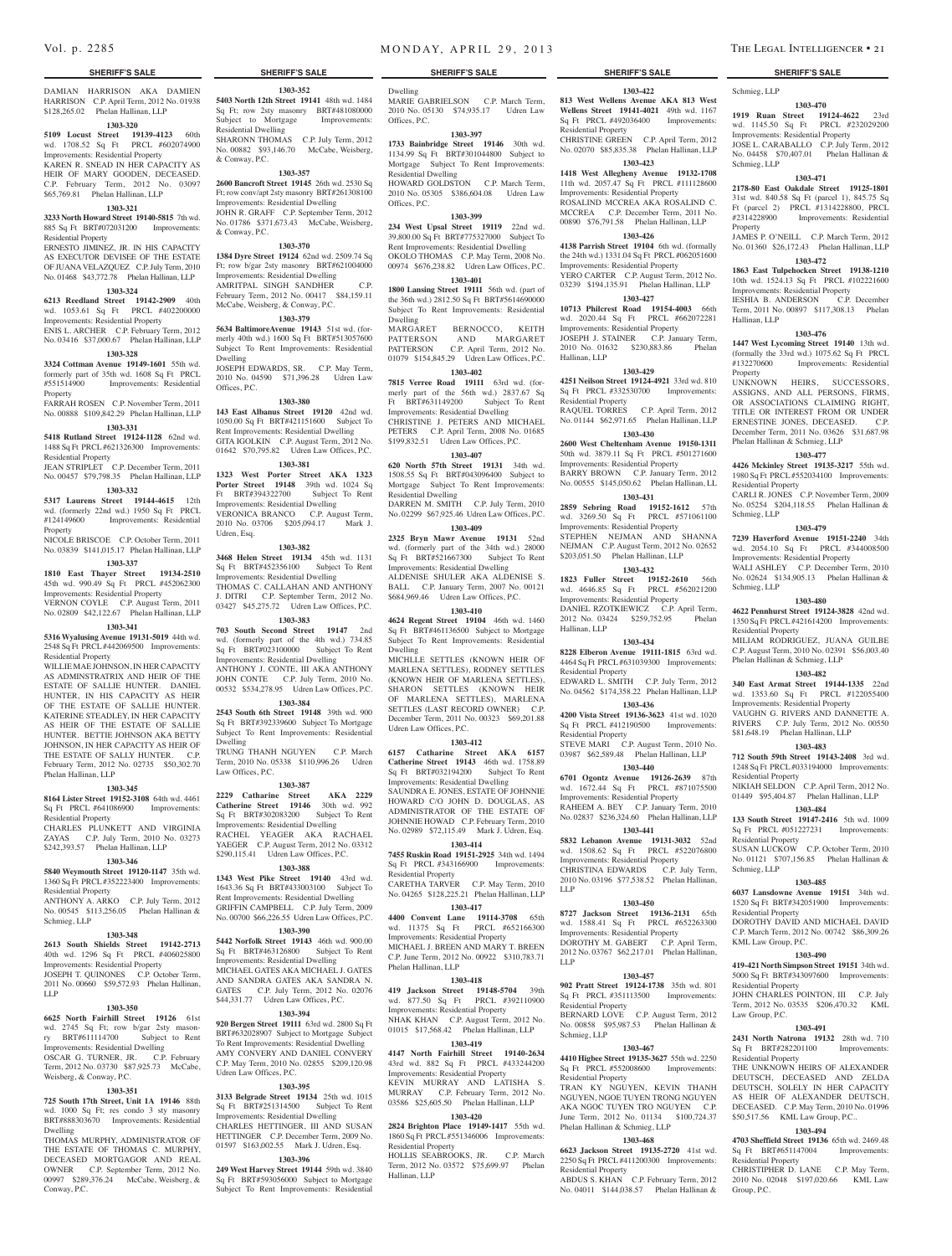# DAMIAN HARRISON AKA DAMIEN

HARRISON C.P. April Term, 2012 No. 01938 \$128,265.02 Phelan Hallinan, LLP **1303-320**

# **5109 Locust Street 19139-4123** 60th

wd. 1708.52 Sq Ft PRCL #602074900 Improvements: Residential Property KAREN R. SNEAD IN HER CAPACITY AS HEIR OF MARY GOODEN, DECEASED. C.P. February Term, 2012 No. 03097 \$65,769.81 Phelan Hallinan, LLP

## **1303-321**

**3233 North Howard Street 19140-5815** 7th wd. 885 Sq Ft BRT#072031200 Improvements: Residential Property

ERNESTO JIMINEZ, JR. IN HIS CAPACITY AS EXECUTOR DEVISEE OF THE ESTATE OF JUANA VELAZQUEZ C.P. July Term, 2010 No. 01468 \$43,772.78 Phelan Hallinan, LLP

### **1303-324**

**6213 Reedland Street 19142-2909** 40th wd. 1053.61 Sq Ft PRCL #402200000 Improvements: Residential Property

ENIS L. ARCHER C.P. February Term, 2012 No. 03416 \$37,000.67 Phelan Hallinan, LLP

## **1303-328**

**3324 Cottman Avenue 19149-1601** 55th wd. formerly part of 35th wd. 1608 Sq Ft PRCL<br>#551514900 Improvements: Residential Improvements: Residential

Property FARRAH ROSEN C.P. November Term, 2011 No. 00888 \$109,842.29 Phelan Hallinan, LLP

## **1303-331**

**5418 Rutland Street 19124-1128** 62nd wd. 1488 Sq Ft PRCL #621326300 Improvements: Residential Property

**1303-332**

## JEAN STRIPLET C.P. December Term, 2011

No. 00457 \$79,798.35 Phelan Hallinan, LLP **1323 West Porter Street AKA 1323**  Ft BRT#394322700

**5317 Laurens Street 19144-4615** 12th wd. (formerly 22nd wd.) 1950 Sq Ft PRCL<br>#124149600 Improvements: Residential Improvements: Residential Property

NICOLE BRISCOE C.P. October Term, 2011 No. 03839 \$141,015.17 Phelan Hallinan, LLP

## **1303-337**

**1810 East Thayer Street 19134-2510**  45th wd. 990.49 Sq Ft PRCL #452062300 Improvements: Residential Property

VERNON COYLE C.P. August Term, 2011 No. 02809 \$42,122.67 Phelan Hallinan, LLP

## **1303-341**

**5316 Wyalusing Avenue 19131-5019** 44th wd. 2548 Sq Ft PRCL #442069500 Improvements: Residential Property

WILLIE MAE JOHNSON, IN HER CAPACITY AS ADMINSTRATRIX AND HEIR OF THE ESTATE OF SALLIE HUNTER. DANIEL HUNTER, IN HIS CAPACITY AS HEIR OF THE ESTATE OF SALLIE HUNTER. KATERINE STEADLEY, IN HER CAPACITY AS HEIR OF THE ESTATE OF SALLIE HUNTER. BETTIE JOHNSON AKA BETTY JOHNSON, IN HER CAPACITY AS HEIR OF THE ESTATE OF SALLY HUNTER. C.P. February Term, 2012 No. 02735 \$50,302.70 Phelan Hallinan, LLP

### **1303-345**

**8164 Lister Street 19152-3108** 64th wd. 4461 Sq Ft PRCL #641086900 Improvements: Residential Property CHARLES PLUNKETT AND VIRGINIA

## ZAYAS C.P. July Term, 2010 No. 03273 \$242,393.57 Phelan Hallinan, LLP

## **1303-346**

**5840 Weymouth Street 19120-1147** 35th wd. 1360 Sq Ft PRCL #352223400 Improvements: Residential Property

ANTHONY A. ARKO C.P. July Term, 2012 No. 00545 \$113,256.05 Phelan Hallinan & Schmieg, LLP

## **1303-348**

**2613 South Shields Street 19142-2713**  40th wd. 1296 Sq Ft PRCL #406025800 Improvements: Residential Property JOSEPH T. QUINONES C.P. October Term, 2011 No. 00660 \$59,572.93 Phelan Hallinan, LLP

## **1303-350**

**6625 North Fairhill Street 19126** 61st wd. 2745 Sq Ft; row b/gar 2sty masonry BRT#611114700 Subject to Rent Improvements: Residential Dwelling OSCAR G. TURNER, JR. C.P. February Term, 2012 No. 03730 \$87,925.73 McCabe, Weisberg, & Conway, P.C.

## **1303-351**

**725 South 17th Street, Unit 1A 19146** 88th wd. 1000 Sq Ft; res condo 3 sty masonry BRT#888303670 Improvements: Residential Dwelling

THOMAS MURPHY, ADMINISTRATOR OF THE ESTATE OF THOMAS C. MURPHY DECEASED MORTGAGOR AND REAL OWNER C.P. September Term, 2012 No. 00997 \$289,376.24 McCabe, Weisberg, & Conway, P.C.

**1303-352 5403 North 12th Street 19141** 48th wd. 1484 Sq Ft; row 2sty masonry BRT#481080000 Subject to Mortgage Improvements: Residential Dwelling SHARONN THOMAS C.P. July Term, 2012 No. 00882 \$93,146.70 McCabe, Weisberg,

& Conway, P.C. **1303-357 2600 Bancroft Street 19145** 26th wd. 2530 Sq Ft; row conv/apt 2sty masonry BRT#261308100

Improvements: Residential Dwelling JOHN R. GRAFF C.P. September Term, 2012 No. 01786 \$371,673.43 McCabe, Weisberg, & Conway, P.C.

## **1303-370**

**1384 Dyre Street 19124** 62nd wd. 2509.74 Sq Ft; row b/gar 2sty masonry BRT#621004000 Improvements: Residential Dwelling AMRITPAL SINGH SANDHER C.P. February Term, 2012 No. 00417 \$84,159.11 McCabe, Weisberg, & Conway, P.C.

## **1303-379**

**5634 BaltimoreAvenue 19143** 51st wd. (formerly 40th wd.) 1600 Sq Ft BRT#513057600 Subject To Rent Improvements: Residential Dwelling

JOSEPH EDWARDS, SR. C.P. May Term, 2010 No. 04590 \$71,396.28 Udren Law Offices, P.C.

## **1303-380**

**143 East Albanus Street 19120** 42nd wd. 1050.00 Sq Ft BRT#421151600 Subject To Rent Improvements: Residential Dwelling GITA IGOLKIN C.P. August Term, 2012 No. 01642 \$70,795.82 Udren Law Offices, P.C.

## **1303-381**

**Porter Street 19148** 39th wd. 1024 Sq<br>Ft BRT#394322700 Subject To Rent Improvements: Residential Dwelling

VERONICA BRANCO C.P. August Term, 2010 No. 03706 \$205,094.17 Mark J.

### Udren, Esq. **1303-382**

**3468 Helen Street 19134** 45th wd. 1131 Sq Ft BRT#452356100 Subject To Rent Improvements: Residential Dwelling THOMAS C. CALLAHAN AND ANTHONY J. DITRI C.P. September Term, 2012 No. 03427 \$45,275.72 Udren Law Offices, P.C.

### **1303-383**

**703 South Second Street 19147** 2nd wd. (formerly part of the 4th wd.) 734.85 Sq Ft BRT#023100000 Subject To Rent Improvements: Residential Dwelling ANTHONY J. CONTE, III AKA ANTHONY

JOHN CONTE C.P. July Term, 2010 No. 00532 \$534,278.95 Udren Law Offices, P.C.

## **1303-384**

**2543 South 6th Street 19148** 39th wd. 900 Sq Ft BRT#392339600 Subject To Mortgage Subject To Rent Improvements: Residential Dwelling TRUNG THANH NGUYEN C.P. March

Term, 2010 No. 05338 \$110,996.26 Udren Law Offices, P.C. **1303-387**

**2229 Catharine Street AKA 2229 Catherine Street 19146** 30th wd. 992 Sq Ft BRT#302083200 Subject To Rent Improvements: Residential Dwelling RACHEL YEAGER AKA RACHAEL YAEGER C.P. August Term, 2012 No. 03312 \$290,115.41 Udren Law Offices, P.C.

### **1303-388**

**1343 West Pike Street 19140** 43rd wd. 1643.36 Sq Ft BRT#433003100 Subject To Rent Improvements: Residential Dwelling GRIFFIN CAMPBELL C.P. July Term, 2009 No. 00700 \$66,226.55 Udren Law Offices, P.C. **1303-390**

**5442 Norfolk Street 19143** 46th wd. 900.00 Sq Ft BRT#463126800 Subject To Rent Improvements: Residential Dwelling MICHAEL GATES AKA MICHAEL J. GATES AND SANDRA GATES AKA SANDRA N. GATES C.P. July Term, 2012 No. 02076 \$44,331.77 Udren Law Offices, P.C.

## **1303-394**

**920 Bergen Street 19111** 63rd wd. 2800 Sq Ft BRT#632028907 Subject to Mortgage Subject To Rent Improvements: Residential Dwelling AMY CONVERY AND DANIEL CONVERY C.P. May Term, 2010 No. 02855 \$209,120.98 Udren Law Offices, P.C.

### **1303-395**

**3133 Belgrade Street 19134** 25th wd. 1015 Sq Ft BRT#251314500 Subject To Rent Improvements: Residential Dwelling CHARLES HETTINGER, III AND SUSAN HETTINGER C.P. December Term, 2009 No. 01597 \$163,002.55 Mark J. Udren, Esq.

### **1303-396**

**249 West Harvey Street 19144** 59th wd. 3840 Sq Ft BRT#593056000 Subject to Mortgage Subject To Rent Improvements: Residential

**SHERIFF'S SALE SHERIFF'S SALE SHERIFF'S SALE SHERIFF'S SALE SHERIFF'S SALE**

**1303-422 813 West Wellens Avenue AKA 813 West Wellens Street 19141-4021** 49th wd. 1167 Sq Ft PRCL #492036400 Improvements: Schmieg, LLP

Schmieg, LLP

Property

Hallinan, LLP

Property

**1303-470 1919 Ruan Street 19124-4622** 23rd wd. 1145.50 Sq Ft PRCL #232029200 Improvements: Residential Property JOSE L. CARABALLO C.P. July Term, 2012 No. 04458 \$70,407.01 Phelan Hallinan &

**1303-471 2178-80 East Oakdale Street 19125-1801**  31st wd. 840.58 Sq Ft (parcel 1), 845.75 Sq Ft (parcel 2) PRCL #1314228800, PRCL #2314228900 Improvements: Residential

JAMES P. O'NEILL C.P. March Term, 2012 No. 01360 \$26,172.43 Phelan Hallinan, LLP **1303-472 1863 East Tulpehocken Street 19138-1210**  10th wd. 1524.13 Sq Ft PRCL #102221600 Improvements: Residential Property IESHIA B. ANDERSON C.P. December Term, 2011 No. 00897 \$117,308.13 Phelan

**1303-476 1447 West Lycoming Street 19140** 13th wd. (formally the 33rd wd.) 1075.62 Sq Ft PRCL #132270600 Improvements: Residential

UNKNOWN HEIRS, SUCCESSORS, ASSIGNS, AND ALL PERSONS, FIRMS, OR ASSOCIATIONS CLAIMING RIGHT, TITLE OR INTEREST FROM OR UNDER ERNESTINE JONES, DECEASED. December Term, 2011 No. 03626 \$31,687.98

**1303-477 4426 Mckinley Street 19135-3217** 55th wd. 1980 Sq Ft PRCL #552034100 Improvements:

CARLI R. JONES C.P. November Term, 2009 No. 05254 \$204,118.55 Phelan Hallinan &

**1303-479 7239 Haverford Avenue 19151-2240** 34th wd. 2054.10 Sq Ft PRCL #344008500 Improvements: Residential Property WALI ASHLEY C.P. December Term, 2010 No. 02624 \$134,905.13 Phelan Hallinan &

**1303-480 4622 Pennhurst Street 19124-3828** 42nd wd. 1350 Sq Ft PRCL #421614200 Improvements:

MILIAM RODRIGUEZ, JUANA GUILBE C.P. August Term, 2010 No. 02391 \$56,003.40

**1303-482 340 East Armat Street 19144-1335** 22nd wd. 1353.60 Sq Ft PRCL #122055400 Improvements: Residential Property VAUGHN G. RIVERS AND DANNETTE A. RIVERS C.P. July Term, 2012 No. 00550 \$81,648.19 Phelan Hallinan, LLP **1303-483 712 South 59th Street 19143-2408** 3rd wd. 1248 Sq Ft PRCL #033194000 Improvements:

NIKIAH SELDON C.P. April Term, 2012 No. 01449 \$95,404.87 Phelan Hallinan, LLP **1303-484 133 South Street 19147-2416** 5th wd. 1009 Sq Ft PRCL #051227231 Improvements:

SUSAN LUCKOW C.P. October Term, 2010 No. 01121 \$707,156.85 Phelan Hallinan &

**1303-485 6037 Lansdowne Avenue 19151** 34th wd. 1520 Sq Ft BRT#342051900 Improvements:

DOROTHY DAVID AND MICHAEL DAVID C.P. March Term, 2012 No. 00742 \$86,309.26

**1303-490 419-421 North Simpson Street 19151** 34th wd. 5000 Sq Ft BRT#343097600 Improvements:

JOHN CHARLES POINTON, III C.P. July Term, 2012 No. 03535 \$206,470.32 KML

**1303-491 2431 North Natrona 19132** 28th wd. 710 Sq Ft BRT#282201100 Improvements:

THE UNKNOWN HEIRS OF ALEXANDER DEUTSCH, DECEASED AND ZELDA DEUTSCH, SOLELY IN HER CAPACITY AS HEIR OF ALEXANDER DEUTSCH. DECEASED. C.P. May Term, 2010 No. 01996 \$50,517.56 KML Law Group, P.C.. **1303-494 4703 Sheffield Street 19136** 65th wd. 2469.48

CHRISTIPHER D. LANE C.P. May Term, 2010 No. 02048 \$197,020.66 KML Law

Phelan Hallinan & Schmieg, LLP

Residential Property

Schmieg, LLP

Schmieg, LLP

Residential Property

Residential Property

Residential Property

Residential Property

KML Law Group, P.C.

Residential Property

Law Group, P.C.

Residential Property

Sq Ft BRT#651147004 Residential Property

Group, P.C.

Schmieg, LLP

Phelan Hallinan & Schmieg, LLP

CHRISTINE GREEN C.P. April Term, 2012 No. 02070 \$85,835.38 Phelan Hallinan, LLP **1303-423 1418 West Allegheny Avenue 19132-1708**  11th wd. 2057.47 Sq Ft PRCL #111128600 Improvements: Residential Property ROSALIND MCCREA AKA ROSALIND C. MCCREA C.P. December Term, 2011 No. 00890 \$76,791.58 Phelan Hallinan, LLP **1303-426 4138 Parrish Street 19104** 6th wd. (formally the 24th wd.) 1331.04 Sq Ft PRCL #062051600 Improvements: Residential Property YERO CARTER C.P. August Term, 2012 No. 03239 \$194,135.91 Phelan Hallinan, LLP **1303-427 10713 Philcrest Road 19154-4003** 66th wd. 2020.44 Sq Ft PRCL #662072281 Improvements: Residential Property JOSEPH J. STAINER C.P. January Term,<br>2010 No. 01632 \$230,883.86 Phelan 2010 No. 01632 \$230,883.86

**1303-429 4251 Neilson Street 19124-4921** 33rd wd. 810 Sq Ft PRCL #332530700 Improvements:

RAQUEL TORRES C.P. April Term, 2012 No. 01144 \$62,971.65 Phelan Hallinan, LLP **1303-430 2600 West Cheltenham Avenue 19150-1311**  50th wd. 3879.11 Sq Ft PRCL #501271600 Improvements: Residential Property BARRY BROWN C.P. January Term, 2012 No. 00555 \$145,050.62 Phelan Hallinan, LL **1303-431 2859 Sebring Road 19152-1612** 57th wd. 3269.50 Sq Ft PRCL #571061100 Improvements: Residential Property STEPHEN NEJMAN AND SHANNA NEJMAN C.P. August Term, 2012 No. 02652 \$203,051.50 Phelan Hallinan, LLP **1303-432 1823 Fuller Street 19152-2610** 56th wd. 4646.85 Sq Ft PRCL #562021200 Improvements: Residential Property DANIEL RZOTKIEWICZ C.P. April Term, 2012 No. 03424 \$259,752.95 Phelan

**1303-434 8228 Elberon Avenue 19111-1815** 63rd wd. 4464 Sq Ft PRCL #631039300 Improvements:

EDWARD L. SMITH C.P. July Term, 2012 No. 04562 \$174,358.22 Phelan Hallinan, LLP **1303-436 4200 Vista Street 19136-3623** 41st wd. 1020 Sq Ft PRCL #412190500 Improvements:

STEVE MARI C.P. August Term, 2010 No. 03987 \$62,589.48 Phelan Hallinan, LLP **1303-440 6701 Ogontz Avenue 19126-2639** 87th wd. 1672.44 Sq Ft PRCL #871075500 Improvements: Residential Property RAHEEM A. BEY C.P. January Term, 2010 No. 02837 \$236,324.60 Phelan Hallinan, LLP **1303-441 5832 Lebanon Avenue 19131-3032** 52nd wd. 1508.62 Sq Ft PRCL #522076800 Improvements: Residential Property CHRISTINA EDWARDS C.P. July Term, 2010 No. 03196 \$77,538.52 Phelan Hallinan,

**1303-450 8727 Jackson Street 19136-2131** 65th wd. 1588.41 Sq Ft PRCL #652263300 Improvements: Residential Property DOROTHY M. GABERT C.P. April Term, 2012 No. 03767 \$62,217.01 Phelan Hallinan,

**1303-457 902 Pratt Street 19124-1738** 35th wd. 801 Sq Ft PRCL #351113500 Improvements:

BERNARD LOVE C.P. August Term, 2012 No. 00858 \$95,987.53 Phelan Hallinan &

**1303-467 4410 Higbee Street 19135-3627** 55th wd. 2250 Sq Ft PRCL #552008600 Improvements:

TRAN KY NGUYEN, KEVIN THANH NGUYEN, NGOE TUYEN TRONG NGUYEN AKA NGOC TUYEN TRO NGUYEN C.P. June Term, 2012 No. 01134 \$100,724.37

**1303-468 6623 Jackson Street 19135-2720** 41st wd. 2250 Sq Ft PRCL #411200300 Improvements:

ABDUS S. KHAN C.P. February Term, 2012 No. 04011 \$144,038.57 Phelan Hallinan &

Phelan Hallinan & Schmieg, LLP

Residential Property

Hallinan, LLP

Hallinan, LLP

Residential Property

Residential Property

LLP

LLP

Residential Property

Residential Property

Residential Property

Schmieg, LLP

Residential Property

Dwelling MARIE GABRIELSON C.P. March Term, 2010 No. 05130 \$74,935.17 Udren Law  $OfficeS$ ,  $PC$ .

### **1303-397**

**1733 Bainbridge Street 19146** 30th wd. 1134.99 Sq Ft BRT#301044800 Subject to Mortgage Subject To Rent Improvements: Residential Dwelling HOWARD GOLDSTON C.P. March Term,

2010 No. 05305 \$386,604.08 Udren Law Offices, P.C. **1303-399**

### **234 West Upsal Street 19119** 22nd wd. 39,800.00 Sq Ft BRT#775327000 Subject To Rent Improvements: Residential Dwelling OKOLO THOMAS C.P. May Term, 2008 No. 00974 \$676,238.82 Udren Law Offices, P.C.

**1303-401**

**1800 Lansing Street 19111** 56th wd. (part of the 36th wd.) 2812.50 Sq Ft BRT#5614690000 Subject To Rent Improvements: Residential Dwelling<br>MARGARET BERNOCCO, KEITH PATTERSON AND MARGARET PATTERSON C.P. April Term, 2012 No. 01079 \$154,845.29 Udren Law Offices, P.C.

### **1303-402**

**7815 Verree Road 19111** 63rd wd. (formerly part of the 56th wd.) 2837.67 Sq Ft BRT#631149200 Subject To Rent Improvements: Residential Dwelling CHRISTINE J. PETERS AND MICHAEL

PETERS C.P. April Term, 2008 No. 01685  $$199,832.51$  Udren Law Offices, P.C. **1303-407**

**620 North 57th Street 19131** 34th wd. 1508.55 Sq Ft BRT#043096400 Subject to<br>Mortgage Subject To Rent Improvements: Subject To Rent Improvements: Residential Dwelling DARREN M. SMITH C.P. July Term, 2010

No. 02299 \$67,925.46 Udren Law Offices, P.C. **1303-409**

**2325 Bryn Mawr Avenue 19131** 52nd wd. (formerly part of the 34th wd.) 28000 Sq Ft BRT#521667300 Subject To Rent Improvements: Residential Dwelling ALDENISE SHULER AKA ALDENISE S. BALL C.P. January Term, 2007 No. 00121 \$684,969.46 Udren Law Offices, P.C.

### **1303-410**

**4624 Regent Street 19104** 46th wd. 1460 Sq Ft BRT#461136500 Subject to Mortgage Subject To Rent Improvements: Residential Dwelling

MICHLLE SETTLES (KNOWN HEIR OF MARLENA SETTLES), RODNEY SETTLES (KNOWN HEIR OF MARLENA SETTLES), SHARON SETTLES (KNOWN HEIR OF MARLENA SETTLES), MARLENA SETTLES (LAST RECORD OWNER) C.P. December Term, 2011 No. 00323 \$69,201.88 Udren Law Offices, P.C.

## **1303-412**

**6157 Catharine Street AKA 6157 Catherine Street 19143** 46th wd. 1758.89 Sq Ft BRT#032194200 Subject To Rent Improvements: Residential Dwelling SAUNDRA E. JONES, ESTATE OF JOHNNIE HOWARD C/O JOHN D. DOUGLAS, AS ADMINISTRATOR OF THE ESTATE OF JOHNNIE HOWAD C.P. February Term, 2010 No. 02989 \$72,115.49 Mark J. Udren, Esq.

### **1303-414**

**7455 Ruskin Road 19151-2925** 34th wd. 1494 Sq Ft PRCL #343166900 Improvements: Residential Property CARETHA TARVER C.P. May Term, 2010

No. 04265 \$128,225.21 Phelan Hallinan, LLP **1303-417**

**4400 Convent Lane 19114-3708** 65th wd. 11375 Sq Ft PRCL #652166300 Improvements: Residential Property MICHAEL J. BREEN AND MARY T. BREEN C.P. June Term, 2012 No. 00922 \$310,783.71 Phelan Hallinan, LLP

### **1303-418**

**419 Jackson Street 19148-5704** 39th wd. 877.50 Sq Ft PRCL #392110900 Improvements: Residential Property NHAK KHAN C.P. August Term, 2012 No. 01015 \$17,568.42 Phelan Hallinan, LLP

### **1303-419 4147 North Fairhill Street 19140-2634**  43rd wd. 882 Sq Ft PRCL #433244200

HOLLIS SEABROOKS, JR. C.P. March Term, 2012 No. 03572 \$75,699.97 Phelan

Improvements: Residential Property KEVIN MURRAY AND LATISHA S. MURRAY C.P. February Term, 2012 No. 03586 \$25,605.50 Phelan Hallinan, LLP **1303-420 2824 Brighton Place 19149-1417** 55th wd. 1860 Sq Ft PRCL #551346006 Improvements:

Residential Property

Hallinan, LLP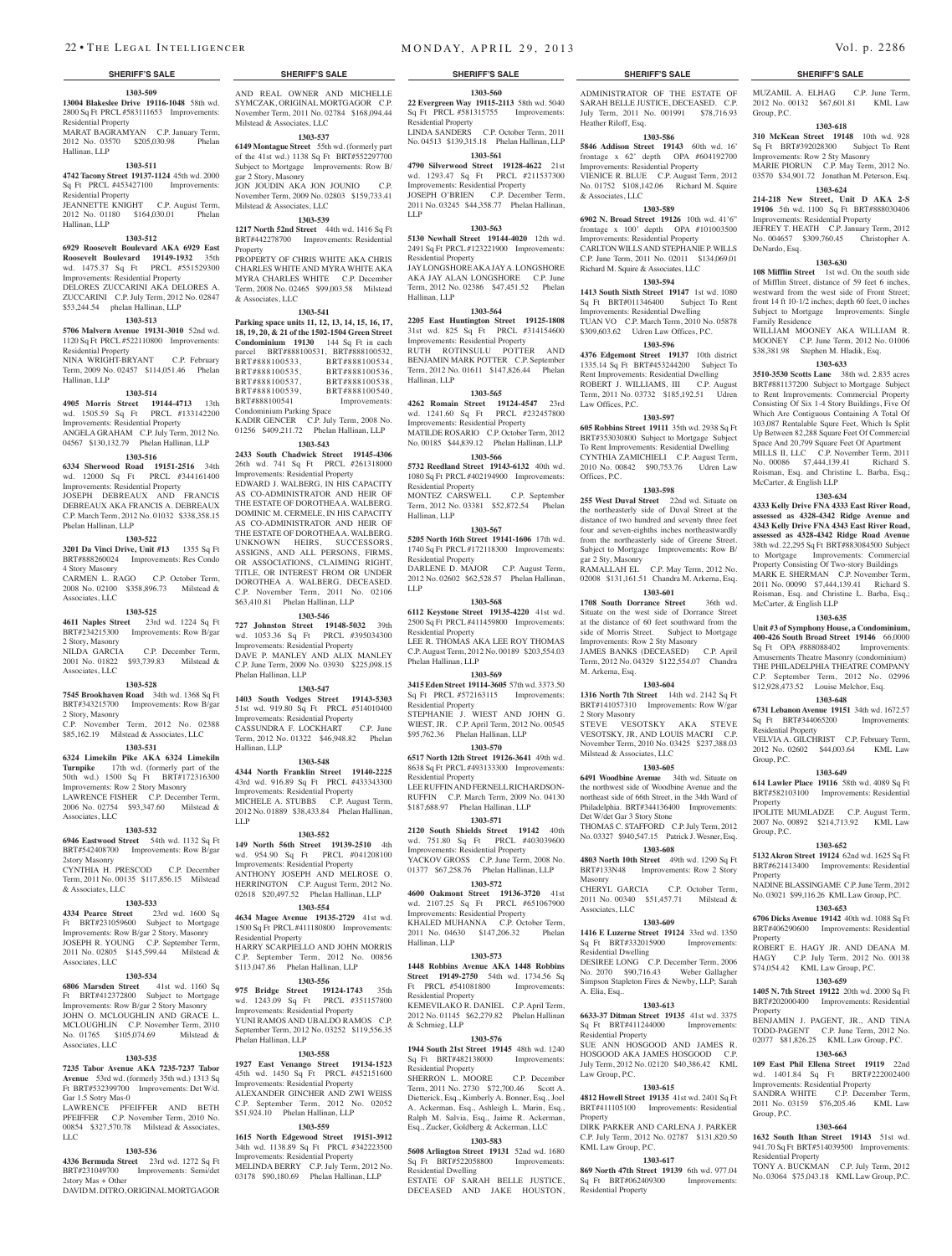### **1303-509 13004 Blakeslee Drive 19116-1048** 58th wd. 2800 Sq Ft PRCL #583111653 Improvements:

Residential Property MARAT BAGRAMYAN C.P. January Term, 2012 No. 03570 \$205,030.98 Phelan Hallinan, LLP

### **1303-511**

**4742 Tacony Street 19137-1124** 45th wd. 2000 Sq Ft PRCL #453427100 Improvements: Residential Property

JEANNETTE KNIGHT C.P. August Term, 2012 No. 01180 \$164,030.01 Phelan Hallinan, LLP

### **1303-512**

**6929 Roosevelt Boulevard AKA 6929 East Roosevelt Boulevard 19149-1932** 35th wd. 1475.37 Sq Ft PRCL #551529300 Improvements: Residential Property

### DELORES ZUCCARINI AKA DELORES A. ZUCCARINI C.P. July Term, 2012 No. 02847 \$53,244.54 phelan Hallinan, LLP

### **1303-513**

**5706 Malvern Avenue 19131-3010** 52nd wd. 1120 Sq Ft PRCL #522110800 Improvements: Residential Property NINA WRIGHT-BRYANT C.P. February

Term, 2009 No. 02457 \$114,051.46 Phelan Hallinan, LLP

### **1303-514**

**4905 Morris Street 19144-4713** 13th wd. 1505.59 Sq Ft PRCL #133142200 Improvements: Residential Property ANGELA GRAHAM C.P. July Term, 2012 No. 04567 \$130,132.79 Phelan Hallinan, LLP

### **1303-516**

**6334 Sherwood Road 19151-2516** 34th wd. 12000 Sq Ft PRCL #344161400 Improvements: Residential Property JOSEPH DEBREAUX AND FRANCIS DEBREAUX AKA FRANCIS A. DEBREAUX C.P. March Term, 2012 No. 01032 \$338,358.15 Phelan Hallinan, LLP

### **1303-522**

**3201 Da Vinci Drive, Unit #13** 1355 Sq Ft BRT#888260024 Improvements: Res Condo 4 Story Masonry

CARMEN L. RAGO C.P. October Term, 2008 No. 02100 \$358,896.73 Milstead & Associates, LLC

### **1303-525**

**4611 Naples Street** 23rd wd. 1224 Sq Ft BRT#234215300 Improvements: Row B/gar 2 Story, Masonry C.P. December Term,

2001 No. 01822 \$93,739.83 Milstead & Associates, LLC

## **1303-528**

**7545 Brookhaven Road** 34th wd. 1368 Sq Ft BRT#343215700 Improvements: Row B/gar 2 Story, Masonry

### C.P. November Term, 2012 No. 02388 \$85,162.19 Milstead & Associates, LLC

**1303-531 6324 Limekiln Pike AKA 6324 Limekiln** 

**Turnpike** 17th wd. (formerly part of the 50th wd.) 1500 Sq Ft BRT#172316300 Improvements: Row 2 Story Masonry LAWRENCE FISHER C.P. December Term, 2006 No. 02754 \$93,347.60 Milstead & Associates, LLC

### **1303-532**

**6946 Eastwood Street** 54th wd. 1132 Sq Ft BRT#542408700 Improvements: Row B/gar 2story Masonry

CYNTHIA H. PRESCOD C.P. December Term, 2011 No. 00135 \$117,856.15 Milstead & Associates, LLC

## **1303-533**

**4334 Pearce Street** 23rd wd. 1600 Sq Ft BRT#231059600 Subject to Mortgage Improvements: Row B/gar 2 Story, Masonry JOSEPH R. YOUNG C.P. September Term, 2011 No. 02805 \$145,599.44 Milstead & Associates, LLC

### **1303-534**

**6806 Marsden Street** 41st wd. 1160 Sq Ft BRT#412372800 Subject to Mortgage Improvements: Row B/gar 2 Story Masonry JOHN O. MCLOUGHLIN AND GRACE L. MCLOUGHLIN C.P. November Term, 2010 No. 01765 \$105,074.69 Milstead & Associates, LLC

### **1303-535**

**7235 Tabor Avenue AKA 7235-7237 Tabor Avenue** 53rd wd. (formerly 35th wd.) 1313 Sq Ft BRT#532399700 Improvements: Det W/d. Gar 1.5 Sotry Mas-0

LAWRENCE PFEIFFER AND BETH PFEIFFER C.P. November Term, 2010 No. 00854 \$327,570.78 Milstead & Associates, LLC

### **1303-536**

**4336 Bermuda Street** 23rd wd. 1272 Sq Ft BRT#231049700 Improvements: Semi/det 2story Mas + Other DAVID M. DITRO, ORIGINAL MORTGAGOR

### AND REAL OWNER AND MICHELLE SYMCZAK, ORIGINAL MORTGAGOR C.P. November Term, 2011 No. 02784 \$168,094.44

Milstead & Associates, LLC **1303-537**

### **6149 Montague Street** 55th wd. (formerly part of the 41st wd.) 1138 Sq Ft BRT#552297700 Subject to Mortgage Improvements: Row B/

gar 2 Story, Masonry JON JOUDIN AKA JON JOUNIO C.P. November Term, 2009 No. 02803 \$159,733.41 Milstead & Associates, LLC

## **1303-539**

**1217 North 52nd Street** 44th wd. 1416 Sq Ft BRT#442278700 Improvements: Residential Property

PROPERTY OF CHRIS WHITE AKA CHRIS CHARLES WHITE AND MYRA WHITE AKA MYRA CHARLES WHITE C.P. December Term, 2008 No. 02465 \$99,003.58 Milstead & Associates, LLC

### **1303-541**

**Parking space units 11, 12, 13, 14, 15, 16, 17, 18, 19, 20, & 21 of the 1502-1504 Green Street Condominium 19130** 144 Sq Ft in each parcel BRT#888100531, BRT#888100532,<br>BRT#888100533 BRT#888100534 BRT#888100533,<br>BRT#888100535. BRT#888100535, BRT#888100536,<br>BRT#888100537, BRT#888100538, BRT#888100537, BRT#888100538,<br>BRT#888100539, BRT#888100540. BRT#888100539, BRT#888100540,<br>BRT#888100541 Improvements: Improvements: Condominium Parking Space KADIR GENCER C.P. July Term, 2008 No. 01256 \$409,211.72 Phelan Hallinan, LLP

## **1303-543**

**2433 South Chadwick Street 19145-4306**  26th wd. 741 Sq Ft PRCL #261318000 Improvements: Residential Property EDWARD J. WALBERG, IN HIS CAPACITY AS CO-ADMINISTRATOR AND HEIR OF THE ESTATE OF DOROTHEA A. WALBERG. DOMINIC M. CERMELE, IN HIS CAPACITY AS CO-ADMINISTRATOR AND HEIR OF THE ESTATE OF DOROTHEA A. WALBERG. UNKNOWN HEIRS, SUCCESSORS, ASSIGNS, AND ALL PERSONS, FIRMS, OR ASSOCIATIONS, CLAIMING RIGHT, TITLE, OR INTEREST FROM OR UNDER DOROTHEA A. WALBERG, DECEASED. C.P. November Term, 2011 No. 02106 \$63,410.81 Phelan Hallinan, LLP

**1303-546 727 Johnston Street 19148-5032** 39th wd. 1053.36 Sq Ft PRCL #395034300 Improvements: Residential Property DAVE P. MANLEY AND ALIX MANLEY C.P. June Term, 2009 No. 03930 \$225,098.15 Phelan Hallinan, LLP

### **1303-547**

**1403 South Vodges Street 19143-5303**  51st wd. 919.80 Sq Ft PRCL #514010400 Improvements: Residential Property

CASSUNDRA F. LOCKHART C.P. June Term, 2012 No. 01322 \$46,948.82 Phelan Hallinan, LLP

### **1303-548**

**4344 North Franklin Street 19140-2225**  43rd wd. 916.89 Sq Ft PRCL #433343300 Improvements: Residential Property MICHELE A. STUBBS C.P. August Term, 2012 No. 01889 \$38,433.84 Phelan Hallinan, LLP

### **1303-552**

**149 North 56th Street 19139-2510** 4th wd. 954.90 Sq Ft PRCL #041208100 Improvements: Residential Property ANTHONY JOSEPH AND MELROSE O. HERRINGTON C.P. August Term, 2012 No. 02618 \$20,497.52 Phelan Hallinan, LLP

### **1303-554**

**4634 Magee Avenue 19135-2729** 41st wd. 1500 Sq Ft PRCL #411180800 Improvements: Residential Property HARRY SCARPIELLO AND JOHN MORRIS C.P. September Term, 2012 No. 00856 \$113,047.86 Phelan Hallinan, LLP

## **1303-556**

**975 Bridge Street 19124-1743** 35th wd. 1243.09 Sq Ft PRCL #351157800 Improvements: Residential Property YUNI RAMOS AND UBALDO RAMOS C.P. September Term, 2012 No. 03252 \$119,556.35 Phelan Hallinan, LLP

### **1303-558**

**1927 East Venango Street 19134-1523**  45th wd. 1450 Sq Ft PRCL #452151600 Improvements: Residential Property ALEXANDER GINCHER AND ZWI WEISS C.P. September Term, 2012 No. 02052 \$51,924.10 Phelan Hallinan, LLP

### **1303-559**

**1615 North Edgewood Street 19151-3912**  34th wd. 1138.89 Sq Ft PRCL #342223500 Improvements: Residential Property MELINDA BERRY C.P. July Term, 2012 No. 03178 \$90,180.69 Phelan Hallinan, LLP

Sq Ft BRT#522058800 Improvements: Residential Dwelling ESTATE OF SARAH BELLE JUSTICE, DECEASED AND JAKE HOUSTON,

### **SHERIFF'S SALE SHERIFF'S SALE SHERIFF'S SALE SHERIFF'S SALE SHERIFF'S SALE**

ADMINISTRATOR OF THE ESTATE OF SARAH BELLE JUSTICE, DECEASED. C.P. July Term, 2011 No. 001991 \$78,716.93 Heather Riloff, Esq.

MUZAMIL A. ELHAG C.P. June Term, 2012 No. 00132 \$67,601.81 KML Law

**1303-618 310 McKean Street 19148** 10th wd. 928 Sq Ft BRT#392028300 Subject To Rent Improvements: Row 2 Sty Masonry MARIE PIORUN C.P. May Term, 2012 No. 03570 \$34,901.72 Jonathan M. Peterson, Esq. **1303-624 214-218 New Street, Unit D AKA 2-S 19106** 5th wd. 1100 Sq Ft BRT#888030406 Improvements: Residential Property JEFREY T. HEATH C.P. January Term, 2012 No. 004657 \$309,760.45 Christopher A.

**1303-630** 108 Mifflin Street 1st wd. On the south side of Mifflin Street, distance of 59 feet 6 inches, westward from the west side of Front Street; front 14 ft 10-1/2 inches; depth 60 feet, 0 inches Subject to Mortgage Improvements: Single

WILLIAM MOONEY AKA WILLIAM R. MOONEY C.P. June Term, 2012 No. 01006 \$38,381.98 Stephen M. Hladik, Esq. **1303-633 3510-3530 Scotts Lane** 38th wd. 2.835 acres BRT#881137200 Subject to Mortgage Subject to Rent Improvements: Commercial Property Consisting Of Six 1-4 Story Buildings, Five Of Which Are Contiguous Containing A Total Of 103,087 Rentalable Squre Feet, Which Is Split Up Between 82,288 Square Feet Of Commercial Space And 20,799 Square Feet Of Apartment MILLS II, LLC C.P. November Term, 2011 No. 00086 \$7,444,139.41 Richard S. Roisman, Esq. and Christine L. Barba, Esq.;

**1303-634 4333 Kelly Drive FNA 4333 East River Road, assessed as 4328-4342 Ridge Avenue and 4343 Kelly Drive FNA 4343 East River Road, assessed as 4328-4342 Ridge Road Avenue**  38th wd. 22,295 Sq Ft BRT#883084500 Subject to Mortgage Improvements: Commercial Property Consisting Of Two-story Buildings MARK E. SHERMAN C.P. November Term, 2011 No. 00090 \$7,444,139.41 Richard S. Roisman, Esq. and Christine L. Barba, Esq.;

**1303-635 Unit #3 of Symphony House, a Condominium, 400-426 South Broad Street 19146** 66,0000 Sq Ft OPA #888088402 Improvements: Amusements Theatre Masonry (condominium) THE PHILADELPHIA THEATRE COMPANY C.P. September Term, 2012 No. 02996 \$12,928,473.52 Louise Melchor, Esq. **1303-648 6731 Lebanon Avenue 19151** 34th wd. 1672.57 Sq Ft BRT#344065200 Improvements:

VELVIA A. GILCHRIST C.P. February Term, 2012 No. 02602 \$44,003.64 KML Law

**1303-649 614 Lawler Place 19116** 58th wd. 4089 Sq Ft BRT#582103100 Improvements: Residential

IPOLITE MUMLADZE C.P. August Term, 2007 No. 00892 \$214,713.92 KML Law

**1303-652 5132 Akron Street 19124** 62nd wd. 1625 Sq Ft BRT#621413400 Improvements: Residential

NADINE BLASSINGAME C.P. June Term, 2012. No. 03021 \$99,116.26 KML Law Group, P.C. **1303-653 6706 Dicks Avenue 19142** 40th wd. 1088 Sq Ft BRT#406290600 Improvements: Residential

ROBERT E. HAGY JR. AND DEANA M. HAGY C.P. July Term, 2012 No. 00138 \$74,054.42 KML Law Group, P.C. **1303-659 1405 N. 7th Street 19122** 20th wd. 2000 Sq Ft BRT#202000400 Improvements: Residential

BENJAMIN J. PAGENT, JR., AND TINA TODD-PAGENT C.P. June Term, 2012 No. 02077 \$81,826.25 KML Law Group, P.C. **1303-663 109 East Phil Ellena Street 19119** 22nd wd. 1401.84 Sq Ft BRT#222002400 Improvements: Residential Property SANDRA WHITE C.P. December Term, 2011 No. 03159 \$76,205.46 KML Law

**1303-664 1632 South Ithan Street 19143** 51st wd. 941.70 Sq Ft BRT#514039500 Improvements:

TONY A. BUCKMAN C.P. July Term, 2012 No. 03064 \$75,043.18 KML Law Group, P.C.

Group, P.C.

DeNardo, Esq.

Family Residence

McCarter, & English LLP

McCarter, & English LLP

Residential Property

Group, P.C.

Property

Group, P.C.

Property

Property

Property

Group, P.C.

Residential Property

### **1303-586**

**1303-560 22 Evergreen Way 19115-2113** 58th wd. 5040 Sq Ft PRCL #581315755 Improvements:

LINDA SANDERS C.P. October Term, 2011 No. 04513 \$139,315.18 Phelan Hallinan, LLP **1303-561 4790 Silverwood Street 19128-4622** 21st wd. 1293.47 Sq Ft PRCL #211537300 Improvements: Residential Property JOSEPH O'BRIEN C.P. December Term, 2011 No. 03245 \$44,358.77 Phelan Hallinan,

**1303-563 5130 Newhall Street 19144-4020** 12th wd. 2491 Sq Ft PRCL #123221900 Improvements:

JAY LONGSHORE AKA JAY A. LONGSHORE AKA JAY ALAN LONGSHORE C.P. June Term, 2012 No. 02386 \$47,451.52 Phelan

**1303-564 2205 East Huntington Street 19125-1808**  31st wd. 825 Sq Ft PRCL #314154600 Improvements: Residential Property RUTH ROTINSULU POTTER AND BENJAMIN MARK POTTER C.P. September Term, 2012 No. 01611 \$147,826.44 Phelan

**1303-565 4262 Romain Street 19124-4547** 23rd wd. 1241.60 Sq Ft PRCL #232457800 Improvements: Residential Property MATILDE ROSARIO C.P. October Term, 2012 No. 00185 \$44,839.12 Phelan Hallinan, LLP **1303-566 5732 Reedland Street 19143-6132** 40th wd. 1080 Sq Ft PRCL #402194900 Improvements:

MONTEZ CARSWELL C.P. September Term, 2012 No. 03381 \$52,872.54 Phelan

**1303-567 5205 North 16th Street 19141-1606** 17th wd. 1740 Sq Ft PRCL #172118300 Improvements:

DARLENE D. MAJOR C.P. August Term, 2012 No. 02602 \$62,528.57 Phelan Hallinan,

**1303-568 6112 Keystone Street 19135-4220** 41st wd. 2500 Sq Ft PRCL #411459800 Improvements:

LEE R. THOMAS AKA LEE ROY THOMAS C.P. August Term, 2012 No. 00189 \$203,554.03

**1303-569 3415 Eden Street 19114-3605** 57th wd. 3373.50 Sq Ft PRCL #572163115 Improvements:

STEPHANIE J. WIEST AND JOHN G. WIEST, JR. C.P. April Term, 2012 No. 00545 \$95,762.36 Phelan Hallinan, LLP **1303-570 6517 North 12th Street 19126-3641** 49th wd. 8638 Sq Ft PRCL #493133300 Improvements:

LEE RUFFIN AND FERNELL RICHARDSON-RUFFIN C.P. March Term, 2009 No. 04130 \$187,688.97 Phelan Hallinan, LLP **1303-571 2120 South Shields Street 19142** 40th wd. 751.80 Sq Ft PRCL #403039600 Improvements: Residential Property YACKOV GROSS C.P. June Term, 2008 No. 01377 \$67,258.76 Phelan Hallinan, LLP **1303-572 4600 Oakmont Street 19136-3720** 41st wd. 2107.25 Sq Ft PRCL #651067900 Improvements: Residential Property

KHALED MUHANNA C.P. October Term, 2011 No. 04630 \$147,206.32 Phelan

**1303-573 1448 Robbins Avenue AKA 1448 Robbins Street 19149-2750** 54th wd. 1734.56 Sq Ft PRCL #541081800 Improvements:

KEMEVILAKO R. DANIEL C.P. April Term. 2012 No. 01145 \$62,279.82 Phelan Hallinan

**1303-576 1944 South 21st Street 19145** 48th wd. 1240<br>Sq Ft BRT#482138000 Improvements:

SHERRON L. MOORE C.P. December Term, 2011 No. 2730 \$72,700.46 Scott A. Dietterick, Esq., Kimberly A. Bonner, Esq., Joel A. Ackerman, Esq., Ashleigh L. Marin, Esq., Ralph M. Salvia, Esq., Jaime R. Ackerman, Esq., Zucker, Goldberg & Ackerman, LLC **1303-583 5608 Arlington Street 19131** 52nd wd. 1680

Residential Property

Residential Property

Hallinan, LLP

Hallinan, LLP

Residential Property

Residential Property

Residential Property

Phelan Hallinan, LLP

Residential Property

Residential Property

Hallinan, LLP

Residential Property

& Schmieg, LLP

Sq Ft BRT#482138000 Residential Property

Hallinan, LLP

LLP

LLP

**5846 Addison Street 19143** 60th wd. 16' frontage x 62' depth OPA #604192700 Improvements: Residential Property VIENICE R. BLUE C.P. August Term, 2012 No. 01752 \$108,142.06 Richard M. Squire & Associates, LLC

## **1303-589**

**6902 N. Broad Street 19126** 10th wd. 41'6" frontage x 100' depth OPA #101003500 Improvements: Residential Property CARLTON WILLS AND STEPHANIE P. WILLS C.P. June Term, 2011 No. 02011 \$134,069.01 Richard M. Squire & Associates, LLC

## **1303-594**

**1413 South Sixth Street 19147** 1st wd. 1080 Sq Ft BRT#011346400 Subject To Rent Improvements: Residential Dwelling TUAN VO C.P. March Term, 2010 No. 05878 \$309,603.62 Udren Law Offices, P.C.

## **1303-596**

**4376 Edgemont Street 19137** 10th district 1335.14 Sq Ft BRT#453244200 Subject To Rent Improvements: Residential Dwelling ROBERT J. WILLIAMS, III C.P. August Term, 2011 No. 03732 \$185,192.51 Udren Law Offices, P.C.

## **1303-597**

**605 Robbins Street 19111** 35th wd. 2938 Sq Ft BRT#353030800 Subject to Mortgage Subject To Rent Improvements: Residential Dwelling CYNTHIA ZAMICHIELI C.P. August Term, 2010 No. 00842 \$90,753.76 Udren Law Offices, P.C.

### **1303-598**

**255 West Duval Street** 22nd wd. Situate on the northeasterly side of Duval Street at the distance of two hundred and seventy three feet four and seven-eighths inches northeastwardly from the northeasterly side of Greene Street. Subject to Mortgage Improvements: Row B/ gar 2 Sty, Masonry

RAMALLAH EL C.P. May Term, 2012 No. 02008 \$131,161.51 Chandra M. Arkema, Esq. **1303-601**

### **1708 South Dorrance Street** 36th wd. Situate on the west side of Dorrance Street at the distance of 60 feet southward from the side of Morris Street. Subject to Mortgage Improvements: Row 2 Sty Masonry JAMES BANKS (DECEASED) C.P. April Term, 2012 No. 04329 \$122,554.07 Chandra

M. Arkema, Esq. **1303-604**

**1316 North 7th Street** 14th wd. 2142 Sq Ft BRT#141057310 Improvements: Row W/gar 2 Story Masonry STEVE VESOTSKY AKA STEVE

VESOTSKY, JR, AND LOUIS MACRI C.P. November Term, 2010 No. 03425 \$237,388.03 Milstead & Associates, LLC

## **1303-605**

**6491 Woodbine Avenue** 34th wd. Situate on the northwest side of Woodbine Avenue and the northeast side of 66th Street, in the 34th Ward of Philadelphia. BRT#344136400 Improvements: Det W/det Gar 3 Story Stone THOMAS C. STAFFORD C.P. July Term, 2012

## No. 03327 \$940,547.15 Patrick J. Wesner, Esq.

**1303-608 4803 North 10th Street** 49th wd. 1290 Sq Ft BRT#133N48 Improvements: Row 2 Story Masonry<br>CHERYL GARCIA C.P. October Term,

2011 No. 00340 \$51,457.71 Milstead & Associates, LLC **1303-609**

**1416 E Luzerne Street 19124** 33rd wd. 1350<br>
Sq Ft BRT#332015900 Improvements: Sq Ft BRT#332015900 Residential Dwelling DESIREE LONG C.P. December Term, 2006 No. 2070 \$90,716.43 Weber Gallagher Simpson Stapleton Fires & Newby, LLP; Sarah A. Elia, Esq..

### **1303-613**

**6633-37 Ditman Street 19135** 41st wd. 3375 Sq Ft BRT#411244000 Improvements: Residential Property SUE ANN HOSGOOD AND JAMES R.

HOSGOOD AKA JAMES HOSGOOD C.P. July Term, 2012 No. 02120 \$40,386.42 KML Law Group, P.C.

BRT#411105100 Improvements: Residential

DIRK PARKER AND CARLENA J. PARKER C.P. July Term, 2012 No. 02787 \$131,820.50

**1303-617 869 North 47th Street 19139** 6th wd. 977.04 Sq Ft BRT#062409300 Improvements:

### **1303-615 4812 Howell Street 19135** 41st wd. 2401 Sq Ft

**Property** 

KML Law Group, P.C.

Residential Property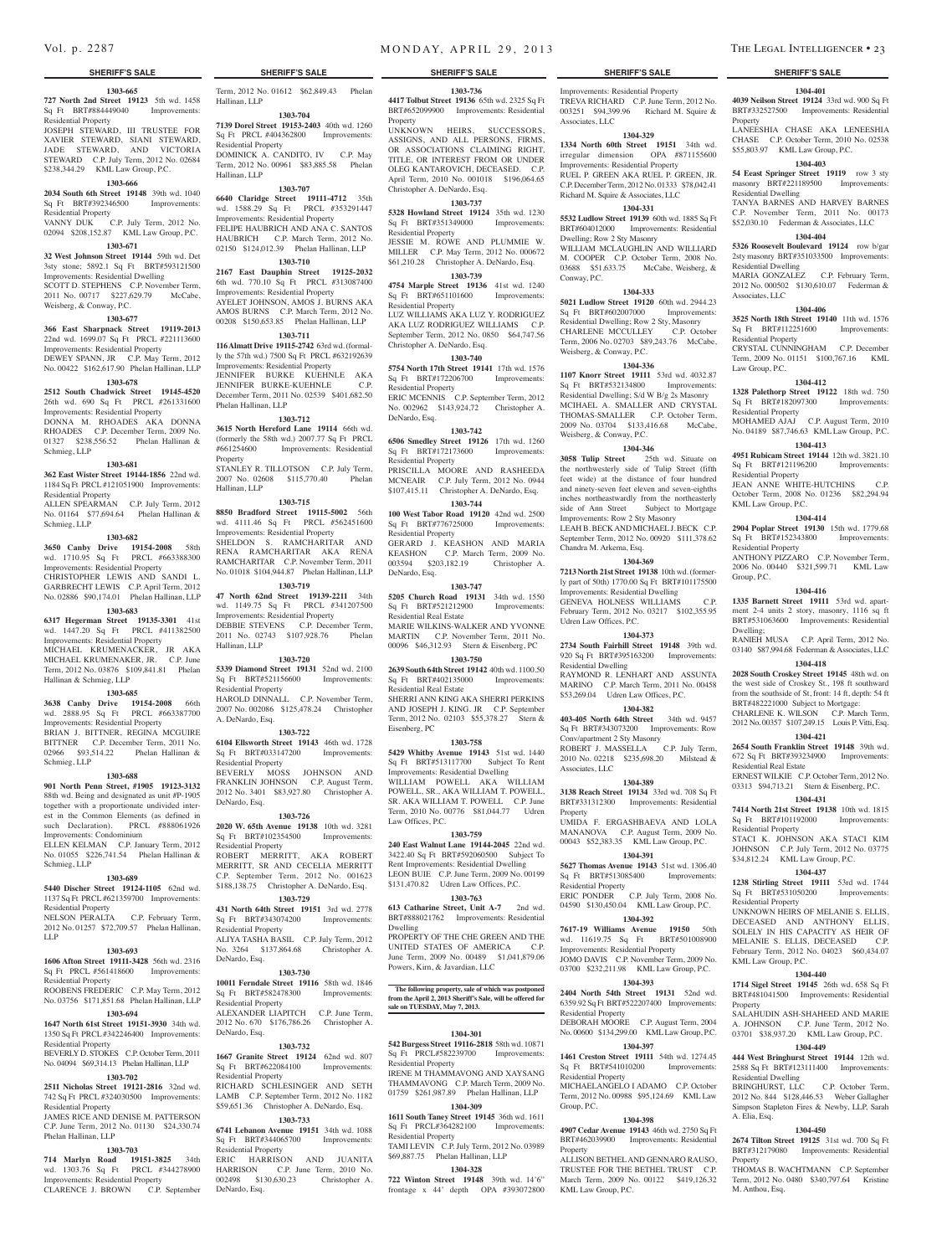### **SHERIFF'S SALE SHERIFF'S SALE SHERIFF'S SALE SHERIFF'S SALE SHERIFF'S SALE**

### **1303-665**

**727 North 2nd Street 19123** 5th wd. 1458 Sq Ft BRT#884449040 Improvements: Residential Property

JOSEPH STEWARD, III TRUSTEE FOR XAVIER STEWARD, SIANI STEWARD, JADE STEWARD, AND VICTORIA STEWARD C.P. July Term, 2012 No. 02684 \$238,344.29 KML Law Group, P.C.

## **1303-666**

**2034 South 6th Street 19148** 39th wd. 1040 Sq Ft BRT#392346500 Improvements: Residential Property

## VANNY DUK C.P. July Term, 2012 No. 02094 \$208,152.87 KML Law Group, P.C.

## **1303-671**

**32 West Johnson Street 19144** 59th wd. Det 3sty stone; 5892.1 Sq Ft BRT#593121500 Improvements: Residential Dwelling SCOTT D. STEPHENS C.P. November Term, 2011 No. 00717 \$227,629.79 McCabe, Weisberg, & Conway, P.C.

## **1303-677**

**366 East Sharpnack Street 19119-2013**  22nd wd. 1699.07 Sq Ft PRCL #221113600 Improvements: Residential Property DEWEY SPANN, JR C.P. May Term, 2012 No. 00422 \$162,617.90 Phelan Hallinan, LLP

## **1303-678**

**2512 South Chadwick Street 19145-4520**  26th wd. 690 Sq Ft PRCL #261331600 Improvements: Residential Property

DONNA M. RHOADES AKA DONNA RHOADES C.P. December Term, 2009 No. 01327 \$238,556.52 Phelan Hallinan & Schmieg, LLP

### **1303-681**

**362 East Wister Street 19144-1856** 22nd wd. 1184 Sq Ft PRCL #121051900 Improvements:

Residential Property ALLEN SPEARMAN C.P. July Term, 2012 No. 01164 \$77,694.64 Phelan Hallinan &

Schmieg, LLP **1303-682**

**3650 Canby Drive 19154-2008** 58th wd. 1710.95 Sq Ft PRCL #663388300 Improvements: Residential Property CHRISTOPHER LEWIS AND SANDI L. GARBRECHT LEWIS C.P. April Term, 2012 No. 02886 \$90,174.01 Phelan Hallinan, LLP

## **1303-683**

**6317 Hegerman Street 19135-3301** 41st wd. 1447.20 Sq Ft PRCL #411382500 Improvements: Residential Property MICHAEL KRUMENACKER, JR AKA MICHAEL KRUMENAKER, JR. C.P. June

Term, 2012 No. 03876 \$109,841.81 Phelan Hallinan & Schmieg, LLP **1303-685**

**3638 Canby Drive 19154-2008** 66th wd. 2888.95 Sq Ft PRCL #663387700 Improvements: Residential Property BRIAN J. BITTNER, REGINA MCGUIRE BITTNER C.P. December Term, 2011 No. 02966 \$93,514.22 Phelan Hallinan & Schmieg, LLP

### **1303-688**

**901 North Penn Street, #1905 19123-3132**  88th wd. Being and designated as unit #P-1905 together with a proportionate undivided interest in the Common Elements (as defined in such Declaration). PRCL #888061926 Improvements: Condominium

ELLEN KELMAN C.P. January Term, 2012 No. 01055 \$226,741.54 Phelan Hallinan & Schmieg, LLP

### **1303-689**

### **5440 Discher Street 19124-1105** 62nd wd. 1137 Sq Ft PRCL #621359700 Improvements: Residential Property

NELSON PERALTA C.P. February Term, 2012 No. 01257 \$72,709.57 Phelan Hallinan, LLP

### **1303-693**

**1606 Afton Street 19111-3428** 56th wd. 2316 Sq Ft PRCL #561418600 Improvements: Residential Property

## ROOBENS FREDERIC C.P. May Term, 2012 No. 03756 \$171,851.68 Phelan Hallinan, LLP **1303-694**

**1647 North 61st Street 19151-3930** 34th wd. 1350 Sq Ft PRCL #342246400 Improvements: Residential Property

## BEVERLY D. STOKES C.P. October Term, 2011 No. 04094 \$69,314.13 Phelan Hallinan, LLP

## **1303-702**

**2511 Nicholas Street 19121-2816** 32nd wd. 742 Sq Ft PRCL #324030500 Improvements: Residential Property JAMES RICE AND DENISE M. PATTERSON C.P. June Term, 2012 No. 01130 \$24,330.74

### Phelan Hallinan, LLP **1303-703**

**714 Marlyn Road 19151-3825** 34th wd. 1303.76 Sq Ft PRCL #344278900 Improvements: Residential Property CLARENCE J. BROWN C.P. September

Term, 2012 No. 01612 \$62,849.43 Phelan Hallinan, LLP

**1303-704 7139 Dorel Street 19153-2403** 40th wd. 1260 Sq Ft PRCL #404362800 Improvements: Residential Property

DOMINICK A. CANDITO, IV C.P. May Term, 2012 No. 00961 \$83,885.58 Phelan Hallinan, LLP

## **1303-707**

**6640 Claridge Street 19111-4712** 35th wd. 1588.29 Sq Ft PRCL #353291447 Improvements: Residential Property FELIPE HAUBRICH AND ANA C. SANTOS HAUBRICH C.P. March Term, 2012 No. 02150 \$124,012.39 Phelan Hallinan, LLP **1303-710**

**2167 East Dauphin Street 19125-2032**  6th wd. 770.10 Sq Ft PRCL #313087400 Improvements: Residential Property AYELET JOHNSON, AMOS J. BURNS AKA AMOS BURNS C.P. March Term, 2012 No. 00208 \$150,653.85 Phelan Hallinan, LLP

### **1303-711**

**116 Almatt Drive 19115-2742** 63rd wd. (formally the 57th wd.) 7500 Sq Ft PRCL #632192639 Improvements: Residential Property JENNIFER BURKE KUEHNLE AKA JENNIFER BURKE-KUEHNLE C.P. December Term, 2011 No. 02539 \$401,682.50 Phelan Hallinan, LLP

### **1303-712**

**3615 North Hereford Lane 19114** 66th wd. (formerly the 58th wd.) 2007.77 Sq Ft PRCL #661254600 Improvements: Residential Property STANLEY R. TILLOTSON C.P. July Term, 2007 No. 02608 \$115,770.40 Phelan

## **1303-715**

Hallinan, LLP

Hallinan, LLP

**8850 Bradford Street 19115-5002** 56th wd. 4111.46 Sq Ft PRCL #562451600 Improvements: Residential Property SHELDON S. RAMCHARITAR AND RENA RAMCHARITAR AKA RENA RAMCHARITAR C.P. November Term, 2011 No. 01018 \$104,944.87 Phelan Hallinan, LLP

### **1303-719**

**47 North 62nd Street 19139-2211** 34th wd. 1149.75 Sq Ft PRCL #341207500 Improvements: Residential Property DEBBIE STEVENS C.P. December Term, 2011 No. 02743 \$107,928.76 Phelan

## **1303-720**

**5339 Diamond Street 19131** 52nd wd. 2100 Sq Ft BRT#521156600 Improvements: Residential Property HAROLD DINNALL C.P. November Term,

2007 No. 002086 \$125,478.24 Christopher A. DeNardo, Esq. **1303-722**

**6104 Ellsworth Street 19143** 46th wd. 1728 Sq Ft BRT#033147200 Improvements: Residential Property BEVERLY MOSS JOHNSON AND FRANKLIN JOHNSON C.P. August Term, 2012 No. 3401 \$83,927.80 Christopher A. DeNardo, Esq.

**1303-726 2020 W. 65th Avenue 19138** 10th wd. 3281 Sq Ft BRT#102354500 Improvements: Residential Property ROBERT MERRITT, AKA ROBERT MERRITT, SR AND CECELIA MERRITT C.P. September Term, 2012 No. 001623

## \$188,138.75 Christopher A. DeNardo, Esq.

**1303-729 431 North 64th Street 19151** 3rd wd. 2778 Sq Ft BRT#343074200 Improvements: Residential Property ALIYA TASHA BASIL C.P. July Term, 2012

No. 3264 \$137,864.68 Christopher A. DeNardo, Esq. **1303-730**

**10011 Ferndale Street 19116** 58th wd. 1846 Sq Ft BRT#582478300 Improvements: Residential Property ALEXANDER LIAPITCH C.P. June Term, 2012 No. 670 \$176,786.26 Christopher A.

# DeNardo, Esq.

**1303-732 1667 Granite Street 19124** 62nd wd. 807 Sq Ft BRT#622084100 Residential Property RICHARD SCHLESINGER AND SETH LAMB C.P. September Term, 2012 No. 1182 \$59,651.36 Christopher A. DeNardo, Esq.

## **1303-733**

**6741 Lebanon Avenue 19151** 34th wd. 1088 Sq Ft BRT#344065700 Improvements: Residential Property ERIC HARRISON AND JUANITA HARRISON C.P. June Term, 2010 No.

002498 \$130,630.23 Christopher A. DeNardo, Esq.

Vol. p. 2287 MONDAY, APRIL 29, 2013 THE LEGAL INTELLIGENCER • 23

**1303-736 4417 Tolbut Street 19136** 65th wd. 2325 Sq Ft BRT#652099900 Improvements: Residential Improvements: Residential Property TREVA RICHARD C.P. June Term, 2012 No. 003251 \$94,399.96 Richard M. Squire & Associates, LLC

> **1304-329 1334 North 60th Street 19151** 34th wd. irregular dimension OPA #871155600 Improvements: Residential Property RUEL P. GREEN AKA RUEL P. GREEN, JR. C.P. December Term, 2012 No. 01333 \$78,042.41 Richard M. Squire & Associates, LLC **1304-331 5532 Ludlow Street 19139** 60th wd. 1885 Sq Ft BRT#604012000 Improvements: Residential

**1304-401 4039 Neilson Street 19124** 33rd wd. 900 Sq Ft BRT#332527500 Improvements: Residential

LANEESHIA CHASE AKA LENEESHIA CHASE C.P. October Term, 2010 No. 02538 \$55,803.97 KML Law Group, P.C. **1304-403 54 Eeast Springer Street 19119** row 3 sty masonry BRT#221189500 Improvements:

TANYA BARNES AND HARVEY BARNES C.P. November Term, 2011 No. 00173 \$52,030.10 Federman & Associates, LLC **1304-404 5326 Roosevelt Boulevard 19124** row b/gar 2sty masonry BRT#351033500 Improvements:

MARIA GONZALEZ C.P. February Term, 2012 No. 000502 \$130,610.07 Federman &

**1304-406 3525 North 18th Street 19140** 11th wd. 1576 Sq Ft BRT#112251600 Improvements:

CRYSTAL CUNNINGHAM C.P. December Term, 2009 No. 01151 \$100,767.16 KML

**1304-412 1328 Palethorp Street 19122** 18th wd. 750 Sq Ft BRT#182097300 Improvements:

MOHAMED AJAJ C.P. August Term, 2010 No. 04189 \$87,746.63 KML Law Group, P.C. **1304-413 4951 Rubicam Street 19144** 12th wd. 3821.10 Sq Ft BRT#121196200 Improvements:

JEAN ANNE WHITE-HUTCHINS C.P. October Term, 2008 No. 01236 \$82,294.94

**1304-414 2904 Poplar Street 19130** 15th wd. 1779.68 Sq Ft BRT#152343800 Improvements:

ANTHONY PIZZARO C.P. November Term, 2006 No. 00440 \$321,599.71 KML Law

**1304-416 1335 Barnett Street 19111** 53rd wd. apartment 2-4 units 2 story, masonry, 1116 sq ft BRT#531063600 Improvements: Residential

RANIEH MUSA C.P. April Term, 2012 No. 03140 \$87,994.68 Federman & Associates, LLC **1304-418 2028 South Croskey Street 19145** 48th wd. on the west side of Croskey St., 198 ft southward from the southside of St, front: 14 ft, depth: 54 ft BRT#482221000 Subject to Mortgage: CHARLENE K. WILSON C.P. March Term, 2012 No. 00357 \$107,249.15 Louis P. Vitti, Esq. **1304-421 2654 South Franklin Street 19148** 39th wd. 672 Sq Ft BRT#393234900 Improvements:

ERNEST WILKIE C.P. October Term, 2012 No. 03313 \$94,713.21 Stern & Eisenberg, P.C. **1304-431 7414 North 21st Street 19138** 10th wd. 1815 Sq Ft BRT#101192000 Improvements:

STACI K. JOHNSON AKA STACI KIM JOHNSON C.P. July Term, 2012 No. 03775 \$34,812.24 KML Law Group, P.C. **1304-437 1238 Stirling Street 19111** 53rd wd. 1744 Sq Ft BRT#531050200 Improvements:

UNKNOWN HEIRS OF MELANIE S. ELLIS, DECEASED AND ANTHONY ELLIS, SOLELY IN HIS CAPACITY AS HEIR OF MELANIE S. ELLIS, DECEASED C.P. February Term, 2012 No. 04023 \$60,434.07

**1304-440 1714 Sigel Street 19145** 26th wd. 658 Sq Ft BRT#481041500 Improvements: Residential

SALAHUDIN ASH-SHAHEED AND MARIE A. JOHNSON C.P. June Term, 2012 No. 03701 \$38,937.20 KML Law Group, P.C. **1304-449 444 West Bringhurst Street 19144** 12th wd. 2588 Sq Ft BRT#123111400 Improvements:

BRINGHURST, LLC C.P. October Term, 2012 No. 844 \$128,446.53 Weber Gallagher Simpson Stapleton Fires & Newby, LLP, Sarah

**1304-450 2674 Tilton Street 19125** 31st wd. 700 Sq Ft BRT#312179080 Improvements: Residential

THOMAS B. WACHTMANN C.P. September Term, 2012 No. 0480 \$340,797.64 Kristine

**Property** 

Residential Dwelling

Residential Dwelling

Associates, LLC

Residential Property

Law Group, P.C.

Residential Property

Residential Property

KML Law Group, P.C.

Residential Property

Residential Real Estate

Residential Property

Residential Property

KML Law Group, P.C.

Residential Dwelling

A. Elia, Esq.

Property

M. Anthou, Esq.

Property

Group, P.C.

Dwelling;

WILLIAM MCLAUGHLIN AND WILLIARD M. COOPER C.P. October Term, 2008 No. 03688 \$51,633.75 McCabe, Weisberg, &

**1304-333 5021 Ludlow Street 19120** 60th wd. 2944.23 Sq Ft BRT#602007000 Improvements: Residential Dwelling; Row 2 Sty, Masonry CHARLENE MCCULLEY C.P. October Term, 2006 No. 02703 \$89,243.76 McCabe,

**1304-336 1107 Knorr Street 19111** 53rd wd. 4032.87 Sq Ft BRT#532134800 Improvements: Residential Dwelling; S/d W B/g 2s Masonry MCIHAEL A. SMALLER AND CRYSTAL THOMAS-SMALLER C.P. October Term, 2009 No. 03704 \$133,416.68 McCabe,

**1304-346 3058 Tulip Street** 25th wd. Situate on the northwesterly side of Tulip Street (fifth feet wide) at the distance of four hundred and ninety-seven feet eleven and seven-eighths inches northeastwardly from the northeasterly side of Ann Street Subject to Mortgage Improvements: Row 2 Sty Masonry LEAH B. BECK AND MICHAEL J. BECK C.P. September Term, 2012 No. 00920 \$111,378.62

**1304-369 7213 North 21st Street 19138** 10th wd. (formerly part of 50th) 1770.00 Sq Ft BRT#101175500 Improvements: Residential Dwelling GENEVA HOLNESS WILLIAMS C.P. February Term, 2012 No. 03217 \$102,355.95

**1304-373 2734 South Fairhill Street 19148** 39th wd. 920 Sq Ft BRT#395163200 Improvements:

RAYMOND R. LENHART AND ASSUNTA MARINO C.P. March Term, 2011 No. 00458 \$53,269.04 Udren Law Offices, P.C. **1304-382 403-405 North 64th Street** 34th wd. 9457 Sq Ft BRT#343073200 Improvements: Row

ROBERT J. MASSELLA C.P. July Term, 2010 No. 02218 \$235,698.20 Milstead &

**1304-389 3138 Reach Street 19134** 33rd wd. 708 Sq Ft BRT#331312300 Improvements: Residential

UMIDA F. ERGASHBAEVA AND LOLA MANANOVA C.P. August Term, 2009 No. 00043 \$52,383.35 KML Law Group, P.C. **1304-391 5627 Thomas Avenue 19143** 51st wd. 1306.40 Sq Ft BRT#513085400 Improvements:

ERIC PONDER C.P. July Term, 2008 No. 04590 \$130,450.04 KML Law Group, P.C. **1304-392 7617-19 Williams Avenue 19150** 50th wd. 11619.75 Sq Ft BRT#501008900 Improvements: Residential Property JOMO DAVIS C.P. November Term, 2009 No. 03700 \$232,211.98 KML Law Group, P.C. **1304-393 2404 North 54th Street 19131** 52nd wd. 6359.92 Sq Ft BRT#522207400 Improvements:

DEBORAH MOORE C.P. August Term, 2004 No. 00600 \$134,299.00 KML Law Group, P.C. **1304-397 1461 Creston Street 19111** 54th wd. 1274.45<br>
Sq Ft BRT#541010200 Improvements:

MICHAELANGELO I ADAMO C.P. October Term, 2012 No. 00988 \$95,124.69 KML Law

**1304-398 4907 Cedar Avenue 19143** 46th wd. 2750 Sq Ft BRT#462039900 Improvements: Residential

ALLISON BETHEL AND GENNARO RAUSO, TRUSTEE FOR THE BETHEL TRUST C.P. March Term, 2009 No. 00122 \$419,126.32

Dwelling; Row 2 Sty Masonry

Weisberg, & Conway, P.C.

Weisberg, & Conway, P.C.

Chandra M. Arkema, Esq.

Udren Law Offices, P.C.

Residential Dwelling

Associates, LLC

Residential Property

Residential Property

Sq Ft BRT#541010200 Residential Property

Group, P.C.

Property

KML Law Group, P.C.

Property

Conv/apartment 2 Sty Masonry

Conway, P.C.

UNKNOWN HEIRS, SUCCESSORS, ASSIGNS, AND ALL PERSONS, FIRMS, OR ASSOCIATIONS CLAIMING RIGHT TITLE, OR INTEREST FROM OR UNDER OLEG KANTAROVICH, DECEASED. C.P. April Term, 2010 No. 001018 \$196,064.65 Christopher A. DeNardo, Esq.

### **1303-737**

Property

**5328 Howland Street 19124** 35th wd. 1230 Sq Ft BRT#351349000 Improvements: Residential Property JESSIE M. ROWE AND PLUMMIE W. MILLER C.P. May Term, 2012 No. 000672

\$61,210.28 Christopher A. DeNardo, Esq. **1303-739**

**4754 Marple Street 19136** 41st wd. 1240 Sq Ft BRT#651101600 Improvements: Residential Property LUZ WILLIAMS AKA LUZ Y. RODRIGUEZ

AKA LUZ RODRIGUEZ WILLIAMS C.P. September Term, 2012 No. 0850 \$64,747.56 Christopher A. DeNardo, Esq.

## **1303-740**

**5754 North 17th Street 19141** 17th wd. 1576 Sq Ft BRT#172206700 Improvements: Residential Property

ERIC MCENNIS C.P. September Term, 2012 No. 002962 \$143,924,72 Christopher A. DeNardo, Esq.

### **1303-742**

**6506 Smedley Street 19126** 17th wd. 1260 Sq Ft BRT#172173600 Improvements: Residential Property PRISCILLA MOORE AND RASHEEDA MCNEAIR C.P. July Term, 2012 No. 0944 \$107,415.11 Christopher A. DeNardo, Esq.

## **1303-744**

**100 West Tabor Road 19120** 42nd wd. 2500<br>Sq Ft BRT#776725000 Improvements: Sq Ft BRT#776725000 Residential Property GERARD J. KEASHON AND MARIA KEASHON C.P. March Term, 2009 No.

003594 \$203,182.19 Christopher A. DeNardo, Esq. **1303-747**

**5205 Church Road 19131** 34th wd. 1550<br>Sq Ft BRT#521212900 Improvements: Sq Ft BRT#521212900 Residential Real Estate MARIE WILKINS-WALKER AND YVONNE MARTIN C.P. November Term, 2011 No. 00096 \$46,312.93 Stern & Eisenberg, PC

### **1303-750**

**2639 South 64th Street 19142** 40th wd. 1100.50 Sq Ft BRT#402135000 Improvements: Residential Real Estate SHERRI ANN KING AKA SHERRI PERKINS AND JOSEPH J. KING. JR C.P. September

Term, 2012 No. 02103 \$55,378.27 Stern & Eisenberg, PC **1303-758**

## **5429 Whitby Avenue 19143** 51st wd. 1440

Sq Ft BRT#513117700 Subject To Rent Improvements: Residential Dwelling WILLIAM POWELL AKA WILLIAM POWELL, SR., AKA WILLIAM T. POWELL, SR. AKA WILLIAM T. POWELL C.P. June Term, 2010 No. 00776 \$81,044.77 Udren Law Offices, P.C.

### **1303-759**

**240 East Walnut Lane 19144-2045** 22nd wd. 3422.40 Sq Ft BRT#592060500 Subject To Rent Improvements: Residential Dwelling LEON BUIE C.P. June Term, 2009 No. 00199 \$131,470.82 Udren Law Offices, P.C.

## **1303-763**

**613 Catharine Street, Unit A-7** 2nd wd. BRT#888021762 Improvements: Residential Dwelling PROPERTY OF THE CHE GREEN AND THE

UNITED STATES OF AMERICA C.P. June Term, 2009 No. 00489 \$1,041,879.06 Powers, Kirn, & Javardian, LLC

**The following property, sale of which was postponed from the April 2, 2013 Sheriff's Sale, will be offered for** 

**1304-301 542 Burgess Street 19116-2818** 58th wd. 10871

IRENE M THAMMAVONG AND XAYSANG THAMMAVONG C.P. March Term, 2009 No. 01759 \$261,987.89 Phelan Hallinan, LLP **1304-309 1611 South Taney Street 19145** 36th wd. 1611 Sq Ft PRCL#364282100 Improvements:

TAMI LEVIN  $CP$  July Term, 2012 No. 03989 \$69,887.75 Phelan Hallinan, LLP **1304-328 722 Winton Street 19148** 39th wd. 14'6" frontage x 44' depth OPA #393072800

**sale on TUESDAY, May 7, 2013.**

Sq Ft PRCL#582239700 Residential Property

Residential Property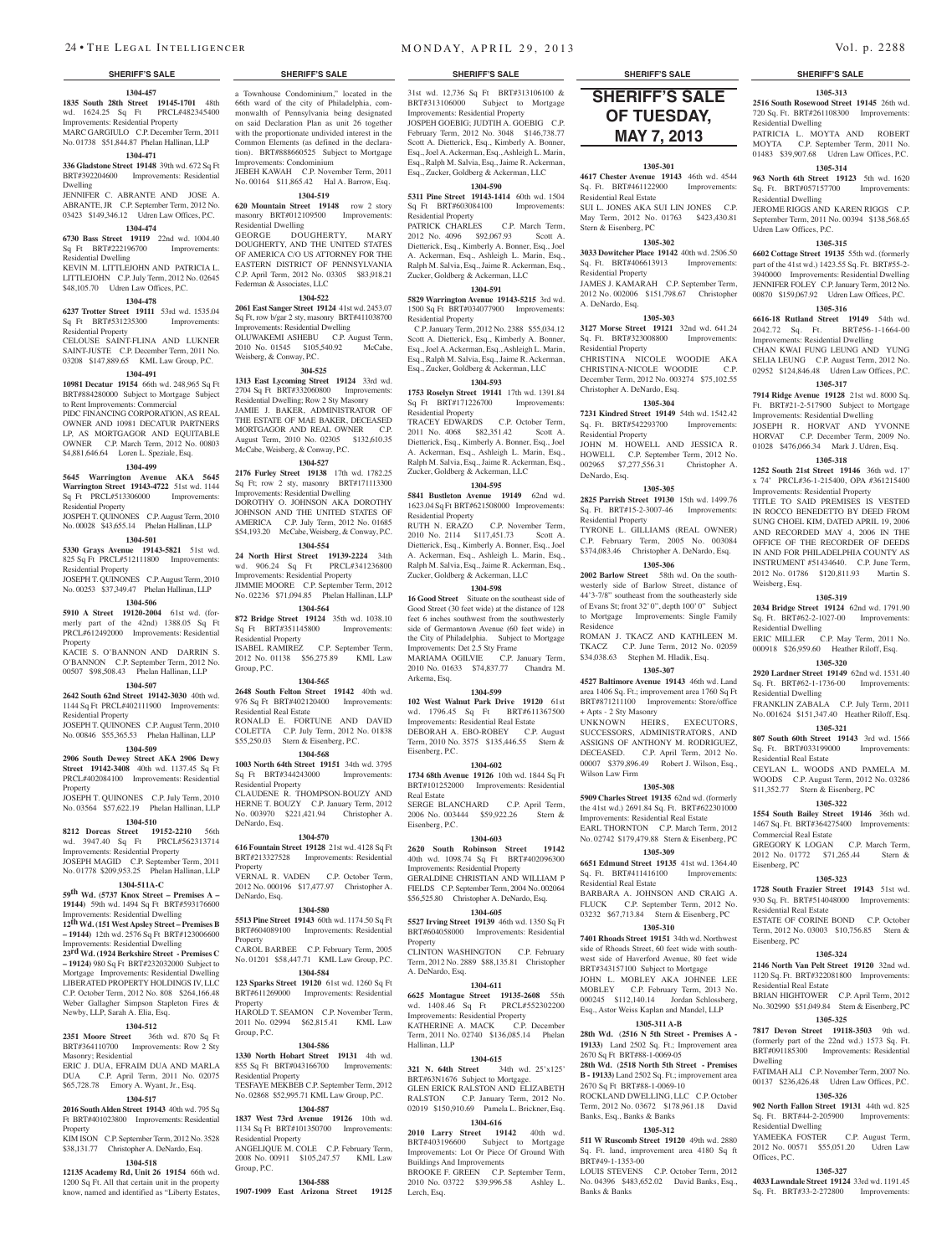### **1304-457 1835 South 28th Street 19145-1701** 48th wd. 1624.25 Sq Ft PRCL#482345400 Improvements: Residential Property MARC GARGIULO C.P. December Term, 2011 No. 01738 \$51,844.87 Phelan Hallinan, LLP

## **1304-471**

Sq Ft BRT#222196700 esidential Dwelling

Residential Property

Residential Property

Residential Property

Residential Property

Property

Property

**336 Gladstone Street 19148** 39th wd. 672 Sq Ft BRT#392204600 Improvements: Residential Dwelling JENNIFER C. ABRANTE AND JOSE A.

**1304-474**

KEVIN M. LITTLEJOHN AND PATRICIA L. LITTLEJOHN C.P. July Term, 2012 No. 02645 \$48,105.70 Udren Law Offices, P.C. **1304-478 6237 Trotter Street 19111** 53rd wd. 1535.04 Sq Ft BRT#531235300 Improvements:

CELOUSE SAINT-FLINA AND LUKNER SAINT-JUSTE C.P. December Term, 2011 No. 03208 \$147,889.65 KML Law Group, P.C. **1304-491 10981 Decatur 19154** 66th wd. 248,965 Sq Ft BRT#884280000 Subject to Mortgage Subject

JOSPEH T. QUINONES C.P. August Term, 2010 No. 00028 \$43,655.14 Phelan Hallinan, LLP **1304-501 5330 Grays Avenue 19143-5821** 51st wd. 825 Sq Ft PRCL#512111800 Improvements:

JOSEPH T. QUINONES C.P. August Term, 2010 No. 00253 \$37,349.47 Phelan Hallinan, LLP **1304-506 5910 A Street 19120-2004** 61st wd. (formerly part of the 42nd) 1388.05 Sq Ft PRCL#612492000 Improvements: Residential

KACIE S. O'BANNON AND DARRIN S. O'BANNON C.P. September Term, 2012 No. 00507 \$98,508.43 Phelan Hallinan, LLP **1304-507 2642 South 62nd Street 19142-3030** 40th wd. 1144 Sq Ft PRCL#402111900 Improvements:

JOSEPH T. QUINONES C.P. August Term, 2010 No. 00846 \$55,365.53 Phelan Hallinan, LLP **1304-509 2906 South Dewey Street AKA 2906 Dewy Street 19142-3408** 40th wd. 1137.45 Sq Ft PRCL#402084100 Improvements: Residential

JOSEPH T. QUINONES C.P. July Term, 2010 No. 03564 \$57,622.19 Phelan Hallinan, LLP **1304-510 8212 Dorcas Street 19152-2210** 56th wd. 3947.40 Sq Ft PRCL#562313714 Improvements: Residential Property JOSEPH MAGID C.P. September Term, 2011 No. 01778 \$209,953.25 Phelan Hallinan, LLP **1304-511A-C 59th Wd. (5737 Knox Street – Premises A – 19144)** 59th wd. 1494 Sq Ft BRT#593176600 Improvements: Residential Dwelling **12th Wd. (151 West Apsley Street – Premises B – 19144)** 12th wd. 2576 Sq Ft BRT#123006600 Improvements: Residential Dwelling **23rd Wd. (1924 Berkshire Street - Premises C – 19124)** 980 Sq Ft BRT#232032000 Subject to Mortgage Improvements: Residential Dwelling LIBERATED PROPERTY HOLDINGS IV, LLC C.P. October Term, 2012 No. 808 \$264,166.48 Weber Gallagher Simpson Stapleton Fires &

Newby, LLP, Sarah A. Elia, Esq.

Masonry; Residential

Property

**1304-512 2351 Moore Street** 36th wd. 870 Sq Ft BRT#364110700 Improvements: Row 2 Sty

ERIC J. DUA, EFRAIM DUA AND MARLA DUA C.P. April Term, 2011 No. 02075 \$65,728.78 Emory A. Wyant, Jr., Esq. **1304-517 2016 South Alden Street 19143** 40th wd. 795 Sq Ft BRT#401023800 Improvements: Residential

KIM ISON C.P. September Term, 2012 No. 3528 \$38,131.77 Christopher A. DeNardo, Esq. **1304-518 12135 Academy Rd, Unit 26 19154** 66th wd. 1200 Sq Ft. All that certain unit in the property know, named and identified as "Liberty Estates,

to Rent Improvements: Commercial PIDC FINANCING CORPORATION, AS REAL. OWNER AND 10981 DECATUR PARTNERS LP, AS MORTGAGOR AND EQUITABLE OWNER C.P. March Term, 2012 No. 00803 \$4,881,646.64 Loren L. Speziale, Esq. **1304-499 5645 Warrington Avenue AKA 5645 Warrington Street 19143-4722** 51st wd. 1144 Sq Ft PRCL#513306000 Improvements:

### ABRANTE, JR C.P. September Term, 2012 No. 03423 \$149,346.12 Udren Law Offices, P.C. **1304-519 620 Mountain Street 19148** row 2 story masonry BRT#012109500 Improvements:

**6730 Bass Street 19119** 22nd wd. 1004.40 Residential Dwelling GEORGE DOUGHERTY, MARY DOUGHERTY, AND THE UNITED STATES OF AMERICA C/O US ATTORNEY FOR THE

Improvements: Condominium

EASTERN DISTRICT OF PENNSYLVANIA C.P. April Term, 2012 No. 03305 \$83,918.21 Federman & Associates, LLC **1304-522**

a Townhouse Condominium," located in the 66th ward of the city of Philadelphia, commonwalth of Pennsylvania being designated on said Declaration Plan as unit 26 together with the proportionate undivided interest in the Common Elements (as defined in the declaration). BRT#888660525 Subject to Mortgage

JEBEH KAWAH C.P. November Term, 2011 No. 00164 \$11,865.42 Hal A. Barrow, Esq.

### **2061 East Sanger Street 19124** 41st wd. 2453.07 Sq Ft, row b/gar 2 sty, masonry BRT#411038700

Improvements: Residential Dwelling OLUWAKEMI ASHEBU C.P. August Term, 2010 No. 01545 \$105,540.92 McCabe, Weisberg, & Conway, P.C.

### **304-525**

**1313 East Lycoming Street 19124** 33rd wd. 2704 Sq Ft BRT#332060800 Improvements: Residential Dwelling; Row 2 Sty Masonry JAMIE J. BAKER, ADMINISTRATOR OF THE ESTATE OF MAE BAKER, DECEASED MORTGAGOR AND REAL OWNER C.P. August Term, 2010 No. 02305 \$132,610.35 McCabe, Weisberg, & Conway, P.C.

### **1304-527**

**2176 Furley Street 19138** 17th wd. 1782.25 Sq Ft; row 2 sty, masonry BRT#171113300 Improvements: Residential Dwelling DOROTHY O. JOHNSON AKA DOROTHY JOHNSON AND THE UNITED STATES OF AMERICA C.P. July Term, 2012 No. 01685 \$54,193.20 McCabe, Weisberg, & Conway, P.C.

### **1304-554**

**24 North Hirst Street 19139-2224** 34th wd. 906.24 Sq Ft Improvements: Residential Property JIMMIE MOORE C.P. September Term, 2012 No. 02236 \$71,094.85 Phelan Hallinan, LLP **1304-564**

**872 Bridge Street 19124** 35th wd. 1038.10<br>
Sq Ft BRT#351145800 Improvements:  $Sq$  Ft BRT#351145800 Residential Property ISABEL RAMIREZ C.P. September Term,<br>2012 No. 01138 \$56,275.89 KML Law

2012 No. 01138 \$56,275.89 Group, P.C. **1304-565**

**2648 South Felton Street 19142** 40th wd. 976 Sq Ft BRT#402120400 Improvements: Residential Real Estate RONALD E. FORTUNE AND DAVID COLETTA C.P. July Term, 2012 No. 01838 \$55,250.03 Stern & Eisenberg, P.C.

## **1304-568**

**1003 North 64th Street 19151** 34th wd. 3795 Sq Ft BRT#344243000 Residential Property CLAUDENE R. THOMPSON-BOUZY AND HERNE T. BOUZY C.P. January Term, 2012 No. 003970 \$221,421.94 Christopher A. DeNardo, Esq.

### **1304-570**

DeNardo, Esq.

**616 Fountain Street 19128** 21st wd. 4128 Sq Ft BRT#213327528 Improvements: Residential **Property** VERNAL R. VADEN C.P. October Term, 2012 No. 000196 \$17,477.97 Christopher A.

### **1304-580**

**5513 Pine Street 19143** 60th wd. 1174.50 Sq Ft BRT#604089100 Improvements: Residential Property CAROL BARBEE C.P. February Term, 2005 No. 01201 \$58,447.71 KML Law Group, P.C.

### **1304-584**

**123 Sparks Street 19120** 61st wd. 1260 Sq Ft BRT#611269000 Improvements: Residential Property HAROLD T. SEAMON C.P. November Term, 2011 No. 02994 \$62,815.41 KML Law

# Group, P.C.

**1304-586 1330 North Hobart Street 19131** 4th wd. 855 Sq Ft BRT#043166700 Improvements: Residential Property TESFAYE MEKBEB C.P. September Term, 2012 No. 02868 \$52,995.71 KML Law Group, P.C.

### **1304-587**

**1837 West 73rd Avenue 19126** 10th wd. 1134 Sq Ft BRT#101350700 Improvements: Residential Property

ANGELIQUE M. COLE C.P. February Term, 2008 No. 00911 \$105,247.57 KML Law Group, P.C.

### **1304-588**

**1907-1909 East Arizona Street 19125** 

## **SHERIFF'S SALE SHERIFF'S SALE SHERIFF'S SALE SHERIFF'S SALE SHERIFF'S SALE**

31st wd. 12,736 Sq Ft BRT#313106100 & BRT#313106000 Subject to Mortgage Improvements: Residential Property JOSPEH GOEBIG; JUDTIH A. GOEBIG C.P. February Term, 2012 No. 3048 \$146,738.77 Scott A. Dietterick, Esq., Kimberly A. Bonner, Esq., Joel A. Ackerman, Esq., Ashleigh L. Marin, Esq., Ralph M. Salvia, Esq., Jaime R. Ackerman, Esq., Zucker, Goldberg & Ackerman, LLC

## **1304-590**

**5311 Pine Street 19143-1414** 60th wd. 1504<br>Sq Ft BRT#603084100 Improvements: Sq Ft BRT#603084100 Residential Property

PATRICK CHARLES C.P. March Term, 2012 No. 4096 \$92,067.93 Scott A. Dietterick, Esq., Kimberly A. Bonner, Esq., Joel A. Ackerman, Esq., Ashleigh L. Marin, Esq., Ralph M. Salvia, Esq., Jaime R. Ackerman, Esq., Zucker, Goldberg & Ackerman, LLC

### **1304-591**

**5829 Warrington Avenue 19143-5215** 3rd wd. 1500 Sq Ft BRT#034077900 Improvements: Residential Property

 C.P. January Term, 2012 No. 2388 \$55,034.12 Scott A. Dietterick, Esq., Kimberly A. Bonner, Esq., Joel A. Ackerman, Esq., Ashleigh L. Marin, Esq., Ralph M. Salvia, Esq., Jaime R. Ackerman, Esq., Zucker, Goldberg & Ackerman, LLC

## **1304-593**

**1753 Roselyn Street 19141** 17th wd. 1391.84 Sq Ft BRT#171226700 Improvements: Residential Property

TRACEY EDWARDS C.P. October Term, 2011 No. 4068 \$82,351.42 Scott A. Dietterick, Esq., Kimberly A. Bonner, Esq., Joel A. Ackerman, Esq., Ashleigh L. Marin, Esq., Ralph M. Salvia, Esq., Jaime R. Ackerman, Esq., Zucker, Goldberg & Ackerman, LLC

## **1304-595**

**5841 Bustleton Avenue 19149** 62nd wd. 1623.04 Sq Ft BRT#621508000 Improvements: Residential Property<br>RUTH N ERAZO

C.P. November Term, 2010 No. 2114 \$117,451.73 Scott A. Dietterick, Esq., Kimberly A. Bonner, Esq., Joel A. Ackerman, Esq., Ashleigh L. Marin, Esq., Ralph M. Salvia, Esq., Jaime R. Ackerman, Esq., Zucker, Goldberg & Ackerman, LLC

## **1304-598**

**16 Good Street** Situate on the southeast side of Good Street (30 feet wide) at the distance of 128 feet 6 inches southwest from the southwesterly side of Germantown Avenue (60 feet wide) in the City of Philadelphia. Subject to Mortgage Improvements: Det 2.5 Sty Frame MARIAMA OGILVIE C.P. January Term, 2010 No. 01633 \$74,837.77 Chandra M. Arkema, Esq.

### **1304-599**

**102 West Walnut Park Drive 19120** 61st wd. 1796.45 Sq Ft BRT#611367500 Improvements: Residential Real Estate DEBORAH A. EBO-ROBEY C.P. August Term, 2010 No. 3575 \$135,446.55 Stern & Eisenberg, P.C.

### **1304-602**

**1734 68th Avenue 19126** 10th wd. 1844 Sq Ft BRT#101252000 Improvements: Residential Real Estate SERGE BLANCHARD C.P. April Term, 2006 No. 003444 \$59,922.26 Stern & Eisenberg, P.C.

### **1304-603**

**2620 South Robinson Street 19142**  40th wd. 1098.74 Sq Ft BRT#402096300 Improvements: Residential Property GERALDINE CHRISTIAN AND WILLIAM P FIELDS C.P. September Term, 2004 No. 002064 \$56,525.80 Christopher A. DeNardo, Esq.

### **1304-605**

**5527 Irving Street 19139** 46th wd. 1350 Sq Ft BRT#604058000 Improvements: Residential Property CLINTON WASHINGTON C.P. February

Term, 2012 No. 2889 \$88,135.81 Christopher A. DeNardo, Esq.

## **1304-611**

**6625 Montague Street 19135-2608** 55th wd. 1408.46 Sq Ft PRCL#552302200 Improvements: Residential Property<br>KATHERINE A. MACK C.P. December KATHERINE A. MACK Term, 2011 No. 02740 \$136,085.14 Phelan Hallinan, LLP

### **1304-615**

**321 N. 64th Street** 34th wd. 25'x125' BRT#63N1676 Subject to Mortgage. GLEN ERICK RALSTON AND ELIZABETH RALSTON C.P. January Term, 2012 No. 02019 \$150,910.69 Pamela L. Brickner, Esq.

**1304-616 2010 Larry Street 19142** 40th wd. BRT#403196600 Subject to Mortgage Improvements: Lot Or Piece Of Ground With Buildings And Improvements

BROOKE F. GREEN C.P. September Term, 2010 No. 03722 \$39,996.58 Ashley L. Lerch, Esq.

# **SHERIFF'S SALE**

**1305-313 2516 South Rosewood Street 19145** 26th wd. 720 Sq. Ft. BRT#261108300 Improvements:

PATRICIA L. MOYTA AND ROBERT MOYTA C.P. September Term, 2011 No. 01483 \$39,907.68 Udren Law Offices, P.C. **1305-314 963 North 6th Street 19123** 5th wd. 1620 Sq. Ft. BRT#057157700 Improvements:

JEROME RIGGS AND KAREN RIGGS C.P. September Term, 2011 No. 00394 \$138,568.65

**1305-315 6602 Cottage Street 19135** 55th wd. (formerly part of the 41st wd.) 1423.55 Sq. Ft. BRT#55-2- 3940000 Improvements: Residential Dwelling JENNIFER FOLEY C.P. January Term, 2012 No. 00870 \$159,067.92 Udren Law Offices, P.C. **1305-316 6616-18 Rutland Street 19149** 54th wd. 2042.72 Sq. Ft. BRT#56-1-1664-00 Improvements: Residential Dwelling CHAN KWAI FUNG LEUNG AND YUNG SELIA LEUNG C.P. August Term, 2012 No. 02952 \$124,846.48 Udren Law Offices, P.C. **1305-317 7914 Ridge Avenue 19128** 21st wd. 8000 Sq. Ft. BRT#21-2-517900 Subject to Mortgage Improvements: Residential Dwelling JOSEPH R. HORVAT AND YVONNE HORVAT C.P. December Term, 2009 No. 01028 \$476,066.34 Mark J. Udren, Esq. **1305-318 1252 South 21st Street 19146** 36th wd. 17' x 74' PRCL#36-1-215400, OPA #361215400 Improvements: Residential Property TITLE TO SAID PREMISES IS VESTED IN ROCCO BENEDETTO BY DEED FROM SUNG CHOEL KIM, DATED APRIL 19, 2006 AND RECORDED MAY 4, 2006 IN THE OFFICE OF THE RECORDER OF DEEDS IN AND FOR PHILADELPHIA COUNTY AS INSTRUMENT #51434640. C.P. June Term, 2012 No. 01786 \$120,811.93 Martin S.

Residential Dwelling

Residential Dwelling

Udren Law Offices, P.C.

Weisberg, Esq.

Residential Dwelling

Residential Dwelling

Residential Real Estate

Commercial Real Estate

Residential Real Estate

Residential Real Estate

Residential Dwelling

Offices, P.C.

Eisenberg, PC

Eisenberg, PC

Dwelling

**1305-319 2034 Bridge Street 19124** 62nd wd. 1791.90 Sq. Ft. BRT#62-2-1027-00 Improvements:

ERIC MILLER C.P. May Term, 2011 No. 000918 \$26,959.60 Heather Riloff, Esq. **1305-320 2920 Lardner Street 19149** 62nd wd. 1531.40 Sq. Ft. BRT#62-1-1736-00 Improvements:

FRANKLIN ZABALA C.P. July Term, 2011 No. 001624 \$151,347.40 Heather Riloff, Esq. **1305-321 807 South 60th Street 19143** 3rd wd. 1566 Sq. Ft. BRT#033199000 Improvements:

CEYLAN L. WOODS AND PAMELA M. WOODS C.P. August Term, 2012 No. 03286 \$11,352.77 Stern & Eisenberg, PC **1305-322 1554 South Bailey Street 19146** 36th wd. 1467 Sq. Ft. BRT#364275400 Improvements:

GREGORY K LOGAN C.P. March Term, 2012 No. 01772 \$71,265.44 Stern &

**1305-323 1728 South Frazier Street 19143** 51st wd. 930 Sq. Ft. BRT#514048000 Improvements:

ESTATE OF CORINE BOND C.P. October Term, 2012 No. 03003 \$10,756.85 Stern &

**1305-324 2146 North Van Pelt Street 19120** 32nd wd. 1120 Sq. Ft. BRT#322081800 Improvements:

BRIAN HIGHTOWER C.P. April Term, 2012 No. 302990 \$51,049.84 Stern & Eisenberg, PC **1305-325 7817 Devon Street 19118-3503** 9th wd. (formerly part of the 22nd wd.) 1573 Sq. Ft.<br>BRT#091185300 Improvements: Residential

FATIMAH ALI C.P. November Term, 2007 No. 00137 \$236,426.48 Udren Law Offices, P.C. **1305-326 902 North Fallon Street 19131** 44th wd. 825 Sq. Ft. BRT#44-2-205900 Improvements:

YAMEEKA FOSTER C.P. August Term, 2012 No. 00571 \$55,051.20 Udren Law

**1305-327 4033 Lawndale Street 19124** 33rd wd. 1191.45 Sq. Ft. BRT#33-2-272800 Improvements:

Improvements: Residential

# **OF TUESDAY, May 7, 2013**

### **1305-301**

**4617 Chester Avenue 19143** 46th wd. 4544 Sq. Ft. BRT#461122900 Improvements: Residential Real Estate SUI L. JONES AKA SUI LIN JONES C.P.

May Term, 2012 No. 01763 \$423,430.81 Stern & Eisenberg, PC **1305-302**

## **3033 Dowitcher Place 19142** 40th wd. 2506.50

Sq. Ft. BRT#406613913 Improvements: Residential Property JAMES J. KAMARAH C.P. September Term,

2012 No. 002006 \$151,798.67 Christopher A. DeNardo, Esq.

## **1305-303**

**3127 Morse Street 19121** 32nd wd. 641.24 Sq. Ft. BRT#323008800 Improvements: Residential Property

CHRISTINA NICOLE WOODIE AKA CHRISTINA-NICOLE WOODIE C.P. December Term, 2012 No. 003274 \$75,102.55 Christopher A. DeNardo, Esq.

### **1305-304**

**7231 Kindred Street 19149** 54th wd. 1542.42 Sq. Ft. BRT#542293700 Improvements: Residential Property

JOHN M. HOWELL AND JESSICA R. HOWELL C.P. September Term, 2012 No. 002965 \$7,277,556.31 Christopher A. DeNardo, Esq.

## **1305-305**

**2825 Parrish Street 19130** 15th wd. 1499.76 Sq. Ft. BRT#15-2-3007-46 Improvements: Residential Property TYRONE L. GILLIAMS (REAL OWNER) C.P. February Term, 2005 No. 003084 \$374,083.46 Christopher A. DeNardo, Esq.

### **1305-306**

**2002 Barlow Street** 58th wd. On the southwesterly side of Barlow Street, distance of 44'3-7/8" southeast from the southeasterly side of Evans St; front 32' 0", depth 100' 0" Subject to Mortgage Improvements: Single Family Residence ROMAN J. TKACZ AND KATHLEEN M.

TKACZ C.P. June Term, 2012 No. 02059 \$34,038.63 Stephen M. Hladik, Esq. **1305-307**

**4527 Baltimore Avenue 19143** 46th wd. Land area 1406 Sq. Ft.; improvement area 1760 Sq Ft BRT#871211100 Improvements: Store/office + Apts - 2 Sty Masonry

UNKNOWN HEIRS, EXECUTORS, SUCCESSORS, ADMINISTRATORS, AND ASSIGNS OF ANTHONY M. RODRIGUEZ, DECEASED. C.P. April Term, 2012 No. 00007 \$379,896.49 Robert J. Wilson, Esq., Wilson Law Firm

### **1305-308**

**5909 Charles Street 19135** 62nd wd. (formerly the 41st wd.) 2691.84 Sq. Ft. BRT#622301000 Improvements: Residential Real Estate

EARL THORNTON C.P. March Term, 2012 No. 02742 \$179,479.88 Stern & Eisenberg, PC

## **1305-309**

**6651 Edmund Street 19135** 41st wd. 1364.40<br>Sq. Ft. BRT#411416100 Improvements: Sq. Ft. BRT#411416100 Residential Real Estate

BARBARA A. JOHNSON AND CRAIG A. FLUCK C.P. September Term, 2012 No. 03232 \$67,713.84 Stern & Eisenberg, PC **1305-310**

**7401 Rhoads Street 19151** 34th wd. Northwest side of Rhoads Street, 60 feet wide with southwest side of Haverford Avenue, 80 feet wide BRT#343157100 Subject to Mortgage JOHN L. MOBLEY AKA JOHNEE LEE MOBLEY C.P. February Term, 2013 No. 000245 \$112,140.14 Jordan Schlossberg, Esq., Astor Weiss Kaplan and Mandel, LLP

### **1305-311 A-B**

**28th Wd.** (**2516 N 5th Street - Premises A - 19133)** Land 2502 Sq. Ft.; Improvement area 2670 Sq Ft BRT#88-1-0069-05

### **28th Wd.** (**2518 North 5th Street - Premises B - 19133)** Land 2502 Sq. Ft.; improvement area 2670 Sq Ft BRT#88-1-0069-10 ROCKLAND DWELLING, LLC C.P. October

Term, 2012 No. 03672 \$178,961.18 David

**1305-312 511 W Ruscomb Street 19120** 49th wd. 2880 Sq. Ft. land, improvement area 4180 Sq ft

LOUIS STEVENS C.P. October Term, 2012 No. 04396 \$483,652.02 David Banks, Esq.,

Banks, Esq., Banks & Banks

BRT#49-1-1353-00

Banks & Banks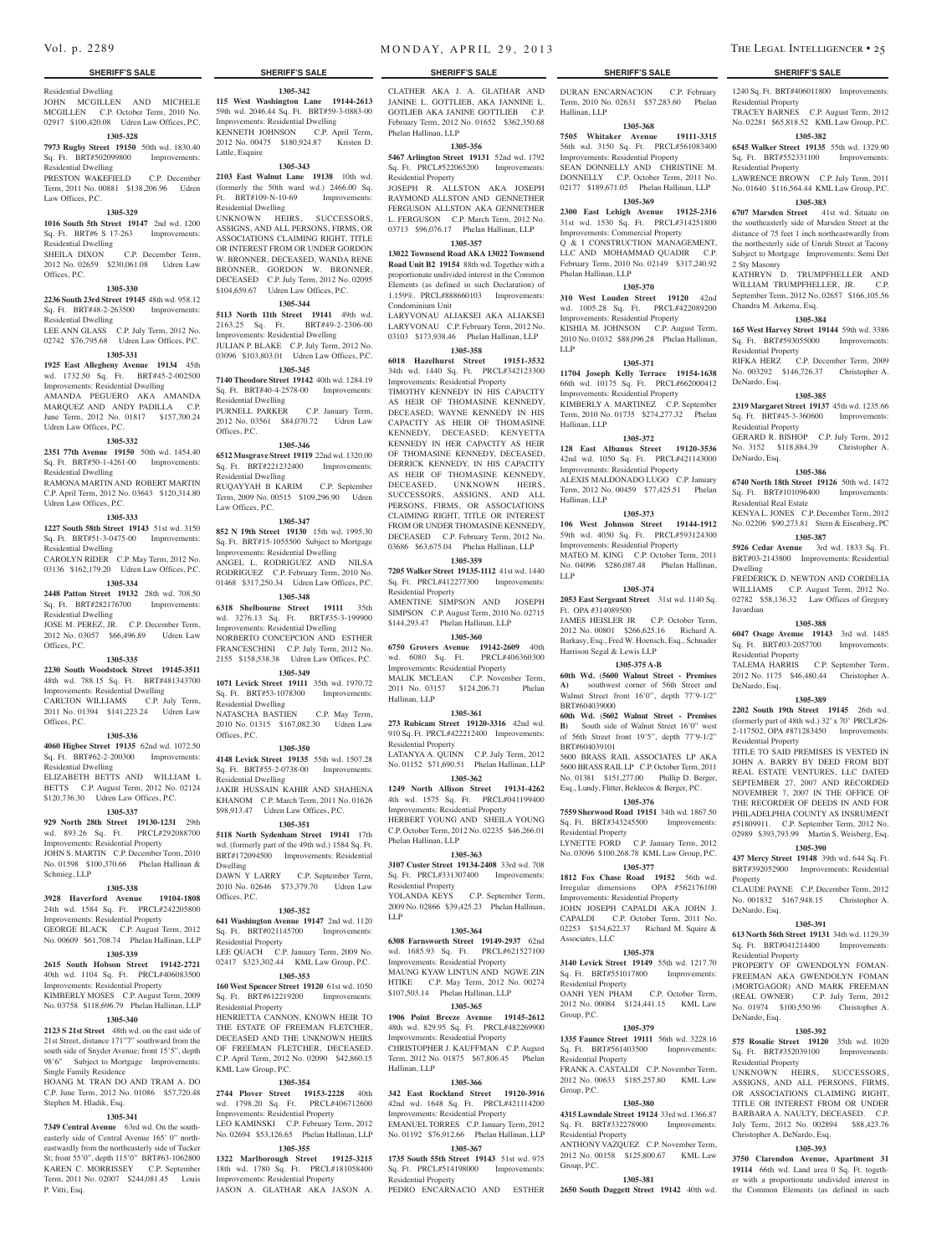## Residential Dwelling

JOHN MCGILLEN AND MICHELE **115 West Washington Lane 19144-2613**  MCGILLEN C.P. October Term, 2010 No. 02917 \$100,420.08 Udren Law Offices, P.C.

### **1305-328**

**7973 Rugby Street 19150** 50th wd. 1830.40 Sq. Ft. BRT#502099800 Improvements: Residential Dwelling

PRESTON WAKEFIELD C.P. December Term, 2011 No. 00881 \$138,206.96 Udren Law Offices, P.C.

### **1305-329**

**1016 South 5th Street 19147** 2nd wd. 1200 Sq. Ft. BRT#6 S 17-263 Improvements: Residential Dwelling

SHEILA DIXON C.P. December Term, 2012 No. 02659 \$230,061.08 Udren Law

### **1305-330**

Offices, P.C.

**2236 South 23rd Street 19145** 48th wd. 958.12 Sq. Ft. BRT#48-2-263500 Improvements:

Residential Dwelling LEE ANN GLASS C.P. July Term, 2012 No. 02742 \$76,795.68 Udren Law Offices, P.C.

### **1305-331**

**1925 East Allegheny Avenue 19134** 45th wd. 1732.50 Sq. Ft. BRT#45-2-002500 Improvements: Residential Dwelling AMANDA PEGUERO AKA AMANDA MARQUEZ AND ANDY PADILLA C.P. June Term, 2012 No. 01817 \$157,700.24

Udren Law Offices, P.C. **1305-332**

### **2351 77th Avenue 19150** 50th wd. 1454.40

Sq. Ft. BRT#50-1-4261-00 Improvements: Residential Dwelling

RAMONA MARTIN AND ROBERT MARTIN C.P. April Term, 2012 No. 03643 \$120,314.80 Udren Law Offices, P.C.

## **1305-333**

**1227 South 58th Street 19143** 51st wd. 3150

## Sq. Ft. BRT#51-3-0475-00 Improvements:

Residential Dwelling CAROLYN RIDER C.P. May Term, 2012 No. 03136 \$162,179.20 Udren Law Offices, P.C.

### **1305-334**

**2448 Patton Street 19132** 28th wd. 708.50 Sq. Ft. BRT#282176700 Improvements: Residential Dwelling

### JOSE M. PEREZ, JR. C.P. December Term, 2012 No. 03057 \$66,496.89 Udren Law Offices, P.C.

### **1305-335**

**2230 South Woodstock Street 19145-3511**  48th wd. 788.15 Sq. Ft. BRT#481343700 Improvements: Residential Dwelling CARLTON WILLIAMS C.P. July Term,

## 2011 No. 01394 \$141,223.24 Udren Law Offices, P.C.

## **1305-336**

**4060 Higbee Street 19135** 62nd wd. 1072.50 Sq. Ft. BRT#62-2-200300 Improvements: Residential Dwelling ELIZABETH BETTS AND WILLIAM L

BETTS C.P. August Term, 2012 No. 02124 \$120,736.30 Udren Law Offices, P.C.

## **1305-337**

**929 North 28th Street 19130-1231** 29th wd. 893.26 Sq. Ft. PRCL#292088700 Improvements: Residential Property JOHN S. MARTIN C.P. December Term, 2010 No. 01598 \$100,370.66 Phelan Hallinan &

### Schmieg, LLP

## **1305-338**

**3928 Haverford Avenue 19104-1808**  24th wd. 1584 Sq. Ft. PRCL#242205800 Improvements: Residential Property

## GEORGE BLACK C.P. August Term, 2012 No. 00609 \$61,708.74 Phelan Hallinan, LLP

**1305-339 2615 South Hobson Street 19142-2721**  40th wd. 1104 Sq. Ft. PRCL#406083500

### Improvements: Residential Property KIMBERLY MOSES C.P. August Term, 2009 No. 03758 \$118,696.79 Phelan Hallinan, LLP

## **1305-340**

**2123 S 21st Street** 48th wd. on the east side of 21st Street, distance 171"7" southward from the south side of Snyder Avenue; front 15'5", depth 98'6" Subject to Mortgage Improvements: Single Family Residence

HOANG M. TRAN DO AND TRAM A. DO C.P. June Term, 2012 No. 01086 \$57,720.48 Stephen M. Hladik, Esq.

## **1305-341**

**7349 Central Avenue** 63rd wd. On the southeasterly side of Central Avenue 165' 0" northeastwardly from the northeasterly side of Tucker St; front 55'0", depth 115'0" BRT#63-1062800 KAREN C. MORRISSEY C.P. September Term, 2011 No. 02007 \$244,081.45 Louis P. Vitti, Esq.

**1305-342**

59th wd. 2046.44 Sq. Ft. BRT#59-3-0883-00 Improvements: Residential Dwelling KENNETH JOHNSON C.P. April Term, 2012 No. 00475 \$180,924.87 Kristen D. Little, Esquire

### **1305-343**

**2103 East Walnut Lane 19138** 10th wd. (formerly the 50th ward wd.) 2466.00 Sq. Ft. BRT#109-N-10-69 Improvements: Residential Dwelling UNKNOWN HEIRS, SUCCESSORS,

ASSIGNS, AND ALL PERSONS, FIRMS, OR ASSOCIATIONS CLAIMING RIGHT, TITLE OR INTEREST FROM OR UNDER GORDON W. BRONNER, DECEASED, WANDA RENE BRONNER, GORDON W. BRONNER, DECEASED C.P. July Term, 2012 No. 02095 \$104,659.67 Udren Law Offices, P.C.

## **1305-344**

**5113 North 11th Street 19141** 49th wd. 2163.25 Sq. Ft. BRT#49-2-2306-00 Improvements: Residential Dwelling JULIAN P. BLAKE C.P. July Term, 2012 No. 03096 \$103,803.01 Udren Law Offices, P.C.

### **1305-345**

**7140 Theodore Street 19142** 40th wd. 1284.19 Sq. Ft. BRT#40-4-2578-00 Improvements: Residential Dwelling PURNELL PARKER C.P. January Term, 2012 No. 03561 \$84,070.72 Udren Law

### **1305-346**

Offices, P.C.

**6512 Musgrave Street 19119** 22nd wd. 1320.00 Sq. Ft. BRT#221232400 Improvements: Residential Dwelling

RUQAYYAH B KARIM C.P. September Term, 2009 No. 00515 \$109,296.90 Udren Law Offices, P.C.

### **1305-347**

**852 N 19th Street 19130** 15th wd. 1995.30 Sq. Ft. BRT#15-1055500 Subject to Mortgage Improvements: Residential Dwelling ANGEL L. RODRIGUEZ AND NILSA RODRIGUEZ C.P. February Term, 2010 No. 01468 \$317,250.34 Udren Law Offices, P.C.

### **1305-348**

**6318 Shelbourne Street 19111** 35th wd. 3276.13 Sq. Ft. BRT#35-3-199900 Improvements: Residential Dwelling NORBERTO CONCEPCION AND ESTHER FRANCESCHINI C.P. July Term, 2012 No. 2155 \$158,538.38 Udren Law Offices, P.C. **1305-349**

## **1071 Levick Street 19111** 35th wd. 1970.72

Sq. Ft. BRT#53-1078300 Improvements: Residential Dwelling NATASCHA BASTIEN C.P. May Term, 2010 No. 01315 \$167,082.30 Udren Law Offices, P.C.

### **1305-350**

**4148 Levick Street 19135** 55th wd. 1507.28 Sq. Ft. BRT#55-2-0738-00 Improvements: Residential Dwelling JAKIR HUSSAIN KAHIR AND SHAHENA

KHANOM C.P. March Term, 2011 No. 01626 \$98,913.47 Udren Law Offices, P.C. **1305-351**

## **5118 North Sydenham Street 19141** 17th

wd. (formerly part of the 49th wd.) 1584 Sq. Ft. BRT#172094500 Improvements: Residential Dwelling DAWN Y LARRY C.P. September Term, 2010 No. 02646 \$73,379.70 Udren Law

### **1305-352**

Offices, P.C.

**641 Washington Avenue 19147** 2nd wd. 1120 Sq. Ft. BRT#021145700 Improvements:

## Residential Property

LEE QUACH C.P. January Term, 2009 No. 02417 \$323,302.44 KML Law Group, P.C. **1305-353**

### **160 West Spencer Street 19120** 61st wd. 1050 Sq. Ft. BRT#612219200 Improvements:

Residential Property HENRIETTA CANNON, KNOWN HEIR TO THE ESTATE OF FREEMAN FLETCHER, DECEASED AND THE UNKNOWN HEIRS OF FREEMAN FLETCHER, DECEASED. C.P. April Term, 2012 No. 02090 \$42,860.15 KML Law Group, P.C.

### **1305-354**

**2744 Plover Street 19153-2228** 40th wd. 1798.20 Sq. Ft. PRCL#406712600 Improvements: Residential Property LEO KAMINSKI C.P. February Term, 2012 No. 02694 \$53,126.65 Phelan Hallinan, LLP

### **1305-355**

**1322 Marlborough Street 19125-3215**  18th wd. 1780 Sq. Ft. PRCL#181058400 Improvements: Residential Property

JASON A. GLATHAR AKA JASON A.

### **SHERIFF'S SALE SHERIFF'S SALE SHERIFF'S SALE SHERIFF'S SALE SHERIFF'S SALE**

DURAN ENCARNACION C.P. February Term, 2010 No. 02631 \$57,283.60 Phelan 1240 Sq. Ft. BRT#406011800 Improvements:

TRACEY BARNES C.P. August Term, 2012 No. 02281 \$65,818.52 KML Law Group, P.C. **1305-382 6545 Walker Street 19135** 55th wd. 1329.90 Sq. Ft. BRT#552331100 Improvements:

LAWRENCE BROWN C.P. July Term, 2011 No. 01640 \$116,564.44 KML Law Group, P.C. **1305-383 6707 Marsden Street** 41st wd. Situate on the southeasterly side of Marsden Street at the distance of 75 feet 1 inch northeastwardly from the northesterly side of Unruh Street at Tacony Subject to Mortgage Improvements: Semi Det

KATHRYN D. TRUMPFHELLER AND WILLIAM TRUMPFHELLER, JR. C.P. September Term, 2012 No. 02657 \$166,105.56

**1305-384 165 West Harvey Street 19144** 59th wd. 3386 Sq. Ft. BRT#593055000 Improvements:

RIFKA HERZ C.P. December Term, 2009 No. 003292 \$146,726.37 Christopher A.

**1305-385 2319 Margaret Street 19137** 45th wd. 1235.66 Sq. Ft. BRT#45-3-360600 Improvements:

GERARD R. BISHOP C.P. July Term, 2012 No. 3152 \$118,884.39 Christopher A.

**1305-386 6740 North 18th Street 19126** 50th wd. 1472 Sq. Ft. BRT#101096400 Improvements:

KENYA L. JONES C.P. December Term, 2012 No. 02206 \$90,273.81 Stern & Eisenberg, PC **1305-387 5926 Cedar Avenue** 3rd wd. 1833 Sq. Ft. BRT#03-2143800 Improvements: Residential

FREDERICK D. NEWTON AND CORDELIA WILLIAMS C.P. August Term, 2012 No. 02782 \$58,136.32 Law Offices of Gregory

**1305-388 6047 Osage Avenue 19143** 3rd wd. 1485 Sq. Ft. BRT#03-2057700 Improvements:

TALEMA HARRIS C.P. September Term, 2012 No. 1175 \$46,480.44 Christopher A.

**1305-389 2202 South 19th Street 19145** 26th wd. (formerly part of 48th wd.) 32' x 70' PRCL#26- 2-117502, OPA #871283450 Improvements:

TITLE TO SAID PREMISES IS VESTED IN JOHN A. BARRY BY DEED FROM BDT REAL ESTATE VENTURES, LLC DATED SEPTEMBER 27, 2007 AND RECORDED NOVEMBER 7, 2007 IN THE OFFICE OF THE RECORDER OF DEEDS IN AND FOR PHILADELPHIA COUNTY AS INSRUMENT #51809911. C.P. September Term, 2012 No. 02989 \$393,793.99 Martin S. Weisberg, Esq. **1305-390 437 Mercy Street 19148** 39th wd. 644 Sq. Ft. BRT#392052900 Improvements: Residential

CLAUDE PAYNE C.P. December Term, 2012 No. 001832 \$167,948.15 Christopher A.

**1305-391 613 North 56th Street 19131** 34th wd. 1129.39 Sq. Ft. BRT#041214400 Improvements:

PROPERTY OF GWENDOLYN FOMAN-FREEMAN AKA GWENDOLYN FOMAN (MORTGAGOR) AND MARK FREEMAN (REAL OWNER) C.P. July Term, 2012 No. 01974 \$100,550.96 Christopher A.

**1305-392 575 Rosalie Street 19120** 35th wd. 1020 Sq. Ft. BRT#352039100 Improvements:

UNKNOWN HEIRS, SUCCESSORS, ASSIGNS, AND ALL PERSONS, FIRMS, OR ASSOCIATIONS CLAIMING RIGHT, TITLE OR INTEREST FROM OR UNDER BARBARA A. NAULTY, DECEASED. C.P. July Term, 2012 No. 002894 \$88,423.76

**1305-393 3750 Clarendon Avenue, Apartment 31 19114** 66th wd. Land area 0 Sq. Ft. together with a proportionate undivided interest in the Common Elements (as defined in such

Residential Property

Residential Property

2 Sty Masonry

Chandra M. Arkema, Esq.

Residential Property

Residential Property

Residential Real Estate

DeNardo, Esq.

Dwelling

Javardian

Residential Property

Residential Property

Property

DeNardo, Esq.

Residential Property

DeNardo, Esq.

Residential Property

Christopher A. DeNardo, Esq.

DeNardo, Esq.

DeNardo, Esq.

**1305-368 7505 Whitaker Avenue 19111-3315**  56th wd. 3150 Sq. Ft. PRCL#561083400 Improvements: Residential Property SEAN DONNELLY AND CHRISTINE M. DONNELLY C.P. October Term, 2011 No. 02177 \$189,671.05 Phelan Hallinan, LLP **1305-369 2300 East Lehigh Avenue 19125-2316**  31st wd. 1530 Sq. Ft. PRCL#314251800 Improvements: Commercial Property Q & I CONSTRUCTION MANAGEMENT, LLC AND MOHAMMAD QUADIR C.P. February Term, 2010 No. 02149 \$317,240.92

**1305-370 310 West Louden Street 19120** 42nd wd. 1005.28 Sq. Ft. PRCL#422089200 Improvements: Residential Property KISHIA M. JOHNSON C.P. August Term, 2010 No. 01032 \$88,096.28 Phelan Hallinan,

**1305-371 11704 Joseph Kelly Terrace 19154-1638**  66th wd. 10175 Sq. Ft. PRCL#662000412 Improvements: Residential Property KIMBERLY A. MARTINEZ C.P. September Term, 2010 No. 01735 \$274,277.32 Phelan

**1305-372 128 East Albanus Street 19120-3536**  42nd wd. 1050 Sq. Ft. PRCL#421143000 Improvements: Residential Property ALEXIS MALDONADO LUGO C.P. January Term, 2012 No. 00459 \$77,425.51 Phelan

**1305-373 106 West Johnson Street 19144-1912**  59th wd. 4050 Sq. Ft. PRCL#593124300 Improvements: Residential Property MATEO M. KING C.P. October Term, 2011 No. 04096 \$286,087.48 Phelan Hallinan,

**1305-374 2053 East Sergeant Street** 31st wd. 1140 Sq.

JAMES HEISLER JR C.P. October Term, 2012 No. 00801 \$266,625.16 Richard A. Barkasy, Esq., Fred W. Hoensch, Esq., Schnader

**1305-375 A-B 60th Wd.** (**5600 Walnut Street - Premises A)** southwest corner of 56th Street and Walnut Street front 16'0", depth 77'9-1/2"

**60th Wd.** (**5602 Walnut Street - Premises B**) South side of Walnut Street 16'0" west of 56th Street front 19'5", depth 77'9-1/2"

5600 BRASS RAIL ASSOCIATES LP AKA 5600 BRASS RAIL LP C.P. October Term, 2011 No. 01381 \$151,277.00 Phillip D. Berger, Esq., Lundy, Flitter, Beldecos & Berger, P.C. **1305-376 7559 Sherwood Road 19151** 34th wd. 1867.50 Sq. Ft. BRT#343245500 Improvements:

LYNETTE FORD C.P. January Term, 2012 No. 03096 \$100,268.78 KML Law Group, P.C. **1305-377 1812 Fox Chase Road 19152** 56th wd. Irregular dimensions OPA #562176100 Improvements: Residential Property JOHN JOSEPH CAPALDI AKA JOHN J. CAPALDI C.P. October Term, 2011 No. 02253 \$154,622.37 Richard M. Squire &

**1305-378 3140 Levick Street 19149** 55th wd. 1217.70 Sq. Ft. BRT#551017800 Improvements:

OANH YEN PHAM C.P. October Term, 2012 No. 00084 \$124,441.15 KML Law

**1305-379 1335 Faunce Street 19111** 56th wd. 3228.16 Sq. Ft. BRT#561403500 Improvements:

FRANK A. CASTALDI C.P. November Term, 2012 No. 00633 \$185,257.80 KML Law

**1305-380 4315 Lawndale Street 19124** 33rd wd. 1366.87 Sq. Ft. BRT#332278900 Improvements:

ANTHONY VAZQUEZ C.P. November Term, 2012 No. 00158 \$125,800.67 KML Law

**1305-381 2650 South Daggett Street 19142** 40th wd.

Hallinan, LLP

Phelan Hallinan, LLP

LLP

Hallinan, LLP

Hallinan, LLP

Ft. OPA #314089500

BRT#604039000

BRT#604039101

Residential Property

Associates, LLC

Residential Property

Residential Property

Residential Property

Group, P.C.

Group, P.C.

Group, P.C.

Harrison Segal & Lewis LLP

LLP

CLATHER AKA J. A. GLATHAR AND JANINE L. GOTTLIEB, AKA JANNINE L. GOTLIEB AKA JANINE GOTTLIEB C.P. February Term, 2012 No. 01652 \$362,350.68 Phelan Hallinan, LLP

### **1305-356**

**5467 Arlington Street 19131** 52nd wd. 1792 Sq. Ft. PRCL#522065200 Improvements: Residential Property

JOSEPH R. ALLSTON AKA JOSEPH RAYMOND ALLSTON AND GENNETHER FERGUSON ALLSTON AKA GENNETHER L. FERGUSON C.P. March Term, 2012 No. 03713 \$96,076.17 Phelan Hallinan, LLP

## **1305-357**

**13022 Townsend Road AKA 13022 Townsend Road Unit B2 19154** 88th wd. Together with a proportionate undivided interest in the Common Elements (as defined in such Declaration) of 1.159%. PRCL#888660103 Improvements: Condominium Unit

LARYVONAU ALIAKSEI AKA ALIAKSEI LARYVONAU C.P. February Term, 2012 No. 03103 \$173,938.46 Phelan Hallinan, LLP

## **1305-358**

**6018 Hazelhurst Street 19151-3532**  34th wd. 1440 Sq. Ft. PRCL#342123300 Improvements: Residential Property TIMOTHY KENNEDY IN HIS CAPACITY AS HEIR OF THOMASINE KENNEDY, DECEASED; WAYNE KENNEDY IN HIS CAPACITY AS HEIR OF THOMASINE KENNEDY, DECEASED; KENYETTA KENNEDY IN HER CAPACITY AS HEIR OF THOMASINE KENNEDY, DECEASED, DERRICK KENNEDY, IN HIS CAPACITY AS HEIR OF THOMASINE KENNEDY, DECEASED, UNKNOWN HEIRS, SUCCESSORS, ASSIGNS, AND ALL PERSONS, FIRMS, OR ASSOCIATIONS CLAIMING RIGHT, TITLE OR INTEREST FROM OR UNDER THOMASINE KENNEDY, DECEASED C.P. February Term, 2012 No.

### 03686 \$63,675.04 Phelan Hallinan, LLP **1305-359**

**7205 Walker Street 19135-1112** 41st wd. 1440 Sq. Ft. PRCL#412277300 Improvements: Residential Property

AMENTINE SIMPSON AND JOSEPH SIMPSON C.P. August Term, 2010 No. 02715 \$144,293.47 Phelan Hallinan, LLP

### **1305-360**

**6750 Grovers Avenue 19142-2609** 40th wd. 6080 Sq. Ft. PRCL#406360300 Improvements: Residential Property MALIK MCLEAN C.P. November Term, 2011 No. 03157 \$124,206.71 Phelan Hallinan, LLP

### **1305-361**

**273 Rubicam Street 19120-3316** 42nd wd. 910 Sq. Ft. PRCL#422212400 Improvements: Residential Property LATANYA A. QUINN C.P. July Term, 2012 No. 01152 \$71,690.51 Phelan Hallinan, LLP

### **1305-362**

**1249 North Allison Street 19131-4262**  4th wd. 1575 Sq. Ft. PRCL#041199400 Improvements: Residential Property HERBERT YOUNG AND SHEILA YOUNG C.P. October Term, 2012 No. 02235 \$46,266.01 Phelan Hallinan, LLP

**3107 Custer Street 19134-2408** 33rd wd. 708 Sq. Ft. PRCL#331307400 Improvements:

YOLANDA KEYS C.P. September Term, 2009 No. 02866 \$39,425.23 Phelan Hallinan,

**1305-364 6308 Farnsworth Street 19149-2937** 62nd wd. 1685.93 Sq. Ft. PRCL#621527100 Improvements: Residential Property MAUNG KYAW LINTUN AND NGWE ZIN HTIKE C.P. May Term, 2012 No. 00274 \$107,503.14 Phelan Hallinan, LLP **1305-365 1906 Point Breeze Avenue 19145-2612**  48th wd. 829.95 Sq. Ft. PRCL#482269900 Improvements: Residential Property CHRISTOPHER J. KAUFFMAN C.P. August Term, 2012 No. 01875 \$67,806.45 Phelan

**1305-366 342 East Rockland Street 19120-3916**  42nd wd. 1648 Sq. Ft. PRCL#421114200 Improvements: Residential Property EMANUEL TORRES C.P. January Term, 2012 No. 01192 \$76,912.66 Phelan Hallinan, LLP **1305-367 1735 South 55th Street 19143** 51st wd. 975 Sq. Ft. PRCL#514198000 Improvements:

PEDRO ENCARNACIO AND ESTHER

### **1305-363**

Residential Property

LLP

Hallinan, LLP

Residential Property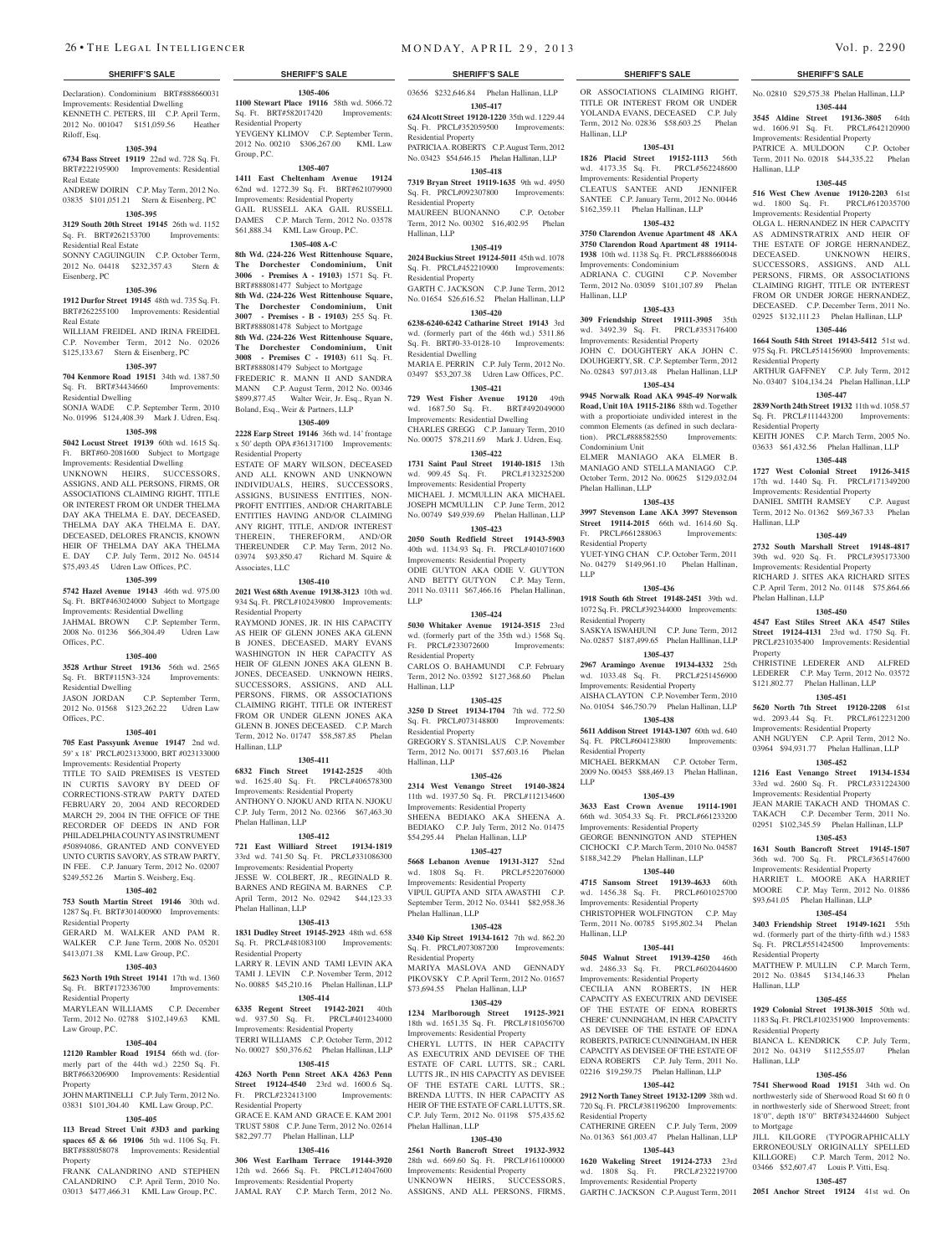Declaration). Condominium BRT#888660031 Improvements: Residential Dwelling

KENNETH C. PETERS, III C.P. April Term, 2012 No. 001047 \$151,059.56 Heather Riloff, Esq.

### **1305-394**

**6734 Bass Street 19119** 22nd wd. 728 Sq. Ft. BRT#222195900 Improvements: Residential Real Estate

ANDREW DOIRIN C.P. May Term, 2012 No. 03835 \$101,051.21 Stern & Eisenberg, PC

## **1305-395**

**3129 South 20th Street 19145** 26th wd. 1152 Sq. Ft. BRT#262153700 Improvements: Residential Real Estate SONNY CAGUINGUIN C.P. October Term,

2012 No. 04418 \$232,357.43 Stern & Eisenberg, PC **1305-396**

**1912 Durfor Street 19145** 48th wd. 735 Sq. Ft. BRT#262255100 Improvements: Residential Real Estate

WILLIAM FREIDEL AND IRINA FREIDEL C.P. November Term, 2012 No. 02026 \$125,133.67 Stern & Eisenberg, PC

## **1305-397**

**704 Kenmore Road 19151** 34th wd. 1387.50 Sq. Ft. BRT#34434660 Improvements: Residential Dwelling SONJA WADE C.P. September Term, 2010

No. 01996 \$124,408.39 Mark J. Udren, Esq. **1305-398**

**5042 Locust Street 19139** 60th wd. 1615 Sq. Ft. BRT#60-2081600 Subject to Mortgage Improvements: Residential Dwelling UNKNOWN HEIRS, SUCCESSORS, ASSIGNS, AND ALL PERSONS, FIRMS, OR ASSOCIATIONS CLAIMING RIGHT, TITLE OR INTEREST FROM OR UNDER THELMA DAY AKA THELMA E. DAY, DECEASED, THELMA DAY AKA THELMA E. DAY, DECEASED, DELORES FRANCIS, KNOWN HEIR OF THELMA DAY AKA THELMA

E. DAY C.P. July Term, 2012 No. 04514 \$75,493.45 Udren Law Offices, P.C. **1305-399**

### **5742 Hazel Avenue 19143** 46th wd. 975.00 Sq. Ft. BRT#463024000 Subject to Mortgage Improvements: Residential Dwelling JAHMAL BROWN C.P. September Term, 2008 No. 01236 \$66,304.49 Udren Law

### **1305-400**

Offices, P.C.

**3528 Arthur Street 19136 56th wd. 2565**<br>Sq. Ft. BRT#115N3-324 Improvements: Sq. Ft. BRT#115N3-324 Improvements: Residential Dwelling

JASON JORDAN C.P. September Term, 2012 No. 01568 \$123,262.22 Udren Law Offices, P.C.

## **1305-401**

**705 East Passyunk Avenue 19147** 2nd wd. 59' x 18' PRCL#023133000, BRT #023133000 Improvements: Residential Property

TITLE TO SAID PREMISES IS VESTED IN CURTIS SAVORY BY DEED OF CORRECTIONS-STRAW PARTY DATED FEBRUARY 20, 2004 AND RECORDED MARCH 29, 2004 IN THE OFFICE OF THE RECORDER OF DEEDS IN AND FOR PHILADELPHIA COUNTY AS INSTRUMENT #50894086, GRANTED AND CONVEYED UNTO CURTIS SAVORY, AS STRAW PARTY, IN FEE. C.P. January Term, 2012 No. 02007 \$249,552.26 Martin S. Weisberg, Esq.

## **1305-402**

**753 South Martin Street 19146** 30th wd. 1287 Sq. Ft. BRT#301400900 Improvements: Residential Property

### GERARD M. WALKER AND PAM R. WALKER C.P. June Term, 2008 No. 05201

\$413,071.38 KML Law Group, P.C. **5623 North 19th Street 19141** 17th wd. 1360 Residential Property

Sq. Ft. BRT#172336700 Improvements: Residential Property

**1305-403**

MARYLEAN WILLIAMS C.P. December Term, 2012 No. 02788 \$102,149.63 KML Law Group, P.C.

### **1305-404**

**12120 Rambler Road 19154** 66th wd. (formerly part of the 44th wd.) 2250 Sq. Ft. BRT#663206900 Improvements: Residential Property

### JOHN MARTINELLI C.P. July Term, 2012 No. 03831 \$101,304.40 KML Law Group, P.C. **1305-405** Residential Property

**113 Bread Street Unit #3D3 and parking spaces 65 & 66 19106** 5th wd. 1106 Sq. Ft. BRT#888058078 Improvements: Residential

Property FRANK CALANDRINO AND STEPHEN CALANDRINO C.P. April Term, 2010 No. 03013 \$477,466.31 KML Law Group, P.C.

# **SHERIFF'S SALE SHERIFF'S SALE SHERIFF'S SALE SHERIFF'S SALE SHERIFF'S SALE**

**1305-406 1100 Stewart Place 19116** 58th wd. 5066.72 Sq. Ft. BRT#582017420 Improvements: Residential Property YEVGENY KLIMOV C.P. September Term, 2012 No. 00210 \$306,267.00 KML Law Group, P.C.

## **1305-407**

**1411 East Cheltenham Avenue 19124**  62nd wd. 1272.39 Sq. Ft. BRT#621079900 Improvements: Residential Property GAIL RUSSELL AKA GAIL RUSSELL

DAMES C.P. March Term, 2012 No. 03578 \$61,888.34 KML Law Group, P.C. **1305-408 A-C**

**8th Wd.** (**224-226 West Rittenhouse Square, The Dorchester Condominium, Unit 3006 - Premises A - 19103)** 1571 Sq. Ft. BRT#888081477 Subject to Mortgage **8th Wd. (224-226 West Rittenhouse Square,** 

**The Dorchester Condominium, Unit 3007 - Premises - B - 19103)** 255 Sq. Ft. BRT#888081478 Subject to Mortgage **8th Wd. (224-226 West Rittenhouse Square,** 

**The Dorchester Condominium, Unit 3008 - Premises C - 19103)** 611 Sq. Ft. BRT#888081479 Subject to Mortgage

FREDERIC R. MANN II AND SANDRA MANN C.P. August Term, 2012 No. 00346 \$899,877.45 Walter Weir, Jr. Esq., Ryan N. Boland, Esq., Weir & Partners, LLP

### **1305-409**

**2228 Earp Street 19146** 36th wd. 14' frontage x 50' depth OPA #361317100 Improvements: Residential Property

ESTATE OF MARY WILSON, DECEASED AND ALL KNOWN AND UNKNOWN INDIVIDUALS, HEIRS, SUCCESSORS, ASSIGNS, BUSINESS ENTITIES, NON-PROFIT ENTITIES, AND/OR CHARITABLE ENTITIES HAVING AND/OR CLAIMING ANY RIGHT, TITLE, AND/OR INTEREST THEREIN, THEREFORM, AND/OR THEREUNDER C.P. May Term, 2012 No. 03974 \$93,850.47 Richard M. Squire & Associates, LLC

### **1305-410**

**2021 West 68th Avenue 19138-3123** 10th wd. 934 Sq. Ft. PRCL#102439800 Improvements: Residential Property RAYMOND JONES, JR. IN HIS CAPACITY AS HEIR OF GLENN JONES AKA GLENN B JONES, DECEASED, MARY EVANS

WASHINGTON IN HER CAPACITY AS HEIR OF GLENN JONES AKA GLENN B. JONES, DECEASED. UNKNOWN HEIRS, SUCCESSORS, ASSIGNS, AND ALL PERSONS, FIRMS, OR ASSOCIATIONS CLAIMING RIGHT, TITLE OR INTEREST FROM OR UNDER GLENN JONES AKA GLENN B. JONES DECEASED. C.P. March Term, 2012 No. 01747 \$58,587.85 Phelan Hallinan, LLP

### **1305-411**

**6832 Finch Street 19142-2525** 40th wd. 1625.40 Sq. Ft. PRCL#406578300 Improvements: Residential Property

ANTHONY O. NJOKU AND RITA N. NJOKU C.P. July Term, 2012 No. 02366 \$67,463.30 Phelan Hallinan, LLP

### **1305-412**

**721 East Williard Street 19134-1819**  33rd wd. 741.50 Sq. Ft. PRCL#331086300 Improvements: Residential Property JESSE W. COLBERT, JR., REGINALD R. BARNES AND REGINA M. BARNES C.P. April Term, 2012 No. 02942 \$44,123.33 Phelan Hallinan, LLP

### **1305-413**

**1831 Dudley Street 19145-2923** 48th wd. 658 Sq. Ft. PRCL#481083100 Improvements: LARRY R. LEVIN AND TAMI LEVIN AKA TAMI J. LEVIN C.P. November Term, 2012 No. 00885 \$45,210.16 Phelan Hallinan, LLP

### **1305-414**

**6335 Regent Street 19142-2021** 40th wd. 937.50 Sq. Ft. PRCL#401234000 Improvements: Residential Property TERRI WILLIAMS C.P. October Term, 2012 No. 00027 \$50,376.62 Phelan Hallinan, LLP

## **1305-415**

**4263 North Penn Street AKA 4263 Penn Street 19124-4540** 23rd wd. 1600.6 Sq.<br>Ft. PRCL#232413100 Improvements: Ft. PRCL#232413100

GRACE E. KAM AND GRACE E. KAM 2001 TRUST 5808 C.P. June Term, 2012 No. 02614 \$82,297.77 Phelan Hallinan, LLP

### **1305-416**

**306 West Earlham Terrace 19144-3920**  12th wd. 2666 Sq. Ft. PRCL#124047600 Improvements: Residential Property JAMAL RAY C.P. March Term, 2012 No.

OR ASSOCIATIONS CLAIMING RIGHT. TITLE OR INTEREST FROM OR UNDER YOLANDA EVANS, DECEASED C.P. July Term, 2012 No. 02836 \$58,603.25 Phelan

No. 02810 \$29,575.38 Phelan Hallinan, LLP **1305-444 3545 Aldine Street 19136-3805** 64th wd. 1606.91 Sq. Ft. PRCL#642120900 Improvements: Residential Property PATRICE A. MULDOON C.P. October Term, 2011 No. 02018 \$44,335.22 Phelan

**1305-445 516 West Chew Avenue 19120-2203** 61st wd. 1800 Sq. Ft. PRCL#612035700 Improvements: Residential Property OLGA L. HERNANDEZ IN HER CAPACITY AS ADMINSTRATRIX AND HEIR OF THE ESTATE OF JORGE HERNANDEZ, DECEASED. UNKNOWN HEIRS, SUCCESSORS, ASSIGNS, AND ALL PERSONS, FIRMS, OR ASSOCIATIONS CLAIMING RIGHT, TITLE OR INTEREST FROM OR UNDER JORGE HERNANDEZ, DECEASED. C.P. December Term, 2011 No. 02925 \$132,111.23 Phelan Hallinan, LLP **1305-446 1664 South 54th Street 19143-5412** 51st wd. 975 Sq. Ft. PRCL#514156900 Improvements:

ARTHUR GAFFNEY C.P. July Term, 2012 No. 03407 \$104,134.24 Phelan Hallinan, LLP **1305-447 2839 North 24th Street 19132** 11th wd. 1058.57 Sq. Ft. PRCL#111443200 Improvements:

KEITH JONES C.P. March Term, 2005 No. 03633 \$61,432.56 Phelan Hallinan, LLP **1305-448 1727 West Colonial Street 19126-3415**  17th wd. 1440 Sq. Ft. PRCL#171349200 Improvements: Residential Property DANIEL SMITH RAMSEY C.P. August Term, 2012 No. 01362 \$69,367.33 Phelan

**1305-449 2732 South Marshall Street 19148-4817**  39th wd. 920 Sq. Ft. PRCL#395173300 Improvements: Residential Property RICHARD J. SITES AKA RICHARD SITES C.P. April Term, 2012 No. 01148 \$75,864.66

**1305-450 4547 East Stiles Street AKA 4547 Stiles Street 19124-4131** 23rd wd. 1750 Sq. Ft. PRCL#231035400 Improvements: Residential

CHRISTINE LEDERER AND ALFRED LEDERER C.P. May Term, 2012 No. 03572 \$121,802.77 Phelan Hallinan, LLP **1305-451 5620 North 7th Street 19120-2208** 61st wd. 2093.44 Sq. Ft. PRCL#612231200 Improvements: Residential Property ANH NGUYEN C.P. April Term, 2012 No. 03964 \$94,931.77 Phelan Hallinan, LLP **1305-452 1216 East Venango Street 19134-1534**  33rd wd. 2600 Sq. Ft. PRCL#331224300 Improvements: Residential Property JEAN MARIE TAKACH AND THOMAS C. TAKACH C.P. December Term, 2011 No. 02951 \$102,345.59 Phelan Hallinan, LLP **1305-453 1631 South Bancroft Street 19145-1507**  36th wd. 700 Sq. Ft. PRCL#365147600 Improvements: Residential Property HARRIET L. MOORE AKA HARRIET MOORE C.P. May Term, 2012 No. 01886 \$93,641.05 Phelan Hallinan, LLP **1305-454 3403 Friendship Street 19149-1621** 55th wd. (formerly part of the thirty-fifth wd.) 1583 Sq. Ft. PRCL#551424500 Improvements:

Hallinan, LLP

Residential Property

Residential Property

Hallinan, LLP

Phelan Hallinan, LLP

Residential Property

Residential Property

Hallinan, LLP

Hallinan, LLP

to Mortgage

MATTHEW P. MULLIN C.P. March Term 2012 No. 03845 \$134,146.33 Phelan

**1305-455 1929 Colonial Street 19138-3015** 50th wd. 1183 Sq. Ft. PRCL#102351900 Improvements:

BIANCA L. KENDRICK C.P. July Term, 2012 No. 04319 \$112,555.07 Phelan

**1305-456 7541 Sherwood Road 19151** 34th wd. On northwesterly side of Sherwood Road St 60 ft 0 in northwesterly side of Sherwood Street; front 18'0", depth 18'0" BRT#343244600 Subject

JILL KILGORE (TYPOGRAPHICALLY ERRONEOUSLY ORIGINALLY SPELLED KILLGORE) C.P. March Term, 2012 No. 03466 \$52,607.47 Louis P. Vitti, Esq. **1305-457 2051 Anchor Street 19124** 41st wd. On

Property

**1305-431 1826 Placid Street 19152-1113** 56th wd. 4173.35 Sq. Ft. PRCL#562248600 Improvements: Residential Property CLEATUS SANTEE AND JENNIFER SANTEE C.P. January Term, 2012 No. 00446 \$162,359.11 Phelan Hallinan, LLP **1305-432 3750 Clarendon Avenue Apartment 48 AKA 3750 Clarendon Road Apartment 48 19114- 1938** 10th wd. 1138 Sq. Ft. PRCL#888660048

ADRIANA C. CUGINI C.P. November Term, 2012 No. 03059 \$101,107.89 Phelan

**1305-433 309 Friendship Street 19111-3905** 35th wd. 3492.39 Sq. Ft. PRCL#353176400 Improvements: Residential Property JOHN C. DOUGHTERY AKA JOHN C. DOUHGERTY, SR. C.P. September Term, 2012 No. 02843 \$97,013.48 Phelan Hallinan, LLP **1305-434 9945 Norwalk Road AKA 9945-49 Norwalk Road, Unit 10A 19115-2186** 88th wd. Together with a proportioiate undivided interest in the common Elements (as defined in such declaration). PRCL#888582550 Improvements:

ELMER MANIAGO AKA ELMER B. MANIAGO AND STELLA MANIAGO C.P. October Term, 2012 No. 00625 \$129,032.04

**1305-435 3997 Stevenson Lane AKA 3997 Stevenson Street 19114-2015** 66th wd. 1614.60 Sq.<br>Ft. PRCL#661288063 Improvements:

YUET-YING CHAN C.P. October Term, 2011 No. 04279 \$149,961.10 Phelan Hallinan,

**1305-436 1918 South 6th Street 19148-2451** 39th wd. 1072 Sq. Ft. PRCL#392344000 Improvements:

SASKYA ISWAHJUNI C.P. June Term, 2012 No. 02857 \$187,499.65 Phelan Halllinan, LLP **1305-437 2967 Aramingo Avenue 19134-4332** 25th wd. 1033.48 Sq. Ft. PRCL#251456900 Improvements: Residential Property AISHA CLAYTON C.P. November Term, 2010 No. 01054 \$46,750.79 Phelan Hallinan, LLP **1305-438 5611 Addison Street 19143-1307** 60th wd. 640 Sq. Ft. PRCL#604123800 Improvements:

MICHAEL BERKMAN C.P. October Term, 2009 No. 00453 \$88,469.13 Phelan Hallinan,

**1305-439 3633 East Crown Avenue 19114-1901**  66th wd. 3054.33 Sq. Ft. PRCL#661233200 Improvements: Residential Property GEORGE BENNINGTON AND STEPHEN CICHOCKI C.P. March Term, 2010 No. 04587 \$188,342.29 Phelan Hallinan, LLP **1305-440 4715 Sansom Street 19139-4633** 60th wd. 1456.38 Sq. Ft. PRCL#601025700 Improvements: Residential Property CHRISTOPHER WOLFINGTON C.P. May Term, 2011 No. 00785 \$195,802.34 Phelan

**1305-441 5045 Walnut Street 19139-4250** 46th wd. 2486.33 Sq. Ft. PRCL#602044600 Improvements: Residential Property CECILIA ANN ROBERTS, IN HER CAPACITY AS EXECUTRIX AND DEVISEE OF THE ESTATE OF EDNA ROBERTS CHERE' CUNNINGHAM, IN HER CAPACITY AS DEVISEE OF THE ESTATE OF EDNA ROBERTS, PATRICE CUNNINGHAM, IN HER CAPACITY AS DEVISEE OF THE ESTATE OF EDNA ROBERTS C.P. July Term, 2011 No. 02216 \$19,259.75 Phelan Hallinan, LLP **1305-442 2912 North Taney Street 19132-1209** 38th wd. 720 Sq. Ft. PRCL#381196200 Improvements:

CATHERINE GREEN C.P. July Term, 2009 No. 01363 \$61,003.47 Phelan Hallinan, LLP **1305-443 1620 Wakeling Street 19124-2733** 23rd wd. 1808 Sq. Ft. PRCL#232219700 Improvements: Residential Property GARTH C. JACKSON C.P. August Term, 2011

Improvements: Condominium

Hallinan, LLP

Condominium Unit

Phelan Hallinan, LLP

Ft. PRCL#661288063 Residential Property

Residential Property

Residential Property

Hallinan, LLP

Residential Property

LLP

LLP

Hallinan, LLP

03656 \$232,646.84 Phelan Hallinan, LLP

**1305-417**

**624 Alcott Street 19120-1220** 35th wd. 1229.44 Sq. Ft. PRCL#352059500 Improvements: Residential Property PATRICIA A. ROBERTS C.P. August Term, 2012

No. 03423 \$54,646.15 Phelan Hallinan, LLP **1305-418**

**7319 Bryan Street 19119-1635** 9th wd. 4950 Sq. Ft. PRCL#092307800 Improvements: Residential Property

MAUREEN BUONANNO C.P. October Term, 2012 No. 00302 \$16,402.95 Phelan Hallinan, LLP

## **1305-419**

**2024 Buckius Street 19124-5011** 45th wd. 1078 Sq. Ft. PRCL#452210900 Improvements: Residential Property GARTH C. JACKSON C.P. June Term, 2012

No. 01654 \$26,616.52 Phelan Hallinan, LLP **1305-420 6238-6240-6242 Catharine Street 19143** 3rd

wd. (formerly part of the 46th wd.) 5311.86 Sq. Ft. BRT#0-33-0128-10 Improvements: Residential Dwelling

MARIA E. PERRIN C.P. July Term, 2012 No. 03497 \$53,207.38 Udren Law Offices, P.C.

**1305-421 729 West Fisher Avenue 19120** 49th wd. 1687.50 Sq. Ft. BRT#492049000 Improvements: Residential Dwelling CHARLES GREGG C.P. January Term, 2010 No. 00075 \$78,211.69 Mark J. Udren, Esq. **1305-422**

**1731 Saint Paul Street 19140-1815** 13th wd. 909.45 Sq. Ft. PRCL#132325200 Improvements: Residential Property MICHAEL J. MCMULLIN AKA MICHAEL

JOSEPH MCMULLIN C.P. June Term, 2012 No. 00749 \$49,939.69 Phelan Hallinan, LLP **1305-423**

**2050 South Redfield Street 19143-5903**  40th wd. 1134.93 Sq. Ft. PRCL#401071600 Improvements: Residential Property ODIE GUYTON AKA ODIE V. GUYTON AND BETTY GUTYON C.P. May Term, 2011 No. 03111 \$67,466.16 Phelan Hallinan, LLP

## **1305-424**

**5030 Whitaker Avenue 19124-3515** 23rd wd. (formerly part of the 35th wd.) 1568 Sq.<br>Ft. PRCL#233072600 Improvements: Ft. PRCL#233072600

Residential Property CARLOS O. BAHAMUNDI C.P. February Term, 2012 No. 03592 \$127,368.60 Phelan Hallinan, LLP

### **1305-425**

**3250 D Street 19134-1704** 7th wd. 772.50 Sq. Ft. PRCL#073148800 Improvements: Residential Property GREGORY S. STANISLAUS C.P. November Term, 2012 No. 00171 \$57,603.16 Phelan Hallinan, LLP

### **1305-426**

**2314 West Venango Street 19140-3824**  11th wd. 1937.50 Sq. Ft. PRCL#112134600 Improvements: Residential Property SHEENA BEDIAKO AKA SHEENA A. BEDIAKO C.P. July Term, 2012 No. 01475 \$54,295.44 Phelan Hallinan, LLP

### **1305-427**

**5668 Lebanon Avenue 19131-3127** 52nd wd. 1808 Sq. Ft. Improvements: Residential Property VIPUL GUPTA AND SITA AWASTHI C.P. September Term, 2012 No. 03441 \$82,958.36 Phelan Hallinan, LLP

### **1305-428**

**3340 Kip Street 19134-1612** 7th wd. 862.20 Sq. Ft. PRCL#073087200 Improvements: Residential Property MARIYA MASLOVA AND GENNADY PIKOVSKY C.P. April Term, 2012 No. 01657

\$73,694.55 Phelan Hallinan, LLP **1305-429**

### **1234 Marlborough Street 19125-3921**  18th wd. 1651.35 Sq. Ft. PRCL#181056700 Improvements: Residential Property

CHERYL LUTTS, IN HER CA AS EXECUTRIX AND DEVISEE OF THE ESTATE OF CARL LUTTS, SR.; CARL LUTTS JR., IN HIS CAPACITY AS DEVISEE OF THE ESTATE CARL LUTTS, SR.; BRENDA LUTTS, IN HER CAPACITY AS HEIR OF THE ESTATE OF CARL LUTTS, SR. C.P. July Term, 2012 No. 01198 \$75,435.62 Phelan Hallinan, LLP

### **1305-430**

**2561 North Bancroft Street 19132-3932**  28th wd. 669.60 Sq. Ft. PRCL#161100000 Improvements: Residential Property UNKNOWN HEIRS, SUCCESSORS, ASSIGNS, AND ALL PERSONS, FIRMS,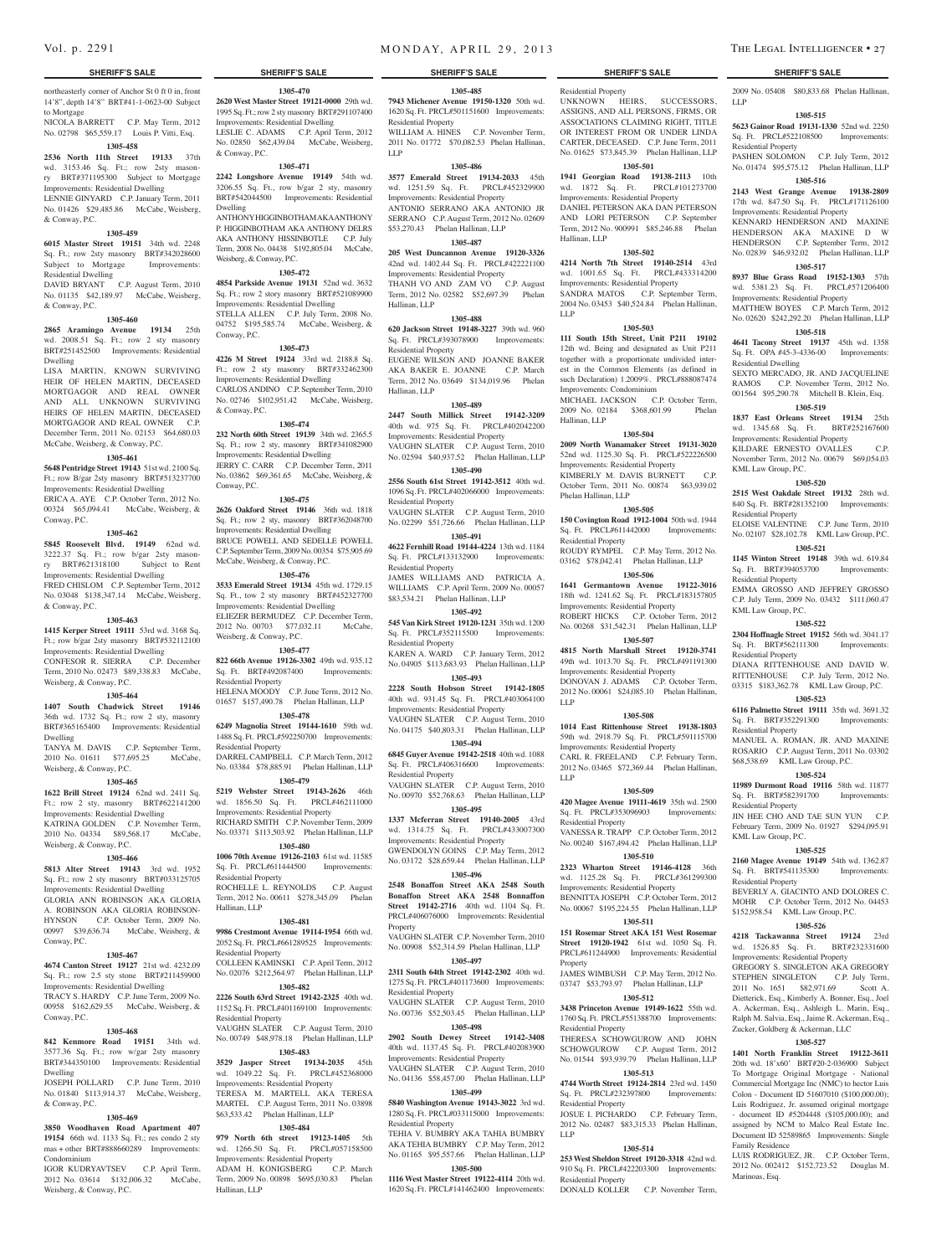northeasterly corner of Anchor St 0 ft 0 in, front 14'8", depth 14'8" BRT#41-1-0623-00 Subject to Mortgage

**1305-470 2620 West Master Street 19121-0000** 29th wd. 1995 Sq. Ft.; row 2 sty masonry BRT#291107400 Improvements: Residential Dwelling LESLIE C. ADAMS C.P. April Term, 2012 No. 02850 \$62,439.04 McCabe, Weisberg,

**1305-471 2242 Longshore Avenue 19149** 54th wd. 3206.55 Sq. Ft., row b/gar 2 sty, masonry

ANTHONY HIGGINBOTHAM AKA ANTHONY P. HIGGINBOTHAM AKA ANTHONY DELRS AKA ANTHONY HISSINBOTLE C.P. July Term, 2008 No. 04438 \$192,805.04 McCabe,

**1305-472 4854 Parkside Avenue 19131** 52nd wd. 3632 Sq. Ft.; row 2 story masonry BRT#521089900 Improvements: Residential Dwelling STELLA ALLEN C.P. July Term, 2008 No. 04752 \$195,585.74 McCabe, Weisberg, &

**1305-473 4226 M Street 19124** 33rd wd. 2188.8 Sq. Ft.; row 2 sty masonry BRT#332462300 Improvements: Residential Dwelling

CARLOS ANDINO C.P. September Term, 2010 No. 02746 \$102,951.42 McCabe, Weisberg,

**1305-474 232 North 60th Street 19139** 34th wd. 2365.5 Sq. Ft.; row 2 sty, masonry BRT#341082900 Improvements: Residential Dwelling JERRY C. CARR C.P. December Term, 2011 No. 03862 \$69,361.65 McCabe, Weisberg, &

**1305-475 2626 Oakford Street 19146** 36th wd. 1818 Sq. Ft.; row 2 sty, masonry BRT#362048700 Improvements: Residential Dwelling BRUCE POWELL AND SEDELLE POWELL C.P. September Term, 2009 No. 00354 \$75,905.69 McCabe, Weisberg, & Conway, P.C. **1305-476 3533 Emerald Street 19134** 45th wd. 1729.15 Sq. Ft., tow 2 sty masonry BRT#452327700 Improvements: Residential Dwelling ELIEZER BERMUDEZ C.P. December Term, 2012 No. 00703 \$77,032.11 McCabe,

**1305-477 822 66th Avenue 19126-3302** 49th wd. 935.12 Sq. Ft. BRT#492087400 Improvements:

HELENA MOODY C.P. June Term, 2012 No. 01657 \$157,490.78 Phelan Hallinan, LLP **1305-478 6249 Magnolia Street 19144-1610** 59th wd. 1488 Sq. Ft. PRCL#592250700 Improvements:

DARREL CAMPBELL C.P. March Term, 2012 No. 03384 \$78,885.91 Phelan Hallinan, LLP **1305-479 5219 Webster Street 19143-2626** 46th

ROCHELLE L. REYNOLDS C.P. August Term, 2012 No. 00611 \$278,345.09 Phelan

**1305-481 9986 Crestmont Avenue 19114-1954** 66th wd. 2052 Sq. Ft. PRCL#661289525 Improvements:

COLLEEN KAMINSKI C.P. April Term, 2012 No. 02076 \$212,564.97 Phelan Hallinan, LLP **1305-482 2226 South 63rd Street 19142-2325** 40th wd. 1152 Sq. Ft. PRCL#401169100 Improvements:

VAUGHN SLATER C.P. August Term, 2010 No. 00749 \$48,978.18 Phelan Hallinan, LLP **1305-483 3529 Jasper Street 19134-2035** 45th wd. 1049.22 Sq. Ft. PRCL#452368000 Improvements: Residential Property TERESA M. MARTELL AKA TERESA MARTEL C.P. August Term, 2011 No. 03898 \$63,533.42 Phelan Hallinan, LLP **1305-484 979 North 6th street 19123-1405** 5th wd. 1266.50 Sq. Ft. PRCL#057158500 Improvements: Residential Property<br>ADAM H. KONIGSBERG C.P. March

& Conway, P.C.

Dwelling

Conway, P.C.

& Conway, P.C.

Conway, P.C.

Weisberg, & Conway, P.C.

Residential Property

Residential Property

wd. 1856.50 Sq. Ft. Improvements: Residential Property RICHARD SMITH C.P. November Term, 2009 No. 03371 \$113,503.92 Phelan Hallinan, LLP **1305-480 1006 70th Avenue 19126-2103** 61st wd. 11585 Sq. Ft. PRCL#611444500 Improvements:

Residential Property

Residential Property

Residential Property

ADAM H. KONIGSBERG

Hallinan, LLP

Term, 2009 No. 00898 \$695,030.83 Phelan

Hallinan, LLP

Weisberg, & Conway, P.C.

NICOLA BARRETT C.P. May Term, 2012 No. 02798 \$65,559.17 Louis P. Vitti, Esq.

## **1305-458**

**2536 North 11th Street 19133** 37th wd. 3153.46 Sq. Ft.; row 2sty masonry BRT#371195300 Subject to Mortgage Improvements: Residential Dwelling LENNIE GINYARD C.P. January Term, 2011

No. 01426 \$29,485.86 McCabe, Weisberg, & Conway, P.C. BRT#542044500 Improvements: Residential

## **1305-459**

**6015 Master Street 19151** 34th wd. 2248 Sq. Ft.; row 2sty masonry BRT#342028600 Subject to Mortgage Improvements:

Residential Dwelling DAVID BRYANT C.P. August Term, 2010 No. 01135 \$42,189.97 McCabe, Weisberg, & Conway, P.C.

### **1305-460**

**2865 Aramingo Avenue 19134** 25th wd. 2008.51 Sq. Ft.; row 2 sty masonry BRT#251452500 Improvements: Residential Dwelling

LISA MARTIN, KNOWN SURVIVING HEIR OF HELEN MARTIN, DECEASED MORTGAGOR AND REAL OWNER AND ALL UNKNOWN SURVIVING HEIRS OF HELEN MARTIN, DECEASED MORTGAGOR AND REAL OWNER C.P. December Term, 2011 No. 02153 \$64,680.03 McCabe, Weisberg, & Conway, P.C.

### **1305-461**

**5648 Pentridge Street 19143** 51st wd. 2100 Sq. Ft.; row B/gar 2sty masonry BRT#513237700 Improvements: Residential Dwelling ERICA A. AYE C.P. October Term, 2012 No. 00324 \$65,094.41 McCabe, Weisberg, &

Conway, P.C. **1305-462**

### **5845 Roosevelt Blvd. 19149** 62nd wd.

3222.37 Sq. Ft.; row b/gar 2sty masonry BRT#621318100 Subject to Rent Improvements: Residential Dwelling FRED CHISLOM C.P. September Term, 2012 No. 03048 \$138,347.14 McCabe, Weisberg,

### **1305-463**

& Conway, P.C.

**1415 Kerper Street 19111** 53rd wd. 3168 Sq.

Ft.; row b/gar 2sty masonry BRT#532112100 Improvements: Residential Dwelling CONFESOR R. SIERRA C.P. December

Term, 2010 No. 02473 \$89,338.83 McCabe, Weisberg, & Conway, P.C. **1305-464**

**1407 South Chadwick Street 19146**  36th wd. 1732 Sq. Ft.; row 2 sty, masonry BRT#365165400 Improvements: Residential Dwelling

TANYA M. DAVIS C.P. September Term, 2010 No. 01611 \$77,695.25 McCabe, Weisberg, & Conway, P.C.

### **1305-465**

**1622 Brill Street 19124** 62nd wd. 2411 Sq. Ft.; row 2 sty, masonry BRT#622141200 Improvements: Residential Dwelling KATRINA GOLDEN C.P. November Term, 2010 No. 04334 \$89,568.17 McCabe, Weisberg, & Conway, P.C.

## **1305-466**

**5813 Alter Street 19143** 3rd wd. 1952 Sq. Ft.; row 2 sty masonry BRT#033125705

Improvements: Residential Dwelling GLORIA ANN ROBINSON AKA GLORIA A. ROBINSON AKA GLORIA ROBINSON-HYNSON C.P. October Term, 2009 No.

00997 \$39,636.74 McCabe, Weisberg, & Conway, P.C. **1305-467**

### **4674 Canton Street 19127** 21st wd. 4232.09 Sq. Ft.; row 2.5 sty stone BRT#211459900 Improvements: Residential Dwelling

TRACY S. HARDY C.P. June Term, 2009 No. 00958 \$162,629.55 McCabe, Weisberg, & Conway, P.C.

### **1305-468**

**842 Kenmore Road 19151** 34th wd. 3577.36 Sq. Ft.; row w/gar 2sty masonry BRT#344350100 Improvements: Residential Dwelling

JOSEPH POLLARD C.P. June Term, 2010 No. 01840 \$113,914.37 McCabe, Weisberg, & Conway, P.C.

### **1305-469**

**3850 Woodhaven Road Apartment 407 19154** 66th wd. 1133 Sq. Ft.; res condo 2 sty mas + other BRT#888660289 Improvements: Condominium

IGOR KUDRYAVTSEV C.P. April Term, 2012 No. 03614 \$132,006.32 McCabe, Weisberg, & Conway, P.C.

**1305-485 7943 Michener Avenue 19150-1320** 50th wd. 1620 Sq. Ft. PRCL#501151600 Improvements: Residential Property WILLIAM A. HINES C.P. November Term,

2011 No. 01772 \$70,082.53 Phelan Hallinan, LLP

## **1305-486**

**3577 Emerald Street 19134-2033** 45th wd. 1251.59 Sq. Ft. PRCL#452329900 Improvements: Residential Property ANTONIO SERRANO AKA ANTONIO JR SERRANO C.P. August Term, 2012 No. 02609 \$53,270.43 Phelan Hallinan, LLP

### **1305-487**

**205 West Duncannon Avenue 19120-3326**  42nd wd. 1402.44 Sq. Ft. PRCL#422221100 Improvements: Residential Property THANH VO AND ZAM VO C.P. August Term, 2012 No. 02582 \$52,697.39 Phelan Hallinan, LLP

### **1305-488**

**620 Jackson Street 19148-3227** 39th wd. 960 Sq. Ft. PRCL#393078900 Improvements: Residential Property EUGENE WILSON AND JOANNE BAKER AKA BAKER E. JOANNE C.P. March Term, 2012 No. 03649 \$134,019.96 Phelan Hallinan, LLP

### **1305-489**

**2447 South Millick Street 19142-3209**  40th wd. 975 Sq. Ft. PRCL#402042200 Improvements: Residential Property VAUGHN SLATER C.P. August Term, 2010 No. 02594 \$40,937.52 Phelan Hallinan, LLP

## **1305-490**

**2556 South 61st Street 19142-3512** 40th wd. 1096 Sq. Ft. PRCL#402066000 Improvements: Residential Property VAUGHN SLATER C.P. August Term, 2010

No. 02299 \$51,726.66 Phelan Hallinan, LLP **1305-491**

**4622 Fernhill Road 19144-4224** 13th wd. 1184 Sq. Ft. PRCL#133132900 Improvements: Residential Property

JAMES WILLIAMS AND PATRICIA A. WILLIAMS C.P. April Term, 2009 No. 00057 \$83,534.21 Phelan Hallinan, LLP **1305-492**

**545 Van Kirk Street 19120-1231** 35th wd. 1200 Sq. Ft. PRCL#352115500 Improvements: Residential Property KAREN A. WARD C.P. January Term, 2012

No. 04905 \$113,683.93 Phelan Hallinan, LLP **1305-493**

**2228 South Hobson Street 19142-1805**  40th wd. 931.45 Sq. Ft. PRCL#403064100 Improvements: Residential Property VAUGHN SLATER C.P. August Term, 2010

No. 04175 \$40,803.31 Phelan Hallinan, LLP **1305-494 6845 Guyer Avenue 19142-2518** 40th wd. 1088

Sq. Ft. PRCL#406316600 Improvements: Residential Property VAUGHN SLATER C.P. August Term, 2010

No. 00970 \$52,768.63 Phelan Hallinan, LLP **1305-495**

**1337 Mcferran Street 19140-2005** 43rd wd. 1314.75 Sq. Ft. PRCL#433007300 Improvements: Residential Property GWENDOLYN GOINS C.P. May Term, 2012

No. 03172 \$28,659.44 Phelan Hallinan, LLP **1305-496**

**2548 Bonaffon Street AKA 2548 South Bonaffon Street AKA 2548 Bonnaffon Street 19142-2716** 40th wd. 1104 Sq. Ft. PRCL#406076000 Improvements: Residential Property

VAUGHN SLATER C.P. November Term, 2010 No. 00908 \$52,314.59 Phelan Hallinan, LLP **1305-497**

**2311 South 64th Street 19142-2302** 40th wd. 1275 Sq. Ft. PRCL#401173600 Improvements: Residential Property VAUGHN SLATER C.P. August Term, 2010

No. 00736 \$52,503.45 Phelan Hallinan, LLP **1305-498**

**2902 South Dewey Street 19142-3408**  40th wd. 1137.45 Sq. Ft. PRCL#402083900 Improvements: Residential Property VAUGHN SLATER C.P. August Term, 2010 No. 04136 \$58,457.00 Phelan Hallinan, LLP

### **1305-499**

**5840 Washington Avenue 19143-3022** 3rd wd. 1280 Sq. Ft. PRCL#033115000 Improvements: Residential Property

TEHIA V. BUMBRY AKA TAHIA BUMBRY AKA TEHIA BUMBRY C.P. May Term, 2012 No. 01165 \$95,557.66 Phelan Hallinan, LLP

## **1305-500**

**1116 West Master Street 19122-4114** 20th wd. 1620 Sq. Ft. PRCL#141462400 Improvements:

## **SHERIFF'S SALE SHERIFF'S SALE SHERIFF'S SALE SHERIFF'S SALE SHERIFF'S SALE**

2009 No. 05408 \$80,833.68 Phelan Hallinan,

**1305-515 5623 Gainor Road 19131-1330** 52nd wd. 2250 Sq. Ft. PRCL#522108500 Improvements:

PASHEN SOLOMON C.P. July Term, 2012 No. 01474 \$95,575.12 Phelan Hallinan, LLP **1305-516 2143 West Grange Avenue 19138-2809**  17th wd. 847.50 Sq. Ft. PRCL#171126100 Improvements: Residential Property KENNARD HENDERSON AND MAXINE HENDERSON AKA MAXINE D W HENDERSON C.P. September Term, 2012 No. 02839 \$46,932.02 Phelan Hallinan, LLP **1305-517 8937 Blue Grass Road 19152-1303** 57th wd. 5381.23 Sq. Ft. PRCL#571206400 Improvements: Residential Property MATTHEW BOYES C.P. March Term, 2012 No. 02620 \$242,292.20 Phelan Hallinan, LLP **1305-518 4641 Tacony Street 19137** 45th wd. 1358 Sq. Ft. OPA #45-3-4336-00 Improvements:

SEXTO MERCADO, JR. AND JACQUELINE RAMOS C.P. November Term, 2012 No. 001564 \$95,290.78 Mitchell B. Klein, Esq. **1305-519 1837 East Orleans Street 19134** 25th wd. 1345.68 Sq. Ft. BRT#252167600 Improvements: Residential Property KILDARE ERNESTO OVALLES C.P. November Term, 2012 No. 00679 \$69,054.03

**1305-520 2515 West Oakdale Street 19132** 28th wd. 840 Sq. Ft. BRT#281352100 Improvements:

ELOISE VALENTINE C.P. June Term, 2010 No. 02107 \$28,102.78 KML Law Group, P.C. **1305-521 1145 Winton Street 19148** 39th wd. 619.84 Sq. Ft. BRT#394053700 Improvements:

EMMA GROSSO AND JEFFREY GROSSO C.P. July Term, 2009 No. 03432 \$111,060.47

**1305-522 2304 Hoffnagle Street 19152** 56th wd. 3041.17 Sq. Ft. BRT#562111300 Improvements:

DIANA RITTENHOUSE AND DAVID W. RITTENHOUSE C.P. July Term, 2012 No. 03315 \$183,362.78 KML Law Group, P.C. **1305-523 6116 Palmetto Street 19111** 35th wd. 3691.32 Sq. Ft. BRT#352291300 Improvements:

MANUEL A. ROMAN, JR. AND MAXINE ROSARIO C.P. August Term, 2011 No. 03302 \$68,538.69 KML Law Group, P.C. **1305-524 11989 Durmont Road 19116** 58th wd. 11877 Sq. Ft. BRT#582391700 Improvements:

JIN HEE CHO AND TAE SUN YUN C.P. February Term, 2009 No. 01927 \$294,095.91

**1305-525 2160 Magee Avenue 19149** 54th wd. 1362.87 Sq. Ft. BRT#541135300 Improvements:

BEVERLY A. GIACINTO AND DOLORES C. MOHR C.P. October Term, 2012 No. 04453 \$152,958.54 KML Law Group, P.C. **1305-526 4218 Tackawanna Street 19124** 23rd wd. 1526.85 Sq. Ft. BRT#232331600 Improvements: Residential Property GREGORY S. SINGLETON AKA GREGORY STEPHEN SINGLETON C.P. July Term, 2011 No. 1651 \$82,971.69 Scott A. Dietterick, Esq., Kimberly A. Bonner, Esq., Joel A. Ackerman, Esq., Ashleigh L. Marin, Esq., Ralph M. Salvia, Esq., Jaime R. Ackerman, Esq., Zucker, Goldberg & Ackerman, LLC **1305-527 1401 North Franklin Street 19122-3611**  20th wd. 18'x60' BRT#20-2-036900 Subject To Mortgage Original Mortgage - National Commercial Mortgage Inc (NMC) to hector Luis Colon - Document ID 51607010 (\$100,000.00); Luis Rodriguez, Jr. assumed original mortgage - document ID #5204448 (\$105,000.00); and assigned by NCM to Malco Real Estate Inc. Document ID 52589865 Improvements: Single

LLP

Residential Property

Residential Dwelling

KML Law Group, P.C.

Residential Property

Residential Property

KML Law Group, P.C.

Residential Property

Residential Property

Residential Property

KML Law Group, P.C.

Residential Property

Family Residence

Marinoas, Esq.

LUIS RODRIGUEZ, JR. C.P. October Term, 2012 No. 002412 \$152,723.52 Douglas M.

Residential Property UNKNOWN HEIRS, SUCCESSORS, ASSIGNS, AND ALL PERSONS, FIRMS, OR ASSOCIATIONS CLAIMING RIGHT, TITLE OR INTEREST FROM OR UNDER LINDA CARTER, DECEASED. C.P. June Term, 2011 No. 01625 \$73,845.39 Phelan Hallinan, LLP

### **1305-501 1941 Georgian Road 19138-2113** 10th

wd. 1872 Sq. Ft. PRCL#101273700 Improvements: Residential Property DANIEL PETERSON AKA DAN PETERSON AND LORI PETERSON C.P. September Term, 2012 No. 900991 \$85,246.88 Phelan Hallinan, LLP

## **1305-502**

**4214 North 7th Street 19140-2514** 43rd wd. 1001.65 Sq. Ft. PRCL#433314200 Improvements: Residential Property SANDRA MATOS C.P. September Term, 2004 No. 03453 \$40,524.84 Phelan Hallinan, LLP

### **1305-503**

**111 South 15th Street, Unit P211 19102**  12th wd. Being and designated as Unit P211 together with a proportionate undivided interest in the Common Elements (as defined in such Declaration) 1.2009%. PRCL#888087474 Improvements: Condominium MICHAEL JACKSON C.P. October Term, 2009 No. 02184 \$368,601.99 Phelan

Hallinan, LLP **1305-504**

## **2009 North Wanamaker Street 19131-3020**  52nd wd. 1125.30 Sq. Ft. PRCL#522226500 Improvements: Residential Property KIMBERLY M. DAVIS BURNETT C.P.

October Term, 2011 No. 00874 \$63,939.02 Phelan Hallinan, LLP **1305-505**

**150 Covington Road 1912-1004** 50th wd. 1944 Sq. Ft. PRCL#611442000 Improvements: Residential Property

ROUDY RYMPEL C.P. May Term, 2012 No. 03162 \$78,042.41 Phelan Hallinan, LLP **1305-506**

**1641 Germantown Avenue 19122-3016**  18th wd. 1241.62 Sq. Ft. PRCL#183157805 Improvements: Residential Property ROBERT HICKS C.P. October Term, 2012 No. 00268 \$31,542.31 Phelan Hallinan, LLP

## **1305-507**

**4815 North Marshall Street 19120-3741**  49th wd. 1013.70 Sq. Ft. PRCL#491191300 Improvements: Residential Property DONOVAN J. ADAMS C.P. October Term, 2012 No. 00061 \$24,085.10 Phelan Hallinan, LLP

### **1305-508**

**1014 East Rittenhouse Street 19138-1803**  59th wd. 2918.79 Sq. Ft. PRCL#591115700 Improvements: Residential Property CARL R. FREELAND C.P. February Term, 2012 No. 03465 \$72,369.44 Phelan Hallinan, LLP

## **1305-509**

**420 Magee Avenue 19111-4619** 35th wd. 2500 Sq. Ft. PRCL#353096903 Improvements: Residential Property VANESSA R. TRAPP C.P. October Term, 2012 No. 00240 \$167,494.42 Phelan Hallinan, LLP

**1305-510**

**2323 Wharton Street 19146-4128** 36th wd. 1125.28 Sq. Ft. PRCL#361299300 Improvements: Residential Property BENNITTA JOSEPH C.P. October Term, 2012 No. 00067 \$195,224.55 Phelan Hallinan, LLP

## **1305-511**

**151 Rosemar Street AKA 151 West Rosemar Street 19120-1942** 61st wd. 1050 Sq. Ft. PRCL#611244900 Improvements: Residential Property JAMES WIMBUSH C.P. May Term, 2012 No.

03747 \$53,793.97 Phelan Hallinan, LLP **1305-512 3438 Princeton Avenue 19149-1622** 55th wd.

1760 Sq. Ft. PRCL#551388700 Improvements:

THERESA SCHOWGUROW AND JOHN SCHOWGUROW C.P. August Term, 2012 No. 01544 \$93,939.79 Phelan Hallinan, LLP **1305-513 4744 Worth Street 19124-2814** 23rd wd. 1450 Sq. Ft. PRCL#232397800 Improvements:

JOSUE I. PICHARDO C.P. February Term, 2012 No. 02487 \$83,315.33 Phelan Hallinan,

**1305-514 253 West Sheldon Street 19120-3318** 42nd wd. 910 Sq. Ft. PRCL#422203300 Improvements:

DONALD KOLLER C.P. November Term,

Residential Property

Residential Property

Residential Property

LLP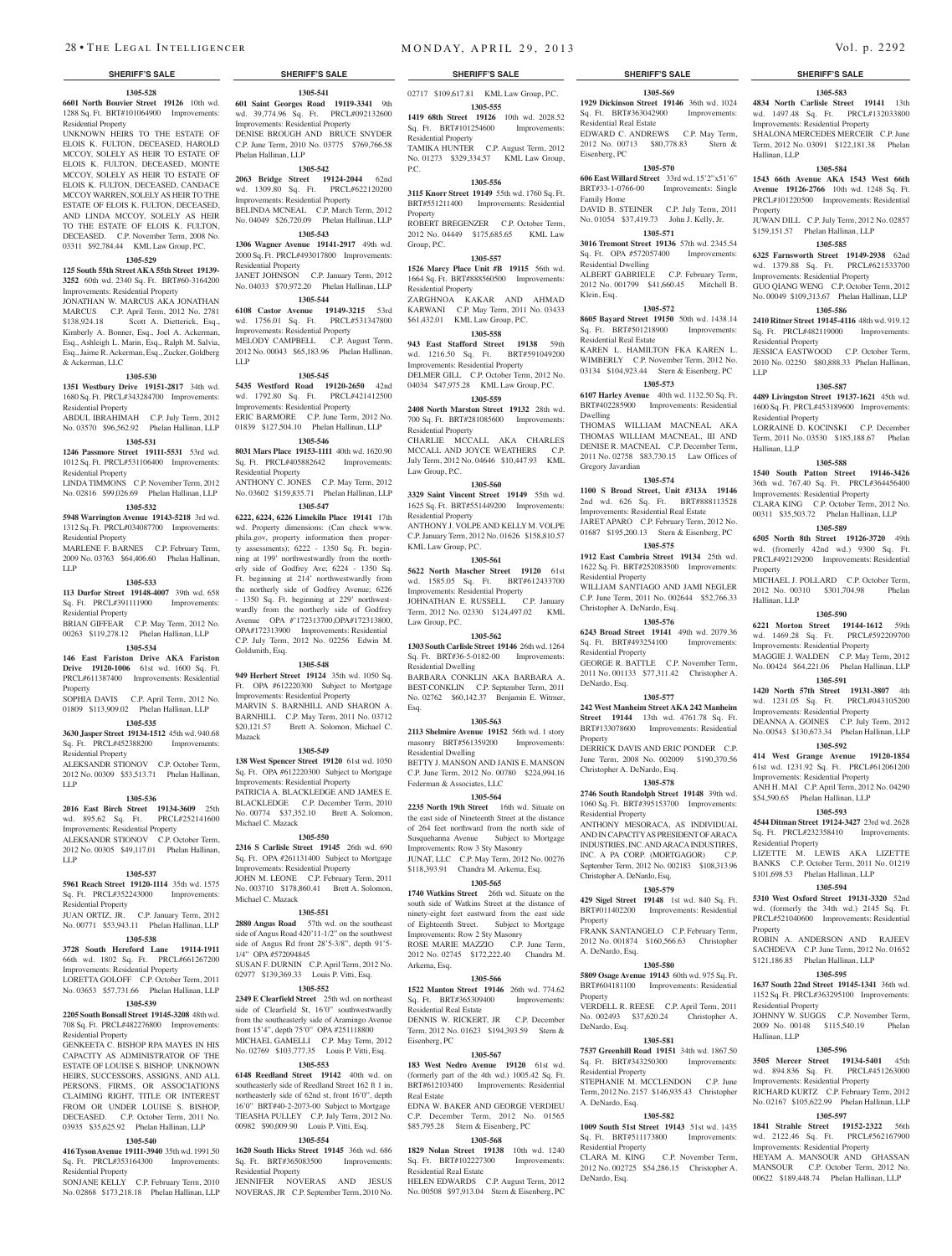## **1305-528**

**6601 North Bouvier Street 19126** 10th wd. 1288 Sq. Ft. BRT#101064900 Improvements: Residential Property

UNKNOWN HEIRS TO THE ESTATE OF ELOIS K. FULTON, DECEASED, HAROLD MCCOY, SOLELY AS HEIR TO ESTATE OF ELOIS K. FULTON, DECEASED, MONTE MCCOY, SOLELY AS HEIR TO ESTATE OF ELOIS K. FULTON, DECEASED, CANDACE MCCOY WARREN, SOLELY AS HEIR TO THE ESTATE OF ELOIS K. FULTON, DECEASED, AND LINDA MCCOY, SOLELY AS HEIR TO THE ESTATE OF ELOIS K. FULTON, DECEASED. C.P. November Term, 2008 No. 03311 \$92,784.44 KML Law Group, P.C.

### **1305-529**

**125 South 55th Street AKA 55th Street 19139- 3252** 60th wd. 2340 Sq. Ft. BRT#60-3164200 Improvements: Residential Property

JONATHAN W. MARCUS AKA JONATHAN MARCUS C.P. April Term, 2012 No. 2781 \$138,924.18 Scott A. Dietterick, Esq., Kimberly A. Bonner, Esq., Joel A. Ackerman, Esq., Ashleigh L. Marin, Esq., Ralph M. Salvia, Esq., Jaime R. Ackerman, Esq., Zucker, Goldberg & Ackerman, LLC

## **1305-530**

**1351 Westbury Drive 19151-2817** 34th wd. 1680 Sq. Ft. PRCL#343284700 Improvements: Residential Property

ABDUL IBRAHIMAH C.P. July Term, 2012 No. 03570 \$96,562.92 Phelan Hallinan, LLP ERIC BARMORE C.P. June Term, 2012 No. 01839 \$127,504.10 Phelan Hallinan, LLP

## **1305-531**

**1246 Passmore Street 19111-5531** 53rd wd. 1012 Sq. Ft. PRCL#531106400 Improvements:

Residential Property LINDA TIMMONS C.P. November Term, 2012 No. 02816 \$99,026.69 Phelan Hallinan, LLP

## **1305-532**

**5948 Warrington Avenue 19143-5218** 3rd wd. 1312 Sq. Ft. PRCL#034087700 Improvements: Residential Property

MARLENE F. BARNES C.P. February Term, 2009 No. 03763 \$64,406.60 Phelan Hallinan, LLP

### **1305-533**

**113 Durfor Street 19148-4007** 39th wd. 658 Sq. Ft. PRCL#391111900 Improvements:

Residential Property BRIAN GIFFEAR C.P. May Term, 2012 No. 00263 \$119,278.12 Phelan Hallinan, LLP

## **1305-534**

**146 East Fariston Drive AKA Fariston Drive 19120-1006** 61st wd. 1600 Sq. Ft. PRCL#611387400 Improvements: Residential Property

SOPHIA DAVIS C.P. April Term, 2012 No. 01809 \$113,909.02 Phelan Hallinan, LLP

### **1305-535**

**3630 Jasper Street 19134-1512** 45th wd. 940.68 Sq. Ft. PRCL#452388200 Improvements: Residential Property

ALEKSANDR STIONOV C.P. October Term, 2012 No. 00309 \$53,513.71 Phelan Hallinan, LLP

### **1305-536**

**2016 East Birch Street 19134-3609** 25th wd. 895.62 Sq. Ft. PRCL#252141600 Improvements: Residential Property ALEKSANDR STIONOV C.P. October Term, 2012 No. 00305 \$49,117.01 Phelan Hallinan, LLP

### **1305-537**

**5961 Reach Street 19120-1114** 35th wd. 1575 Sq. Ft. PRCL#352243000 Improvements: Residential Property

JUAN ORTIZ, JR. C.P. January Term, 2012 No. 00771 \$53,943.11 Phelan Hallinan, LLP

### **1305-538 3728 South Hereford Lane 19114-1911**  66th wd. 1802 Sq. Ft. PRCL#661267200 Improvements: Residential Property

LORETTA GOLOFF C.P. October Term, 2011 No. 03653 \$57,731.66 Phelan Hallinan, LLP

## **1305-539**

**2205 South Bonsall Street 19145-3208** 48th wd. 708 Sq. Ft. PRCL#482276800 Improvements: Residential Property

GENKEETA C. BISHOP RPA MAYES IN HIS CAPACITY AS ADMINISTRATOR OF THE ESTATE OF LOUISE S. BISHOP. UNKNOWN HEIRS, SUCCESSORS, ASSIGNS, AND ALL PERSONS, FIRMS, OR ASSOCIATIONS CLAIMING RIGHT, TITLE OR INTEREST FROM OR UNDER LOUISE S. BISHOP, DECEASED. C.P. October Term, 2011 No. 03935 \$35,625.92 Phelan Hallinan, LLP

## **1305-540**

**416 Tyson Avenue 19111-3940** 35th wd. 1991.50 Sq. Ft. PRCL#353164300 Improvements: Residential Property

SONJANE KELLY C.P. February Term, 2010 No. 02868 \$173,218.18 Phelan Hallinan, LLP

**1305-541 601 Saint Georges Road 19119-3341** 9th wd. 39,774.96 Sq. Ft. PRCL#092132600 Improvements: Residential Property DENISE BROUGH AND BRUCE SNYDER C.P. June Term, 2010 No. 03775 \$769,766.58

**1305-542 2063 Bridge Street 19124-2044** 62nd wd. 1309.80 Sq. Ft. PRCL#622120200 Improvements: Residential Property BELINDA MCNEAL C.P. March Term, 2012 No. 04049 \$26,720.09 Phelan Hallinan, LLP **1305-543 1306 Wagner Avenue 19141-2917** 49th wd. 2000 Sq. Ft. PRCL#493017800 Improvements:

JANET JOHNSON C.P. January Term, 2012 No. 04033 \$70,972.20 Phelan Hallinan, LLP **1305-544 6108 Castor Avenue 19149-3215** 53rd wd. 1756.01 Sq. Ft. PRCL#531347800 Improvements: Residential Property

MELODY CAMPBELL C.P. August Term, 2012 No. 00043 \$65,183.96 Phelan Hallinan,

**1305-545 5435 Westford Road 19120-2650** 42nd wd. 1792.80 Sq. Ft. PRCL#421412500 Improvements: Residential Property

**1305-546 8031 Mars Place 19153-1111** 40th wd. 1620.90 Sq. Ft. PRCL#405882642 Improvements:

ANTHONY C. JONES C.P. May Term, 2012 No. 03602 \$159,835.71 Phelan Hallinan, LLP **1305-547 6222, 6224, 6226 Limekiln Place 19141** 17th wd. Property dimensions: (Can check www. phila.gov, property information then property assessments); 6222 - 1350 Sq. Ft. beginning at 199' northwestwardly from the northerly side of Godfrey Ave; 6224 - 1350 Sq. Ft. beginning at 214' northwestwardly from the northerly side of Godfrey Avenue; 6226 - 1350 Sq. Ft. beginning at 229' northwestwardly from the northerly side of Godfrey Avenue OPA #'172313700,OPA#172313800, OPA#172313900 Improvements: Residential C.P. July Term, 2012 No. 02256 Edwin M.

**1305-548 949 Herbert Street 19124** 35th wd. 1050 Sq. Ft. OPA #612220300 Subject to Mortgage Improvements: Residential Property

MARVIN S. BARNHILL AND SHARON A. BARNHILL C.P. May Term, 2011 No. 03712 \$20,121.57 Brett A. Solomon, Michael C.

**1305-549 138 West Spencer Street 19120** 61st wd. 1050 Sq. Ft. OPA #612220300 Subject to Mortgage

**1305-550 2316 S Carlisle Street 19145** 26th wd. 690 Sq. Ft. OPA #261131400 Subject to Mortgage Improvements: Residential Property JOHN M. LEONE C.P. February Term, 2011 No. 003710 \$178,860.41 Brett A. Solomon,

**1305-551 2880 Angus Road** 57th wd. on the southeast side of Angus Road 420'11-1/2" on the southwest side of Angus Rd front 28'5-3/8", depth 91'5-

SUSAN F. DURNIN C.P. April Term, 2012 No. 02977 \$139,369.33 Louis P. Vitti, Esq. **1305-552 2349 E Clearfield Street** 25th wd. on northeast side of Clearfield St, 16'0" southwestwardly from the southeasterly side of Aramingo Avenue front 15'4", depth 75'0" OPA #251118800 MICHAEL GAMELLI C.P. May Term, 2012 No. 02769 \$103,777.35 Louis P. Vitti, Esq. **1305-553 6148 Reedland Street 19142** 40th wd. on southeasterly side of Reedland Street 162 ft 1 in, northeasterly side of 62nd st, front 16'0", depth 16'0" BRT#40-2-2073-00 Subject to Mortgage TIEASHA PULLEY C.P. July Term, 2012 No. 00982 \$90,009.90 Louis P. Vitti, Esq. **1305-554 1620 South Hicks Street 19145** 36th wd. 686 Sq. Ft. BRT#365083500 Improvements:

JENNIFER NOVERAS AND JESUS NOVERAS, JR C.P. September Term, 2010 No.

Improvements: Residential Property PATRICIA A. BLACKLEDGE AND JAMES E. BLACKLEDGE C.P. December Term, 2010 No. 00774 \$37,352.10 Brett A. Solomon,

Michael C. Mazack

Michael C. Mazack

1/4" OPA #572094845

Residential Property

Phelan Hallinan, LLP

Residential Property

Residential Property

Goldsmith, Esq.

Mazack

LLP

02717 \$109,617.81 KML Law Group, P.C.

**1305-555**

**1419 68th Street 19126** 10th wd. 2028.52 Sq. Ft. BRT#101254600 Improvements: Residential Property

TAMIKA HUNTER C.P. August Term, 2012 No. 01273 \$329,334.57 KML Law Group, P.C.

### **1305-556**

**3115 Knorr Street 19149** 55th wd. 1760 Sq. Ft. BRT#551211400 Improvements: Residential Property ROBERT BREGENZER C.P. October Term, 2012 No. 04449 \$175,685.65 KML Law Group, P.C.

## **1305-557**

**1526 Marcy Place Unit #B 19115** 56th wd. 1664 Sq. Ft. BRT#888560500 Improvements: Residential Property ZARGHNOA KAKAR AND AHMAD KARWANI C.P. May Term, 2011 No. 03433 \$61,432.01 KML Law Group, P.C.

**1305-558 943 East Stafford Street 19138** 59th wd. 1216.50 Sq. Ft. BRT#591049200 Improvements: Residential Property

DELMER GILL C.P. October Term, 2012 No. 04034 \$47,975.28 KML Law Group, P.C. **1305-559**

**2408 North Marston Street 19132** 28th wd. 700 Sq. Ft. BRT#281085600 Improvements: Residential Property CHARLIE MCCALL AKA CHARLES MCCALL AND JOYCE WEATHERS C.P.

July Term, 2012 No. 04646 \$10,447.93 KML Law Group, P.C. **1305-560**

**3329 Saint Vincent Street 19149** 55th wd. 1625 Sq. Ft. BRT#551449200 Improvements: Residential Property ANTHONY J. VOLPE AND KELLY M. VOLPE C.P. January Term, 2012 No. 01626 \$158,810.57 KML Law Group, P.C.

### **1305-561**

**5622 North Mascher Street 19120** 61st wd. 1585.05 Sq. Ft. BRT#612433700 Improvements: Residential Property JOHNATHAN E. RUSSELL C.P. January Term, 2012 No. 02330 \$124,497.02 KML Law Group, P.C.

### **1305-562**

**1303 South Carlisle Street 19146** 26th wd. 1264 Sq. Ft. BRT#36-5-0182-00 Improvements: Residential Dwelling

BARBARA CONKLIN AKA BARBARA A. BEST-CONKLIN C.P. September Term, 2011 No. 02762 \$60,142.37 Benjamin E. Witmer, Esq.

### **1305-563**

**2113 Shelmire Avenue 19152** 56th wd. 1 story masonry BRT#561359200 Improvements: Residential Dwelling

BETTY J. MANSON AND JANIS E. MANSON C.P. June Term, 2012 No. 00780 \$224,994.16 Federman & Associates, LLC

## **1305-564**

**2235 North 19th Street** 16th wd. Situate on the east side of Nineteenth Street at the distance of 264 feet northward from the north side of Susquehanna Avenue Subject to Mortgage Improvements: Row 3 Sty Masonry JUNAT, LLC C.P. May Term, 2012 No. 00276 \$118,393.91 Chandra M. Arkema, Esq.

## **1305-565**

**1740 Watkins Street** 26th wd. Situate on the south side of Watkins Street at the distance of ninety-eight feet eastward from the east side of Eighteenth Street. Subject to Mortgage Improvements: Row 2 Sty Masonry ROSE MARIE MAZZIO C.P. June Term 2012 No. 02745 \$172,222.40 Chandra M. Arkema, Esq.

### **1305-566**

**1522 Manton Street 19146** 26th wd. 774.62<br>Sq. Ft. RRT#365309400 Improvements: Sq. Ft. BRT#365309400 Residential Real Estate

DENNIS W. RICKERT, JR C.P. December Term, 2012 No. 01623 \$194,393.59 Stern & Eisenberg, PC

### **1305-567**

**183 West Nedro Avenue 19120** 61st wd. (formerly part of the 4th wd.) 1005.42 Sq. Ft. BRT#612103400 Improvements: Residential Real Estate EDNA W. BAKER AND GEORGE VERDIEU

C.P. December Term, 2012 No. 01565 \$85,795.28 Stern & Eisenberg, PC

## **1305-568**

**1829 Nolan Street 19138** 10th wd. 1240 Sq. Ft. BRT#102227300 Improvements: Residential Real Estate

HELEN EDWARDS C.P. August Term, 2012 No. 00508 \$97,913.04 Stern & Eisenberg, PC

### **SHERIFF'S SALE SHERIFF'S SALE SHERIFF'S SALE SHERIFF'S SALE SHERIFF'S SALE**

**1305-583** wd. 1497.48 Sq. Ft. PRCL#132033800 Improvements: Residential Property SHALONA MERCEDES MERCEIR C.P. June Term, 2012 No. 03091 \$122,181.38 Phelan

**1305-584 1543 66th Avenue AKA 1543 West 66th Avenue 19126-2766** 10th wd. 1248 Sq. Ft. PRCL#101220500 Improvements: Residential

JUWAN DILL C.P. July Term, 2012 No. 02857 \$159,151.57 Phelan Hallinan, LLP **1305-585 6325 Farnsworth Street 19149-2938** 62nd wd. 1379.88 Sq. Ft. PRCL#621533700 Improvements: Residential Property GUO QIANG WENG C.P. October Term, 2012 No. 00049 \$109,313.67 Phelan Hallinan, LLP **1305-586 2410 Ritner Street 19145-4116** 48th wd. 919.12 Sq. Ft. PRCL#482119000 Improvements:

JESSICA EASTWOOD C.P. October Term, 2010 No. 02250 \$80,888.33 Phelan Hallinan,

**1305-587 4489 Livingston Street 19137-1621** 45th wd. 1600 Sq. Ft. PRCL#453189600 Improvements:

LORRAINE D. KOCINSKI C.P. December Term, 2011 No. 03530 \$185,188.67 Phelan

**1305-588 1540 South Patton Street 19146-3426**  36th wd. 767.40 Sq. Ft. PRCL#364456400 Improvements: Residential Property CLARA KING C.P. October Term, 2012 No. 00311 \$35,503.72 Phelan Hallinan, LLP **1305-589 6505 North 8th Street 19126-3720** 49th wd. (fromerly 42nd wd.) 9300 Sq. Ft. PRCL#492129200 Improvements: Residential

MICHAEL J. POLLARD C.P. October Term,<br>2012 No. 00310 \$301.704.98 Phelan 2012 No. 00310 \$301,704.98

**1305-590 6221 Morton Street 19144-1612** 59th wd. 1469.28 Sq. Ft. PRCL#592209700 Improvements: Residential Property MAGGIE J. WALDEN C.P. May Term, 2012 No. 00424 \$64,221.06 Phelan Hallinan, LLP **1305-591 1420 North 57th Street 19131-3807** 4th wd. 1231.05 Sq. Ft. PRCL#043105200 Improvements: Residential Property DEANNA A. GOINES C.P. July Term, 2012 No. 00543 \$130,673.34 Phelan Hallinan, LLP **1305-592 414 West Grange Avenue 19120-1854**  61st wd. 1231.92 Sq. Ft. PRCL#612061200 Improvements: Residential Property ANH H. MAI C.P. April Term, 2012 No. 04290 \$54,590.65 Phelan Hallinan, LLP **1305-593 4544 Ditman Street 19124-3427** 23rd wd. 2628 Sq. Ft. PRCL#232358410 Improvements:

Hallinan, LLP

Property

Residential Property

Residential Property

Hallinan, LLP

Property

Hallinan, LLP

Residential Property

Residential Property

Hallinan, LLP

Property

LIZETTE M. LEWIS AKA LIZETTE BANKS C.P. October Term, 2011 No. 01219 \$101,698.53 Phelan Hallinan, LLP **1305-594 5310 West Oxford Street 19131-3320** 52nd wd. (formerly the 34th wd.) 2145 Sq. Ft. PRCL#521040600 Improvements: Residential

ROBIN A. ANDERSON AND RAJEEV SACHDEVA C.P. June Term, 2012 No. 01652 \$121,186.85 Phelan Hallinan, LLP **1305-595 1637 South 22nd Street 19145-1341** 36th wd. 1152 Sq. Ft. PRCL#363295100 Improvements:

JOHNNY W. SUGGS C.P. November Term,<br>2009 No. 00148 \$115,540.19 Phelan 2009 No. 00148 \$115,540.19

**1305-596 3505 Mercer Street 19134-5401** 45th wd. 894.836 Sq. Ft. PRCL#451263000 Improvements: Residential Property RICHARD KURTZ C.P. February Term, 2012 No. 02167 \$105,622.99 Phelan Hallinan, LLP **1305-597 1841 Strahle Street 19152-2322** 56th wd. 2122.46 Sq. Ft. PRCL#562167900 Improvements: Residential Property HEYAM A. MANSOUR AND GHASSAN MANSOUR C.P. October Term, 2012 No. 00622 \$189,448.74 Phelan Hallinan, LLP

LLP

## **1305-569**

**1929 Dickinson Street 19146** 36th wd. 1024 **4834 North Carlisle Street 19141** 13th Sq. Ft. BRT#363042900 Improvements: Residential Real Estate EDWARD C. ANDREWS C.P. May Term, 2012 No. 00713 \$80,778.83 Stern & Eisenberg, PC

### **1305-570**

**606 East Willard Street** 33rd wd. 15'2"x51'6" BRT#33-1-0766-00 Improvements: Single Family Home DAVID B. STEINER C.P. July Term, 2011

No. 01054 \$37,419.73 John J. Kelly, Jr. **1305-571**

**3016 Tremont Street 19136** 57th wd. 2345.54 Sq. Ft. OPA #572057400 Improvements: Residential Dwelling

ALBERT GABRIELE C.P. February Term, 2012 No. 001799 \$41,660.45 Mitchell B. Klein, Esq.

## **1305-572**

**8605 Bayard Street 19150** 50th wd. 1438.14 Sq. Ft. BRT#501218900 Improvements: Residential Real Estate KAREN L. HAMILTON FKA KAREN L.

WIMBERLY C.P. November Term, 2012 No. 03134 \$104,923.44 Stern & Eisenberg, PC **1305-573**

**6107 Harley Avenue** 40th wd. 1132.50 Sq. Ft. BRT#402285900 Improvements: Residential Dwelling

THOMAS WILLIAM MACNEAL AKA THOMAS WILLIAM MACNEAL, III AND DENISE R. MACNEAL C.P. December Term, 2011 No. 02758 \$83,730.15 Law Offices of Gregory Javardian

## **1305-574**

**1100 S Broad Street, Unit #313A 19146**  2nd wd. 626 Sq. Ft. BRT#888113528 Improvements: Residential Real Estate JARET APARO C.P. February Term, 2012 No.

01687 \$195,200.13 Stern & Eisenberg, PC **1305-575**

**1912 East Cambria Street 19134** 25th wd. 1622 Sq. Ft. BRT#252083500 Improvements: Residential Property

WILLIAM SANTIAGO AND JAMI NEGLER C.P. June Term, 2011 No. 002644 \$52,766.33 Christopher A. DeNardo, Esq.

### **1305-576**

**6243 Broad Street 19141** 49th wd. 2079.36 Sq. Ft. BRT#493254100 Improvements: Residential Property

GEORGE R. BATTLE C.P. November Term, 2011 No. 001133 \$77,311.42 Christopher A. DeNardo, Esq.

### **1305-577**

**242 West Manheim Street AKA 242 Manheim Street 19144** 13th wd. 4761.78 Sq. Ft. BRT#133078600 Improvements: Residential Property

DERRICK DAVIS AND ERIC PONDER C.P. June Term, 2008 No. 002009 \$190,370.56 Christopher A. DeNardo, Esq.

1060 Sq. Ft. BRT#395153700 Improvements:

ANTHONY MESORACA, AS INDIVIDUAL AND IN CAPACITY AS PRESIDENT OF ARACA INDUSTRIES, INC. AND ARACA INDUSTIRES, INC. A PA CORP. (MORTGAGOR) C.P. September Term, 2012 No. 002183 \$108,313.96

**1305-579 429 Sigel Street 19148** 1st wd. 840 Sq. Ft. BRT#011402200 Improvements: Residential

FRANK SANTANGELO C.P. February Term, 2012 No. 001874 \$160,566.63 Christopher

**1305-580 5809 Osage Avenue 19143** 60th wd. 975 Sq. Ft. BRT#604181100 Improvements: Residential

VERDELL R. REESE C.P. April Term, 2011 No. 002493 \$37,620.24 Christopher A.

**1305-581 7537 Greenhill Road 19151** 34th wd. 1867.50 Sq. Ft. BRT#343250300 Improvements:

STEPHANIE M. MCCLENDON C.P. June Term, 2012 No. 2157 \$146,935.43 Christopher

**1305-582 1009 South 51st Street 19143** 51st wd. 1435 Sq. Ft. BRT#511173800 Improvements:

CLARA M. KING C.P. November Term, 2012 No. 002725 \$54,286.15 Christopher A.

### **1305-578 2746 South Randolph Street 19148** 39th wd.

Residential Property

Property

**Property** 

DeNardo, Esq.

Residential Property

A. DeNardo, Esq.

Residential Property

DeNardo, Esq.

A. DeNardo, Esq.

Christopher A. DeNardo, Esq.